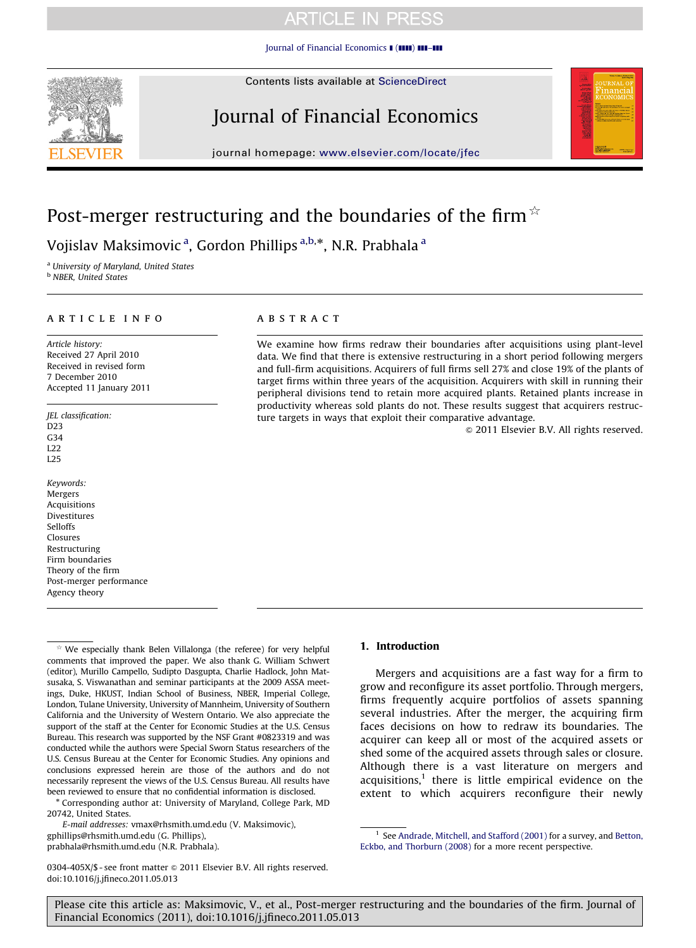[Journal of Financial Economics](dx.doi.org/10.1016/j.jfineco.2011.05.013)  $\blacksquare$  ( $\blacksquare\blacksquare$ )  $\blacksquare\blacksquare\blacksquare\blacksquare$ 



Contents lists available at ScienceDirect

# Journal of Financial Economics



journal homepage: <www.elsevier.com/locate/jfec>

# Post-merger restructuring and the boundaries of the firm  $\dot{x}$

Vojislav Maksimovic<sup>a</sup>, Gordon Phillips<sup>a,b,</sup>\*, N.R. Prabhala<sup>a</sup>

a University of Maryland, United States <sup>b</sup> NBER, United States

#### article info

Article history: Received 27 April 2010 Received in revised form 7 December 2010 Accepted 11 January 2011

JEL classification: D23 G34 L22 L25

Keywords: Mergers Acquisitions Divestitures Selloffs Closures Restructuring Firm boundaries Theory of the firm Post-merger performance Agency theory

# **ABSTRACT**

We examine how firms redraw their boundaries after acquisitions using plant-level data. We find that there is extensive restructuring in a short period following mergers and full-firm acquisitions. Acquirers of full firms sell 27% and close 19% of the plants of target firms within three years of the acquisition. Acquirers with skill in running their peripheral divisions tend to retain more acquired plants. Retained plants increase in productivity whereas sold plants do not. These results suggest that acquirers restructure targets in ways that exploit their comparative advantage.

 $\odot$  2011 Elsevier B.V. All rights reserved.

 $*$  We especially thank Belen Villalonga (the referee) for very helpful comments that improved the paper. We also thank G. William Schwert (editor), Murillo Campello, Sudipto Dasgupta, Charlie Hadlock, John Matsusaka, S. Viswanathan and seminar participants at the 2009 ASSA meetings, Duke, HKUST, Indian School of Business, NBER, Imperial College, London, Tulane University, University of Mannheim, University of Southern California and the University of Western Ontario. We also appreciate the support of the staff at the Center for Economic Studies at the U.S. Census Bureau. This research was supported by the NSF Grant #0823319 and was conducted while the authors were Special Sworn Status researchers of the U.S. Census Bureau at the Center for Economic Studies. Any opinions and conclusions expressed herein are those of the authors and do not necessarily represent the views of the U.S. Census Bureau. All results have been reviewed to ensure that no confidential information is disclosed.

 Corresponding author at: University of Maryland, College Park, MD 20742, United States.

E-mail addresses: vmax@rhsmith.umd.edu (V. Maksimovic), gphillips@rhsmith.umd.edu (G. Phillips), prabhala@rhsmith.umd.edu (N.R. Prabhala).

0304-405X/\$ - see front matter  $\odot$  2011 Elsevier B.V. All rights reserved. doi:[10.1016/j.jfineco.2011.05.013](dx.doi.org/10.1016/j.jfineco.2011.05.013)

# 1. Introduction

Mergers and acquisitions are a fast way for a firm to grow and reconfigure its asset portfolio. Through mergers, firms frequently acquire portfolios of assets spanning several industries. After the merger, the acquiring firm faces decisions on how to redraw its boundaries. The acquirer can keep all or most of the acquired assets or shed some of the acquired assets through sales or closure. Although there is a vast literature on mergers and acquisitions, $<sup>1</sup>$  there is little empirical evidence on the</sup> extent to which acquirers reconfigure their newly

 $1$  See [Andrade, Mitchell, and Stafford \(2001\)](#page-25-0) for a survey, and [Betton,](#page-25-0) [Eckbo, and Thorburn \(2008\)](#page-25-0) for a more recent perspective.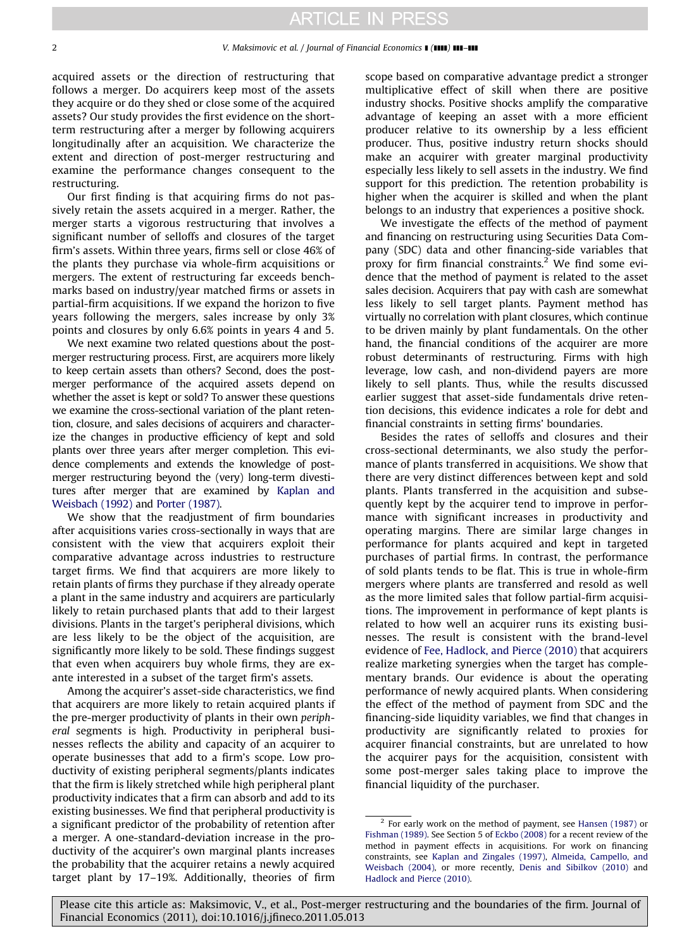acquired assets or the direction of restructuring that follows a merger. Do acquirers keep most of the assets they acquire or do they shed or close some of the acquired assets? Our study provides the first evidence on the shortterm restructuring after a merger by following acquirers longitudinally after an acquisition. We characterize the extent and direction of post-merger restructuring and examine the performance changes consequent to the restructuring.

Our first finding is that acquiring firms do not passively retain the assets acquired in a merger. Rather, the merger starts a vigorous restructuring that involves a significant number of selloffs and closures of the target firm's assets. Within three years, firms sell or close 46% of the plants they purchase via whole-firm acquisitions or mergers. The extent of restructuring far exceeds benchmarks based on industry/year matched firms or assets in partial-firm acquisitions. If we expand the horizon to five years following the mergers, sales increase by only 3% points and closures by only 6.6% points in years 4 and 5.

We next examine two related questions about the postmerger restructuring process. First, are acquirers more likely to keep certain assets than others? Second, does the postmerger performance of the acquired assets depend on whether the asset is kept or sold? To answer these questions we examine the cross-sectional variation of the plant retention, closure, and sales decisions of acquirers and characterize the changes in productive efficiency of kept and sold plants over three years after merger completion. This evidence complements and extends the knowledge of postmerger restructuring beyond the (very) long-term divestitures after merger that are examined by [Kaplan and](#page-25-0) [Weisbach \(1992\)](#page-25-0) and [Porter \(1987\).](#page-25-0)

We show that the readjustment of firm boundaries after acquisitions varies cross-sectionally in ways that are consistent with the view that acquirers exploit their comparative advantage across industries to restructure target firms. We find that acquirers are more likely to retain plants of firms they purchase if they already operate a plant in the same industry and acquirers are particularly likely to retain purchased plants that add to their largest divisions. Plants in the target's peripheral divisions, which are less likely to be the object of the acquisition, are significantly more likely to be sold. These findings suggest that even when acquirers buy whole firms, they are exante interested in a subset of the target firm's assets.

Among the acquirer's asset-side characteristics, we find that acquirers are more likely to retain acquired plants if the pre-merger productivity of plants in their own peripheral segments is high. Productivity in peripheral businesses reflects the ability and capacity of an acquirer to operate businesses that add to a firm's scope. Low productivity of existing peripheral segments/plants indicates that the firm is likely stretched while high peripheral plant productivity indicates that a firm can absorb and add to its existing businesses. We find that peripheral productivity is a significant predictor of the probability of retention after a merger. A one-standard-deviation increase in the productivity of the acquirer's own marginal plants increases the probability that the acquirer retains a newly acquired target plant by 17–19%. Additionally, theories of firm

scope based on comparative advantage predict a stronger multiplicative effect of skill when there are positive industry shocks. Positive shocks amplify the comparative advantage of keeping an asset with a more efficient producer relative to its ownership by a less efficient producer. Thus, positive industry return shocks should make an acquirer with greater marginal productivity especially less likely to sell assets in the industry. We find support for this prediction. The retention probability is higher when the acquirer is skilled and when the plant belongs to an industry that experiences a positive shock.

We investigate the effects of the method of payment and financing on restructuring using Securities Data Company (SDC) data and other financing-side variables that proxy for firm financial constraints.<sup>2</sup> We find some evidence that the method of payment is related to the asset sales decision. Acquirers that pay with cash are somewhat less likely to sell target plants. Payment method has virtually no correlation with plant closures, which continue to be driven mainly by plant fundamentals. On the other hand, the financial conditions of the acquirer are more robust determinants of restructuring. Firms with high leverage, low cash, and non-dividend payers are more likely to sell plants. Thus, while the results discussed earlier suggest that asset-side fundamentals drive retention decisions, this evidence indicates a role for debt and financial constraints in setting firms' boundaries.

Besides the rates of selloffs and closures and their cross-sectional determinants, we also study the performance of plants transferred in acquisitions. We show that there are very distinct differences between kept and sold plants. Plants transferred in the acquisition and subsequently kept by the acquirer tend to improve in performance with significant increases in productivity and operating margins. There are similar large changes in performance for plants acquired and kept in targeted purchases of partial firms. In contrast, the performance of sold plants tends to be flat. This is true in whole-firm mergers where plants are transferred and resold as well as the more limited sales that follow partial-firm acquisitions. The improvement in performance of kept plants is related to how well an acquirer runs its existing businesses. The result is consistent with the brand-level evidence of [Fee, Hadlock, and Pierce \(2010\)](#page-25-0) that acquirers realize marketing synergies when the target has complementary brands. Our evidence is about the operating performance of newly acquired plants. When considering the effect of the method of payment from SDC and the financing-side liquidity variables, we find that changes in productivity are significantly related to proxies for acquirer financial constraints, but are unrelated to how the acquirer pays for the acquisition, consistent with some post-merger sales taking place to improve the financial liquidity of the purchaser.

<sup>2</sup> For early work on the method of payment, see [Hansen \(1987\)](#page-25-0) or [Fishman \(1989\)](#page-25-0). See Section 5 of [Eckbo \(2008\)](#page-25-0) for a recent review of the method in payment effects in acquisitions. For work on financing constraints, see [Kaplan and Zingales \(1997\),](#page-25-0) [Almeida, Campello, and](#page-25-0) [Weisbach \(2004\),](#page-25-0) or more recently, [Denis and Sibilkov \(2010\)](#page-25-0) and [Hadlock and Pierce \(2010\).](#page-25-0)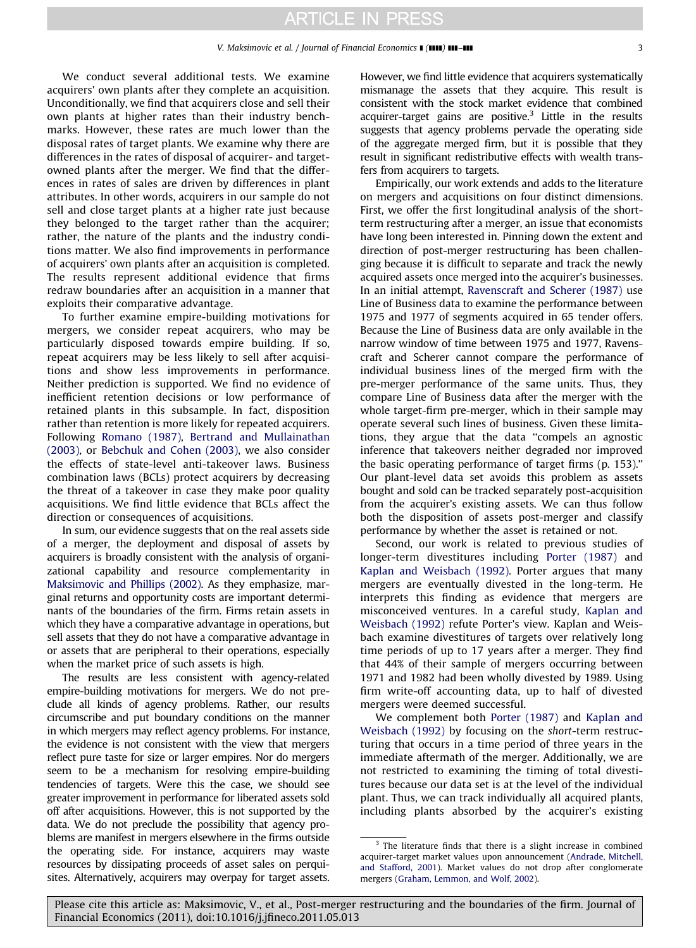We conduct several additional tests. We examine acquirers' own plants after they complete an acquisition. Unconditionally, we find that acquirers close and sell their own plants at higher rates than their industry benchmarks. However, these rates are much lower than the disposal rates of target plants. We examine why there are differences in the rates of disposal of acquirer- and targetowned plants after the merger. We find that the differences in rates of sales are driven by differences in plant attributes. In other words, acquirers in our sample do not sell and close target plants at a higher rate just because they belonged to the target rather than the acquirer; rather, the nature of the plants and the industry conditions matter. We also find improvements in performance of acquirers' own plants after an acquisition is completed. The results represent additional evidence that firms redraw boundaries after an acquisition in a manner that exploits their comparative advantage.

To further examine empire-building motivations for mergers, we consider repeat acquirers, who may be particularly disposed towards empire building. If so, repeat acquirers may be less likely to sell after acquisitions and show less improvements in performance. Neither prediction is supported. We find no evidence of inefficient retention decisions or low performance of retained plants in this subsample. In fact, disposition rather than retention is more likely for repeated acquirers. Following [Romano \(1987\),](#page-25-0) [Bertrand and Mullainathan](#page-25-0) [\(2003\)](#page-25-0), or [Bebchuk and Cohen \(2003\)](#page-25-0), we also consider the effects of state-level anti-takeover laws. Business combination laws (BCLs) protect acquirers by decreasing the threat of a takeover in case they make poor quality acquisitions. We find little evidence that BCLs affect the direction or consequences of acquisitions.

In sum, our evidence suggests that on the real assets side of a merger, the deployment and disposal of assets by acquirers is broadly consistent with the analysis of organizational capability and resource complementarity in [Maksimovic and Phillips \(2002\)](#page-25-0). As they emphasize, marginal returns and opportunity costs are important determinants of the boundaries of the firm. Firms retain assets in which they have a comparative advantage in operations, but sell assets that they do not have a comparative advantage in or assets that are peripheral to their operations, especially when the market price of such assets is high.

The results are less consistent with agency-related empire-building motivations for mergers. We do not preclude all kinds of agency problems. Rather, our results circumscribe and put boundary conditions on the manner in which mergers may reflect agency problems. For instance, the evidence is not consistent with the view that mergers reflect pure taste for size or larger empires. Nor do mergers seem to be a mechanism for resolving empire-building tendencies of targets. Were this the case, we should see greater improvement in performance for liberated assets sold off after acquisitions. However, this is not supported by the data. We do not preclude the possibility that agency problems are manifest in mergers elsewhere in the firms outside the operating side. For instance, acquirers may waste resources by dissipating proceeds of asset sales on perquisites. Alternatively, acquirers may overpay for target assets.

However, we find little evidence that acquirers systematically mismanage the assets that they acquire. This result is consistent with the stock market evidence that combined acquirer-target gains are positive.<sup>3</sup> Little in the results suggests that agency problems pervade the operating side of the aggregate merged firm, but it is possible that they result in significant redistributive effects with wealth transfers from acquirers to targets.

Empirically, our work extends and adds to the literature on mergers and acquisitions on four distinct dimensions. First, we offer the first longitudinal analysis of the shortterm restructuring after a merger, an issue that economists have long been interested in. Pinning down the extent and direction of post-merger restructuring has been challenging because it is difficult to separate and track the newly acquired assets once merged into the acquirer's businesses. In an initial attempt, [Ravenscraft and Scherer \(1987\)](#page-25-0) use Line of Business data to examine the performance between 1975 and 1977 of segments acquired in 65 tender offers. Because the Line of Business data are only available in the narrow window of time between 1975 and 1977, Ravenscraft and Scherer cannot compare the performance of individual business lines of the merged firm with the pre-merger performance of the same units. Thus, they compare Line of Business data after the merger with the whole target-firm pre-merger, which in their sample may operate several such lines of business. Given these limitations, they argue that the data ''compels an agnostic inference that takeovers neither degraded nor improved the basic operating performance of target firms (p. 153).'' Our plant-level data set avoids this problem as assets bought and sold can be tracked separately post-acquisition from the acquirer's existing assets. We can thus follow both the disposition of assets post-merger and classify performance by whether the asset is retained or not.

Second, our work is related to previous studies of longer-term divestitures including [Porter \(1987\)](#page-25-0) and [Kaplan and Weisbach \(1992\)](#page-25-0). Porter argues that many mergers are eventually divested in the long-term. He interprets this finding as evidence that mergers are misconceived ventures. In a careful study, [Kaplan and](#page-25-0) [Weisbach \(1992\)](#page-25-0) refute Porter's view. Kaplan and Weisbach examine divestitures of targets over relatively long time periods of up to 17 years after a merger. They find that 44% of their sample of mergers occurring between 1971 and 1982 had been wholly divested by 1989. Using firm write-off accounting data, up to half of divested mergers were deemed successful.

We complement both [Porter \(1987\)](#page-25-0) and [Kaplan and](#page-25-0) [Weisbach \(1992\)](#page-25-0) by focusing on the short-term restructuring that occurs in a time period of three years in the immediate aftermath of the merger. Additionally, we are not restricted to examining the timing of total divestitures because our data set is at the level of the individual plant. Thus, we can track individually all acquired plants, including plants absorbed by the acquirer's existing

 $3$  The literature finds that there is a slight increase in combined acquirer-target market values upon announcement [\(Andrade, Mitchell,](#page-25-0) [and Stafford, 2001](#page-25-0)). Market values do not drop after conglomerate mergers ([Graham, Lemmon, and Wolf, 2002\)](#page-25-0).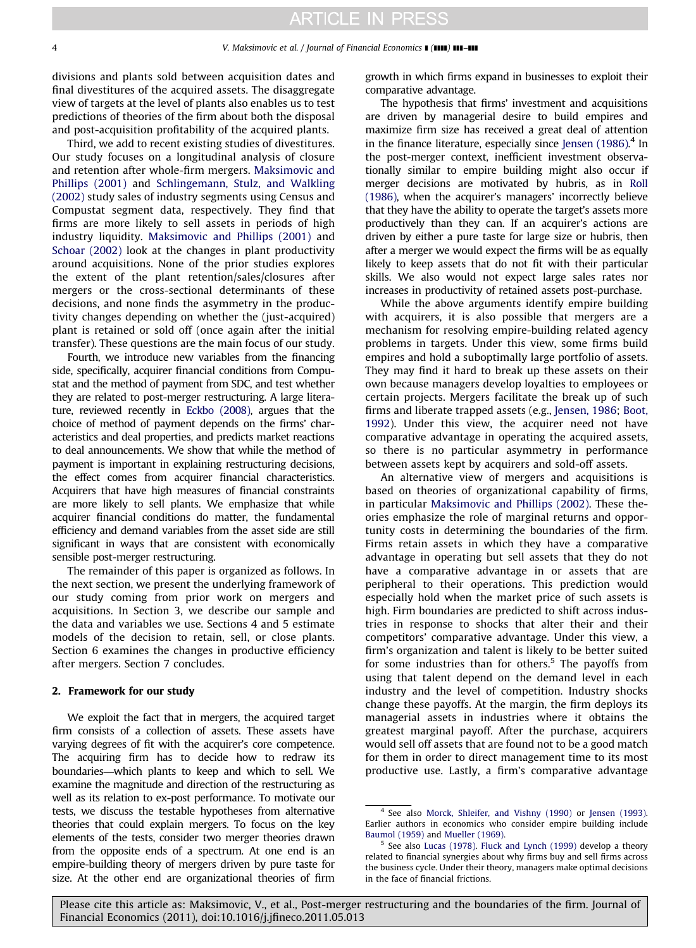divisions and plants sold between acquisition dates and final divestitures of the acquired assets. The disaggregate view of targets at the level of plants also enables us to test predictions of theories of the firm about both the disposal and post-acquisition profitability of the acquired plants.

Third, we add to recent existing studies of divestitures. Our study focuses on a longitudinal analysis of closure and retention after whole-firm mergers. [Maksimovic and](#page-25-0) [Phillips \(2001\)](#page-25-0) and [Schlingemann, Stulz, and Walkling](#page-26-0) [\(2002\)](#page-26-0) study sales of industry segments using Census and Compustat segment data, respectively. They find that firms are more likely to sell assets in periods of high industry liquidity. [Maksimovic and Phillips \(2001\)](#page-25-0) and [Schoar \(2002\)](#page-26-0) look at the changes in plant productivity around acquisitions. None of the prior studies explores the extent of the plant retention/sales/closures after mergers or the cross-sectional determinants of these decisions, and none finds the asymmetry in the productivity changes depending on whether the (just-acquired) plant is retained or sold off (once again after the initial transfer). These questions are the main focus of our study.

Fourth, we introduce new variables from the financing side, specifically, acquirer financial conditions from Compustat and the method of payment from SDC, and test whether they are related to post-merger restructuring. A large literature, reviewed recently in [Eckbo \(2008\),](#page-25-0) argues that the choice of method of payment depends on the firms' characteristics and deal properties, and predicts market reactions to deal announcements. We show that while the method of payment is important in explaining restructuring decisions, the effect comes from acquirer financial characteristics. Acquirers that have high measures of financial constraints are more likely to sell plants. We emphasize that while acquirer financial conditions do matter, the fundamental efficiency and demand variables from the asset side are still significant in ways that are consistent with economically sensible post-merger restructuring.

The remainder of this paper is organized as follows. In the next section, we present the underlying framework of our study coming from prior work on mergers and acquisitions. In Section 3, we describe our sample and the data and variables we use. Sections 4 and 5 estimate models of the decision to retain, sell, or close plants. Section 6 examines the changes in productive efficiency after mergers. Section 7 concludes.

#### 2. Framework for our study

We exploit the fact that in mergers, the acquired target firm consists of a collection of assets. These assets have varying degrees of fit with the acquirer's core competence. The acquiring firm has to decide how to redraw its boundaries—which plants to keep and which to sell. We examine the magnitude and direction of the restructuring as well as its relation to ex-post performance. To motivate our tests, we discuss the testable hypotheses from alternative theories that could explain mergers. To focus on the key elements of the tests, consider two merger theories drawn from the opposite ends of a spectrum. At one end is an empire-building theory of mergers driven by pure taste for size. At the other end are organizational theories of firm growth in which firms expand in businesses to exploit their comparative advantage.

The hypothesis that firms' investment and acquisitions are driven by managerial desire to build empires and maximize firm size has received a great deal of attention in the finance literature, especially since [Jensen \(1986\)](#page-25-0). <sup>4</sup> In the post-merger context, inefficient investment observationally similar to empire building might also occur if merger decisions are motivated by hubris, as in [Roll](#page-25-0) [\(1986\)](#page-25-0), when the acquirer's managers' incorrectly believe that they have the ability to operate the target's assets more productively than they can. If an acquirer's actions are driven by either a pure taste for large size or hubris, then after a merger we would expect the firms will be as equally likely to keep assets that do not fit with their particular skills. We also would not expect large sales rates nor increases in productivity of retained assets post-purchase.

While the above arguments identify empire building with acquirers, it is also possible that mergers are a mechanism for resolving empire-building related agency problems in targets. Under this view, some firms build empires and hold a suboptimally large portfolio of assets. They may find it hard to break up these assets on their own because managers develop loyalties to employees or certain projects. Mergers facilitate the break up of such firms and liberate trapped assets (e.g., [Jensen, 1986](#page-25-0); [Boot,](#page-25-0) [1992](#page-25-0)). Under this view, the acquirer need not have comparative advantage in operating the acquired assets, so there is no particular asymmetry in performance between assets kept by acquirers and sold-off assets.

An alternative view of mergers and acquisitions is based on theories of organizational capability of firms, in particular [Maksimovic and Phillips \(2002\).](#page-25-0) These theories emphasize the role of marginal returns and opportunity costs in determining the boundaries of the firm. Firms retain assets in which they have a comparative advantage in operating but sell assets that they do not have a comparative advantage in or assets that are peripheral to their operations. This prediction would especially hold when the market price of such assets is high. Firm boundaries are predicted to shift across industries in response to shocks that alter their and their competitors' comparative advantage. Under this view, a firm's organization and talent is likely to be better suited for some industries than for others. $5$  The payoffs from using that talent depend on the demand level in each industry and the level of competition. Industry shocks change these payoffs. At the margin, the firm deploys its managerial assets in industries where it obtains the greatest marginal payoff. After the purchase, acquirers would sell off assets that are found not to be a good match for them in order to direct management time to its most productive use. Lastly, a firm's comparative advantage

<sup>4</sup> See also [Morck, Shleifer, and Vishny \(1990\)](#page-25-0) or [Jensen \(1993\)](#page-25-0). Earlier authors in economics who consider empire building include [Baumol \(1959\)](#page-25-0) and [Mueller \(1969\)](#page-25-0).

<sup>5</sup> See also [Lucas \(1978\)](#page-25-0). [Fluck and Lynch \(1999\)](#page-25-0) develop a theory related to financial synergies about why firms buy and sell firms across the business cycle. Under their theory, managers make optimal decisions in the face of financial frictions.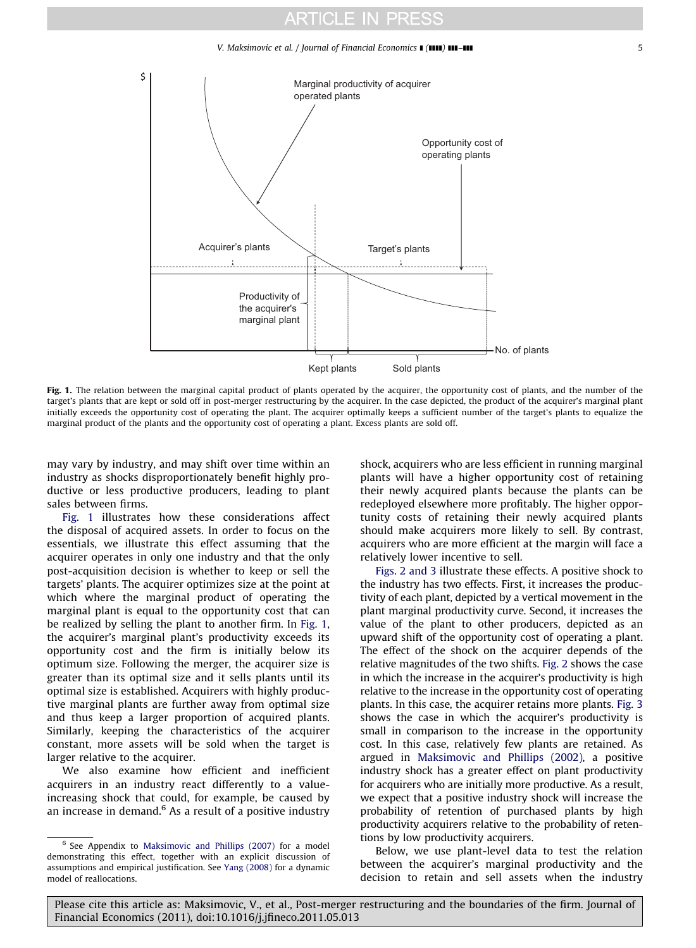V. Maksimovic et al. / Journal of Financial Economics  $\blacksquare$  ( $\blacksquare$ )  $\blacksquare$ ]  $\blacksquare$ ] 5



Fig. 1. The relation between the marginal capital product of plants operated by the acquirer, the opportunity cost of plants, and the number of the target's plants that are kept or sold off in post-merger restructuring by the acquirer. In the case depicted, the product of the acquirer's marginal plant initially exceeds the opportunity cost of operating the plant. The acquirer optimally keeps a sufficient number of the target's plants to equalize the marginal product of the plants and the opportunity cost of operating a plant. Excess plants are sold off.

may vary by industry, and may shift over time within an industry as shocks disproportionately benefit highly productive or less productive producers, leading to plant sales between firms.

Fig. 1 illustrates how these considerations affect the disposal of acquired assets. In order to focus on the essentials, we illustrate this effect assuming that the acquirer operates in only one industry and that the only post-acquisition decision is whether to keep or sell the targets' plants. The acquirer optimizes size at the point at which where the marginal product of operating the marginal plant is equal to the opportunity cost that can be realized by selling the plant to another firm. In Fig. 1, the acquirer's marginal plant's productivity exceeds its opportunity cost and the firm is initially below its optimum size. Following the merger, the acquirer size is greater than its optimal size and it sells plants until its optimal size is established. Acquirers with highly productive marginal plants are further away from optimal size and thus keep a larger proportion of acquired plants. Similarly, keeping the characteristics of the acquirer constant, more assets will be sold when the target is larger relative to the acquirer.

We also examine how efficient and inefficient acquirers in an industry react differently to a valueincreasing shock that could, for example, be caused by an increase in demand. $6$  As a result of a positive industry shock, acquirers who are less efficient in running marginal plants will have a higher opportunity cost of retaining their newly acquired plants because the plants can be redeployed elsewhere more profitably. The higher opportunity costs of retaining their newly acquired plants should make acquirers more likely to sell. By contrast, acquirers who are more efficient at the margin will face a relatively lower incentive to sell.

[Figs. 2 and 3](#page-5-0) illustrate these effects. A positive shock to the industry has two effects. First, it increases the productivity of each plant, depicted by a vertical movement in the plant marginal productivity curve. Second, it increases the value of the plant to other producers, depicted as an upward shift of the opportunity cost of operating a plant. The effect of the shock on the acquirer depends of the relative magnitudes of the two shifts. [Fig. 2](#page-5-0) shows the case in which the increase in the acquirer's productivity is high relative to the increase in the opportunity cost of operating plants. In this case, the acquirer retains more plants. [Fig. 3](#page-5-0) shows the case in which the acquirer's productivity is small in comparison to the increase in the opportunity cost. In this case, relatively few plants are retained. As argued in [Maksimovic and Phillips \(2002\),](#page-25-0) a positive industry shock has a greater effect on plant productivity for acquirers who are initially more productive. As a result, we expect that a positive industry shock will increase the probability of retention of purchased plants by high productivity acquirers relative to the probability of retentions by low productivity acquirers.

Below, we use plant-level data to test the relation between the acquirer's marginal productivity and the decision to retain and sell assets when the industry

<sup>6</sup> See Appendix to [Maksimovic and Phillips \(2007\)](#page-25-0) for a model demonstrating this effect, together with an explicit discussion of assumptions and empirical justification. See [Yang \(2008\)](#page-26-0) for a dynamic model of reallocations.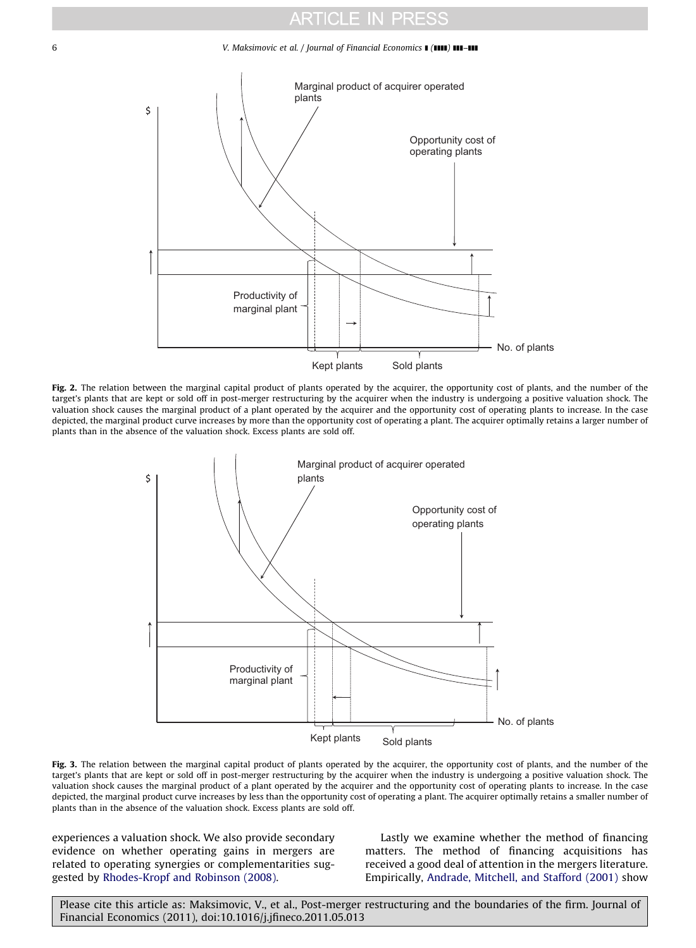<span id="page-5-0"></span>6 V. Maksimovic et al. / Journal of Financial Economics ] (]]]]) ]]]–]]]



Fig. 2. The relation between the marginal capital product of plants operated by the acquirer, the opportunity cost of plants, and the number of the target's plants that are kept or sold off in post-merger restructuring by the acquirer when the industry is undergoing a positive valuation shock. The valuation shock causes the marginal product of a plant operated by the acquirer and the opportunity cost of operating plants to increase. In the case depicted, the marginal product curve increases by more than the opportunity cost of operating a plant. The acquirer optimally retains a larger number of plants than in the absence of the valuation shock. Excess plants are sold off.



Fig. 3. The relation between the marginal capital product of plants operated by the acquirer, the opportunity cost of plants, and the number of the target's plants that are kept or sold off in post-merger restructuring by the acquirer when the industry is undergoing a positive valuation shock. The valuation shock causes the marginal product of a plant operated by the acquirer and the opportunity cost of operating plants to increase. In the case depicted, the marginal product curve increases by less than the opportunity cost of operating a plant. The acquirer optimally retains a smaller number of plants than in the absence of the valuation shock. Excess plants are sold off.

experiences a valuation shock. We also provide secondary evidence on whether operating gains in mergers are related to operating synergies or complementarities suggested by [Rhodes-Kropf and Robinson \(2008\)](#page-25-0).

Lastly we examine whether the method of financing matters. The method of financing acquisitions has received a good deal of attention in the mergers literature. Empirically, [Andrade, Mitchell, and Stafford \(2001\)](#page-25-0) show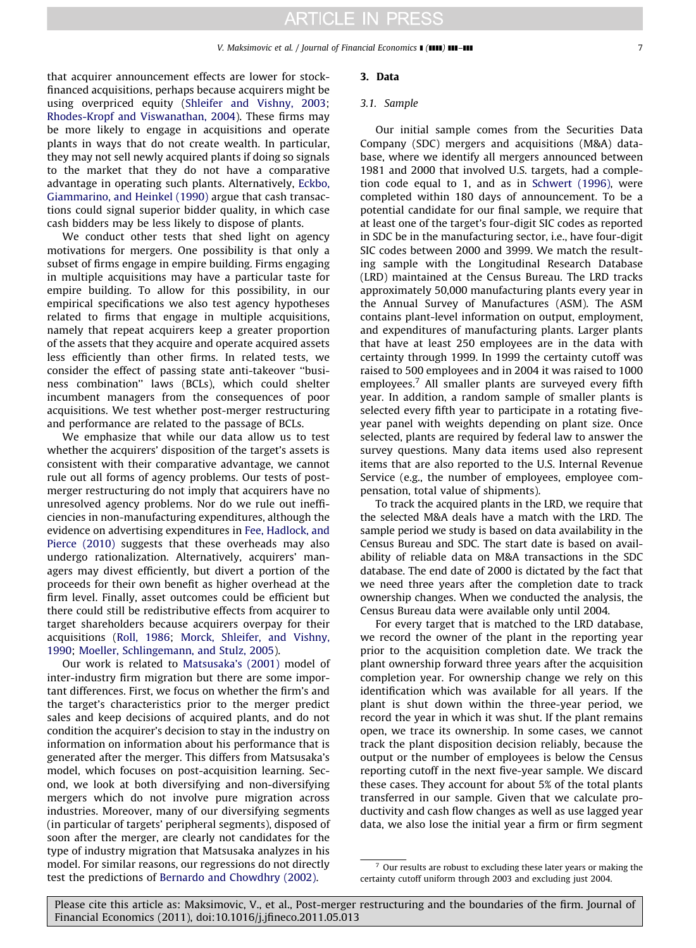that acquirer announcement effects are lower for stockfinanced acquisitions, perhaps because acquirers might be using overpriced equity [\(Shleifer and Vishny, 2003](#page-26-0); [Rhodes-Kropf and Viswanathan, 2004](#page-25-0)). These firms may be more likely to engage in acquisitions and operate plants in ways that do not create wealth. In particular, they may not sell newly acquired plants if doing so signals to the market that they do not have a comparative advantage in operating such plants. Alternatively, [Eckbo,](#page-25-0) [Giammarino, and Heinkel \(1990\)](#page-25-0) argue that cash transactions could signal superior bidder quality, in which case cash bidders may be less likely to dispose of plants.

We conduct other tests that shed light on agency motivations for mergers. One possibility is that only a subset of firms engage in empire building. Firms engaging in multiple acquisitions may have a particular taste for empire building. To allow for this possibility, in our empirical specifications we also test agency hypotheses related to firms that engage in multiple acquisitions, namely that repeat acquirers keep a greater proportion of the assets that they acquire and operate acquired assets less efficiently than other firms. In related tests, we consider the effect of passing state anti-takeover ''business combination'' laws (BCLs), which could shelter incumbent managers from the consequences of poor acquisitions. We test whether post-merger restructuring and performance are related to the passage of BCLs.

We emphasize that while our data allow us to test whether the acquirers' disposition of the target's assets is consistent with their comparative advantage, we cannot rule out all forms of agency problems. Our tests of postmerger restructuring do not imply that acquirers have no unresolved agency problems. Nor do we rule out inefficiencies in non-manufacturing expenditures, although the evidence on advertising expenditures in [Fee, Hadlock, and](#page-25-0) [Pierce \(2010\)](#page-25-0) suggests that these overheads may also undergo rationalization. Alternatively, acquirers' managers may divest efficiently, but divert a portion of the proceeds for their own benefit as higher overhead at the firm level. Finally, asset outcomes could be efficient but there could still be redistributive effects from acquirer to target shareholders because acquirers overpay for their acquisitions [\(Roll, 1986;](#page-25-0) [Morck, Shleifer, and Vishny,](#page-25-0) [1990](#page-25-0); [Moeller, Schlingemann, and Stulz, 2005\)](#page-25-0).

Our work is related to [Matsusaka's \(2001\)](#page-25-0) model of inter-industry firm migration but there are some important differences. First, we focus on whether the firm's and the target's characteristics prior to the merger predict sales and keep decisions of acquired plants, and do not condition the acquirer's decision to stay in the industry on information on information about his performance that is generated after the merger. This differs from Matsusaka's model, which focuses on post-acquisition learning. Second, we look at both diversifying and non-diversifying mergers which do not involve pure migration across industries. Moreover, many of our diversifying segments (in particular of targets' peripheral segments), disposed of soon after the merger, are clearly not candidates for the type of industry migration that Matsusaka analyzes in his model. For similar reasons, our regressions do not directly test the predictions of [Bernardo and Chowdhry \(2002\)](#page-25-0).

## 3. Data

#### 3.1. Sample

Our initial sample comes from the Securities Data Company (SDC) mergers and acquisitions (M&A) database, where we identify all mergers announced between 1981 and 2000 that involved U.S. targets, had a completion code equal to 1, and as in [Schwert \(1996\),](#page-26-0) were completed within 180 days of announcement. To be a potential candidate for our final sample, we require that at least one of the target's four-digit SIC codes as reported in SDC be in the manufacturing sector, i.e., have four-digit SIC codes between 2000 and 3999. We match the resulting sample with the Longitudinal Research Database (LRD) maintained at the Census Bureau. The LRD tracks approximately 50,000 manufacturing plants every year in the Annual Survey of Manufactures (ASM). The ASM contains plant-level information on output, employment, and expenditures of manufacturing plants. Larger plants that have at least 250 employees are in the data with certainty through 1999. In 1999 the certainty cutoff was raised to 500 employees and in 2004 it was raised to 1000 employees.<sup>7</sup> All smaller plants are surveyed every fifth year. In addition, a random sample of smaller plants is selected every fifth year to participate in a rotating fiveyear panel with weights depending on plant size. Once selected, plants are required by federal law to answer the survey questions. Many data items used also represent items that are also reported to the U.S. Internal Revenue Service (e.g., the number of employees, employee compensation, total value of shipments).

To track the acquired plants in the LRD, we require that the selected M&A deals have a match with the LRD. The sample period we study is based on data availability in the Census Bureau and SDC. The start date is based on availability of reliable data on M&A transactions in the SDC database. The end date of 2000 is dictated by the fact that we need three years after the completion date to track ownership changes. When we conducted the analysis, the Census Bureau data were available only until 2004.

For every target that is matched to the LRD database, we record the owner of the plant in the reporting year prior to the acquisition completion date. We track the plant ownership forward three years after the acquisition completion year. For ownership change we rely on this identification which was available for all years. If the plant is shut down within the three-year period, we record the year in which it was shut. If the plant remains open, we trace its ownership. In some cases, we cannot track the plant disposition decision reliably, because the output or the number of employees is below the Census reporting cutoff in the next five-year sample. We discard these cases. They account for about 5% of the total plants transferred in our sample. Given that we calculate productivity and cash flow changes as well as use lagged year data, we also lose the initial year a firm or firm segment

 $7$  Our results are robust to excluding these later years or making the certainty cutoff uniform through 2003 and excluding just 2004.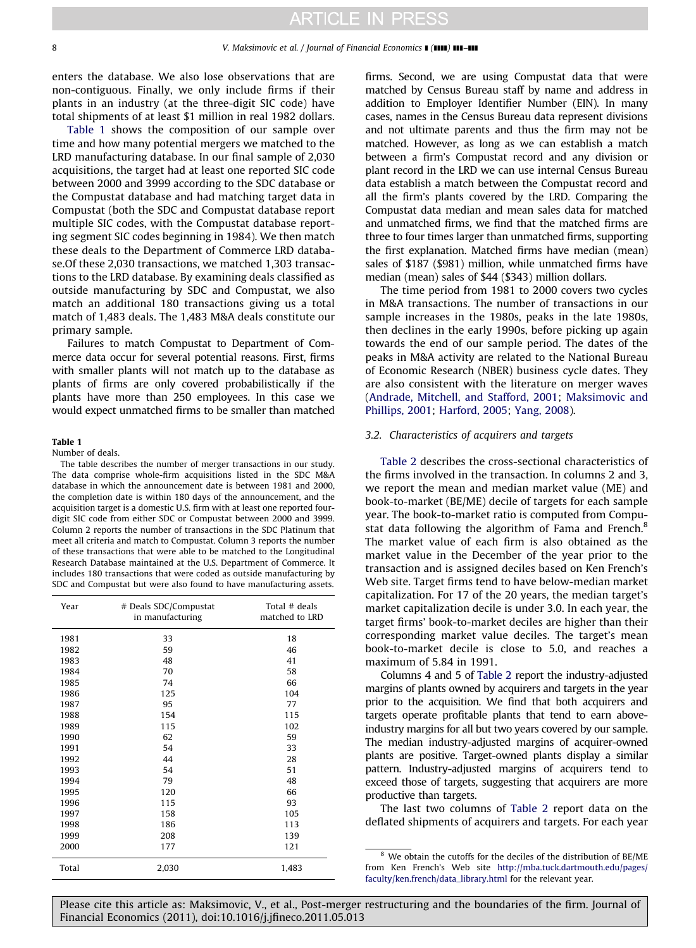enters the database. We also lose observations that are non-contiguous. Finally, we only include firms if their plants in an industry (at the three-digit SIC code) have total shipments of at least \$1 million in real 1982 dollars.

Table 1 shows the composition of our sample over time and how many potential mergers we matched to the LRD manufacturing database. In our final sample of 2,030 acquisitions, the target had at least one reported SIC code between 2000 and 3999 according to the SDC database or the Compustat database and had matching target data in Compustat (both the SDC and Compustat database report multiple SIC codes, with the Compustat database reporting segment SIC codes beginning in 1984). We then match these deals to the Department of Commerce LRD database.Of these 2,030 transactions, we matched 1,303 transactions to the LRD database. By examining deals classified as outside manufacturing by SDC and Compustat, we also match an additional 180 transactions giving us a total match of 1,483 deals. The 1,483 M&A deals constitute our primary sample.

Failures to match Compustat to Department of Commerce data occur for several potential reasons. First, firms with smaller plants will not match up to the database as plants of firms are only covered probabilistically if the plants have more than 250 employees. In this case we would expect unmatched firms to be smaller than matched

#### Table 1

#### Number of deals.

The table describes the number of merger transactions in our study. The data comprise whole-firm acquisitions listed in the SDC M&A database in which the announcement date is between 1981 and 2000, the completion date is within 180 days of the announcement, and the acquisition target is a domestic U.S. firm with at least one reported fourdigit SIC code from either SDC or Compustat between 2000 and 3999. Column 2 reports the number of transactions in the SDC Platinum that meet all criteria and match to Compustat. Column 3 reports the number of these transactions that were able to be matched to the Longitudinal Research Database maintained at the U.S. Department of Commerce. It includes 180 transactions that were coded as outside manufacturing by SDC and Compustat but were also found to have manufacturing assets.

| Year  | # Deals SDC/Compustat<br>in manufacturing | Total # deals<br>matched to LRD |
|-------|-------------------------------------------|---------------------------------|
| 1981  | 33                                        | 18                              |
| 1982  | 59                                        | 46                              |
| 1983  | 48                                        | 41                              |
| 1984  | 70                                        | 58                              |
| 1985  | 74                                        | 66                              |
| 1986  | 125                                       | 104                             |
| 1987  | 95                                        | 77                              |
| 1988  | 154                                       | 115                             |
| 1989  | 115                                       | 102                             |
| 1990  | 62                                        | 59                              |
| 1991  | 54                                        | 33                              |
| 1992  | 44                                        | 28                              |
| 1993  | 54                                        | 51                              |
| 1994  | 79                                        | 48                              |
| 1995  | 120                                       | 66                              |
| 1996  | 115                                       | 93                              |
| 1997  | 158                                       | 105                             |
| 1998  | 186                                       | 113                             |
| 1999  | 208                                       | 139                             |
| 2000  | 177                                       | 121                             |
| Total | 2,030                                     | 1,483                           |

firms. Second, we are using Compustat data that were matched by Census Bureau staff by name and address in addition to Employer Identifier Number (EIN). In many cases, names in the Census Bureau data represent divisions and not ultimate parents and thus the firm may not be matched. However, as long as we can establish a match between a firm's Compustat record and any division or plant record in the LRD we can use internal Census Bureau data establish a match between the Compustat record and all the firm's plants covered by the LRD. Comparing the Compustat data median and mean sales data for matched and unmatched firms, we find that the matched firms are three to four times larger than unmatched firms, supporting the first explanation. Matched firms have median (mean) sales of \$187 (\$981) million, while unmatched firms have median (mean) sales of \$44 (\$343) million dollars.

The time period from 1981 to 2000 covers two cycles in M&A transactions. The number of transactions in our sample increases in the 1980s, peaks in the late 1980s, then declines in the early 1990s, before picking up again towards the end of our sample period. The dates of the peaks in M&A activity are related to the National Bureau of Economic Research (NBER) business cycle dates. They are also consistent with the literature on merger waves [\(Andrade, Mitchell, and Stafford, 2001;](#page-25-0) [Maksimovic and](#page-25-0) [Phillips, 2001](#page-25-0); [Harford, 2005](#page-25-0); [Yang, 2008\)](#page-26-0).

# 3.2. Characteristics of acquirers and targets

[Table 2](#page-8-0) describes the cross-sectional characteristics of the firms involved in the transaction. In columns 2 and 3, we report the mean and median market value (ME) and book-to-market (BE/ME) decile of targets for each sample year. The book-to-market ratio is computed from Compustat data following the algorithm of Fama and French.<sup>8</sup> The market value of each firm is also obtained as the market value in the December of the year prior to the transaction and is assigned deciles based on Ken French's Web site. Target firms tend to have below-median market capitalization. For 17 of the 20 years, the median target's market capitalization decile is under 3.0. In each year, the target firms' book-to-market deciles are higher than their corresponding market value deciles. The target's mean book-to-market decile is close to 5.0, and reaches a maximum of 5.84 in 1991.

Columns 4 and 5 of [Table 2](#page-8-0) report the industry-adjusted margins of plants owned by acquirers and targets in the year prior to the acquisition. We find that both acquirers and targets operate profitable plants that tend to earn aboveindustry margins for all but two years covered by our sample. The median industry-adjusted margins of acquirer-owned plants are positive. Target-owned plants display a similar pattern. Industry-adjusted margins of acquirers tend to exceed those of targets, suggesting that acquirers are more productive than targets.

The last two columns of [Table 2](#page-8-0) report data on the deflated shipments of acquirers and targets. For each year

<sup>8</sup> We obtain the cutoffs for the deciles of the distribution of BE/ME from Ken French's Web site [http://mba.tuck.dartmouth.edu/pages/](http://mba.tuck.dartmouth.edu/pages/faculty/ken.french/data_library.html) [faculty/ken.french/data\\_library.html](http://mba.tuck.dartmouth.edu/pages/faculty/ken.french/data_library.html) for the relevant year.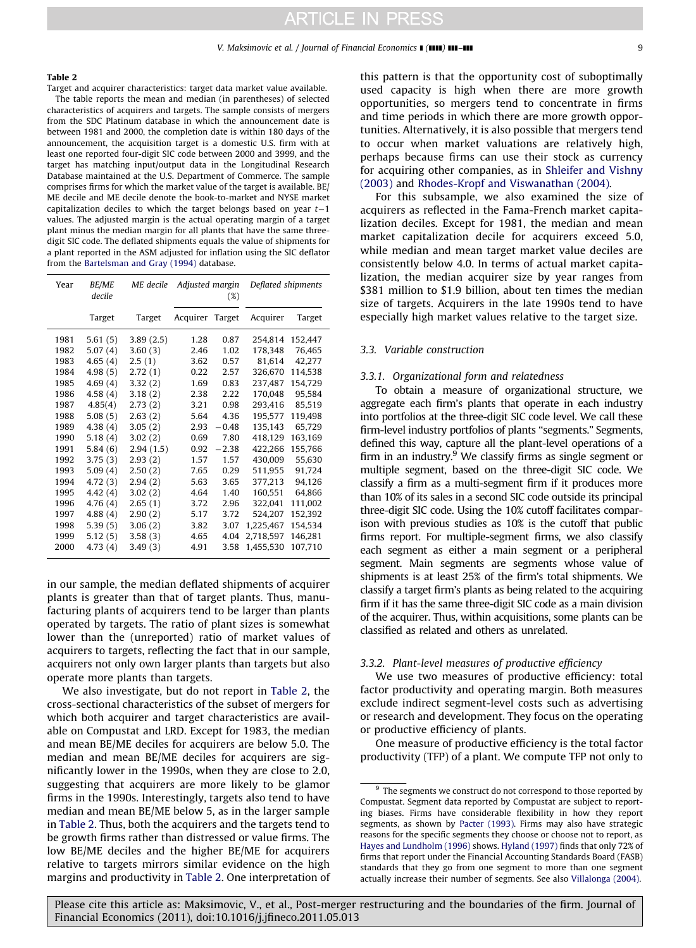#### <span id="page-8-0"></span>Table 2

Target and acquirer characteristics: target data market value available. The table reports the mean and median (in parentheses) of selected characteristics of acquirers and targets. The sample consists of mergers from the SDC Platinum database in which the announcement date is between 1981 and 2000, the completion date is within 180 days of the announcement, the acquisition target is a domestic U.S. firm with at least one reported four-digit SIC code between 2000 and 3999, and the target has matching input/output data in the Longitudinal Research Database maintained at the U.S. Department of Commerce. The sample comprises firms for which the market value of the target is available. BE/ ME decile and ME decile denote the book-to-market and NYSE market capitalization deciles to which the target belongs based on year  $t-1$ values. The adjusted margin is the actual operating margin of a target plant minus the median margin for all plants that have the same threedigit SIC code. The deflated shipments equals the value of shipments for a plant reported in the ASM adjusted for inflation using the SIC deflator from the [Bartelsman and Gray \(1994\)](#page-25-0) database.

| Year | <b>BE/ME</b><br>decile | ME decile | Adjusted margin<br>(%) |         | Deflated shipments |         |
|------|------------------------|-----------|------------------------|---------|--------------------|---------|
|      | Target                 | Target    | Acquirer               | Target  | Acquirer           | Target  |
| 1981 | 5.61(5)                | 3.89(2.5) | 1.28                   | 0.87    | 254,814            | 152.447 |
| 1982 | 5.07(4)                | 3.60(3)   | 2.46                   | 1.02    | 178,348            | 76.465  |
| 1983 | 4.65(4)                | 2.5(1)    | 3.62                   | 0.57    | 81.614             | 42,277  |
| 1984 | 4.98(5)                | 2.72(1)   | 0.22                   | 2.57    | 326,670            | 114,538 |
| 1985 | 4.69(4)                | 3.32(2)   | 1.69                   | 0.83    | 237.487            | 154,729 |
| 1986 | 4.58(4)                | 3.18(2)   | 2.38                   | 2.22    | 170,048            | 95,584  |
| 1987 | 4.85(4)                | 2.73(2)   | 3.21                   | 0.98    | 293,416            | 85,519  |
| 1988 | 5.08(5)                | 2.63(2)   | 5.64                   | 4.36    | 195.577            | 119,498 |
| 1989 | 4.38(4)                | 3.05(2)   | 2.93                   | $-0.48$ | 135.143            | 65,729  |
| 1990 | 5.18(4)                | 3.02(2)   | 0.69                   | 7.80    | 418.129            | 163,169 |
| 1991 | 5.84(6)                | 2.94(1.5) | 0.92                   | $-2.38$ | 422,266            | 155,766 |
| 1992 | 3.75(3)                | 2.93(2)   | 1.57                   | 1.57    | 430,009            | 55,630  |
| 1993 | 5.09(4)                | 2.50(2)   | 7.65                   | 0.29    | 511,955            | 91,724  |
| 1994 | 4.72 (3)               | 2.94(2)   | 5.63                   | 3.65    | 377,213            | 94,126  |
| 1995 | 4.42(4)                | 3.02(2)   | 4.64                   | 1.40    | 160.551            | 64,866  |
| 1996 | 4.76(4)                | 2.65(1)   | 3.72                   | 2.96    | 322,041            | 111,002 |
| 1997 | 4.88(4)                | 2.90(2)   | 5.17                   | 3.72    | 524,207            | 152,392 |
| 1998 | 5.39(5)                | 3.06(2)   | 3.82                   | 3.07    | 1,225,467          | 154,534 |
| 1999 | 5.12(5)                | 3.58(3)   | 4.65                   | 4.04    | 2,718,597          | 146,281 |
| 2000 | 4.73(4)                | 3.49(3)   | 4.91                   | 3.58    | 1,455,530          | 107,710 |

in our sample, the median deflated shipments of acquirer plants is greater than that of target plants. Thus, manufacturing plants of acquirers tend to be larger than plants operated by targets. The ratio of plant sizes is somewhat lower than the (unreported) ratio of market values of acquirers to targets, reflecting the fact that in our sample, acquirers not only own larger plants than targets but also operate more plants than targets.

We also investigate, but do not report in Table 2, the cross-sectional characteristics of the subset of mergers for which both acquirer and target characteristics are available on Compustat and LRD. Except for 1983, the median and mean BE/ME deciles for acquirers are below 5.0. The median and mean BE/ME deciles for acquirers are significantly lower in the 1990s, when they are close to 2.0, suggesting that acquirers are more likely to be glamor firms in the 1990s. Interestingly, targets also tend to have median and mean BE/ME below 5, as in the larger sample in Table 2. Thus, both the acquirers and the targets tend to be growth firms rather than distressed or value firms. The low BE/ME deciles and the higher BE/ME for acquirers relative to targets mirrors similar evidence on the high margins and productivity in Table 2. One interpretation of this pattern is that the opportunity cost of suboptimally used capacity is high when there are more growth opportunities, so mergers tend to concentrate in firms and time periods in which there are more growth opportunities. Alternatively, it is also possible that mergers tend to occur when market valuations are relatively high, perhaps because firms can use their stock as currency for acquiring other companies, as in [Shleifer and Vishny](#page-26-0) [\(2003\)](#page-26-0) and [Rhodes-Kropf and Viswanathan \(2004\).](#page-25-0)

For this subsample, we also examined the size of acquirers as reflected in the Fama-French market capitalization deciles. Except for 1981, the median and mean market capitalization decile for acquirers exceed 5.0, while median and mean target market value deciles are consistently below 4.0. In terms of actual market capitalization, the median acquirer size by year ranges from \$381 million to \$1.9 billion, about ten times the median size of targets. Acquirers in the late 1990s tend to have especially high market values relative to the target size.

# 3.3. Variable construction

### 3.3.1. Organizational form and relatedness

To obtain a measure of organizational structure, we aggregate each firm's plants that operate in each industry into portfolios at the three-digit SIC code level. We call these firm-level industry portfolios of plants ''segments.'' Segments, defined this way, capture all the plant-level operations of a firm in an industry. $9$  We classify firms as single segment or multiple segment, based on the three-digit SIC code. We classify a firm as a multi-segment firm if it produces more than 10% of its sales in a second SIC code outside its principal three-digit SIC code. Using the 10% cutoff facilitates comparison with previous studies as 10% is the cutoff that public firms report. For multiple-segment firms, we also classify each segment as either a main segment or a peripheral segment. Main segments are segments whose value of shipments is at least 25% of the firm's total shipments. We classify a target firm's plants as being related to the acquiring firm if it has the same three-digit SIC code as a main division of the acquirer. Thus, within acquisitions, some plants can be classified as related and others as unrelated.

# 3.3.2. Plant-level measures of productive efficiency

We use two measures of productive efficiency: total factor productivity and operating margin. Both measures exclude indirect segment-level costs such as advertising or research and development. They focus on the operating or productive efficiency of plants.

One measure of productive efficiency is the total factor productivity (TFP) of a plant. We compute TFP not only to

The segments we construct do not correspond to those reported by Compustat. Segment data reported by Compustat are subject to reporting biases. Firms have considerable flexibility in how they report segments, as shown by [Pacter \(1993\)](#page-25-0). Firms may also have strategic reasons for the specific segments they choose or choose not to report, as [Hayes and Lundholm \(1996\)](#page-25-0) shows. [Hyland \(1997\)](#page-25-0) finds that only 72% of firms that report under the Financial Accounting Standards Board (FASB) standards that they go from one segment to more than one segment actually increase their number of segments. See also [Villalonga \(2004\)](#page-26-0).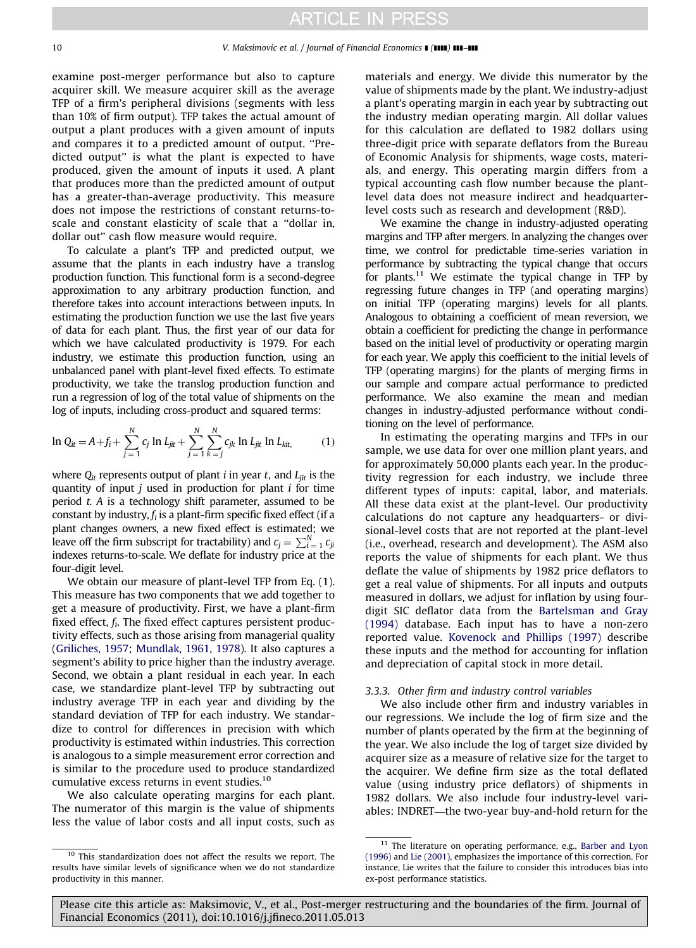examine post-merger performance but also to capture acquirer skill. We measure acquirer skill as the average TFP of a firm's peripheral divisions (segments with less than 10% of firm output). TFP takes the actual amount of output a plant produces with a given amount of inputs and compares it to a predicted amount of output. ''Predicted output'' is what the plant is expected to have produced, given the amount of inputs it used. A plant that produces more than the predicted amount of output has a greater-than-average productivity. This measure does not impose the restrictions of constant returns-toscale and constant elasticity of scale that a ''dollar in, dollar out'' cash flow measure would require.

To calculate a plant's TFP and predicted output, we assume that the plants in each industry have a translog production function. This functional form is a second-degree approximation to any arbitrary production function, and therefore takes into account interactions between inputs. In estimating the production function we use the last five years of data for each plant. Thus, the first year of our data for which we have calculated productivity is 1979. For each industry, we estimate this production function, using an unbalanced panel with plant-level fixed effects. To estimate productivity, we take the translog production function and run a regression of log of the total value of shipments on the log of inputs, including cross-product and squared terms:

$$
\ln Q_{it} = A + f_i + \sum_{j=1}^{N} c_j \ln L_{jit} + \sum_{j=1}^{N} \sum_{k=j}^{N} c_{jk} \ln L_{jit} \ln L_{kit}
$$
 (1)

where  $Q_{it}$  represents output of plant *i* in year *t*, and  $L_{it}$  is the quantity of input  $j$  used in production for plant  $i$  for time period t. A is a technology shift parameter, assumed to be constant by industry,  $f_i$  is a plant-firm specific fixed effect (if a plant changes owners, a new fixed effect is estimated; we leave off the firm subscript for tractability) and  $c_j = \sum_{i=1}^{N} c_{ji}$ indexes returns-to-scale. We deflate for industry price at the four-digit level.

We obtain our measure of plant-level TFP from Eq. (1). This measure has two components that we add together to get a measure of productivity. First, we have a plant-firm fixed effect,  $f_i$ . The fixed effect captures persistent productivity effects, such as those arising from managerial quality ([Griliches, 1957;](#page-25-0) [Mundlak, 1961](#page-25-0), [1978\)](#page-25-0). It also captures a segment's ability to price higher than the industry average. Second, we obtain a plant residual in each year. In each case, we standardize plant-level TFP by subtracting out industry average TFP in each year and dividing by the standard deviation of TFP for each industry. We standardize to control for differences in precision with which productivity is estimated within industries. This correction is analogous to a simple measurement error correction and is similar to the procedure used to produce standardized cumulative excess returns in event studies.<sup>10</sup>

We also calculate operating margins for each plant. The numerator of this margin is the value of shipments less the value of labor costs and all input costs, such as

materials and energy. We divide this numerator by the value of shipments made by the plant. We industry-adjust a plant's operating margin in each year by subtracting out the industry median operating margin. All dollar values for this calculation are deflated to 1982 dollars using three-digit price with separate deflators from the Bureau of Economic Analysis for shipments, wage costs, materials, and energy. This operating margin differs from a typical accounting cash flow number because the plantlevel data does not measure indirect and headquarterlevel costs such as research and development (R&D).

We examine the change in industry-adjusted operating margins and TFP after mergers. In analyzing the changes over time, we control for predictable time-series variation in performance by subtracting the typical change that occurs for plants. $11$  We estimate the typical change in TFP by regressing future changes in TFP (and operating margins) on initial TFP (operating margins) levels for all plants. Analogous to obtaining a coefficient of mean reversion, we obtain a coefficient for predicting the change in performance based on the initial level of productivity or operating margin for each year. We apply this coefficient to the initial levels of TFP (operating margins) for the plants of merging firms in our sample and compare actual performance to predicted performance. We also examine the mean and median changes in industry-adjusted performance without conditioning on the level of performance.

In estimating the operating margins and TFPs in our sample, we use data for over one million plant years, and for approximately 50,000 plants each year. In the productivity regression for each industry, we include three different types of inputs: capital, labor, and materials. All these data exist at the plant-level. Our productivity calculations do not capture any headquarters- or divisional-level costs that are not reported at the plant-level (i.e., overhead, research and development). The ASM also reports the value of shipments for each plant. We thus deflate the value of shipments by 1982 price deflators to get a real value of shipments. For all inputs and outputs measured in dollars, we adjust for inflation by using fourdigit SIC deflator data from the [Bartelsman and Gray](#page-25-0) [\(1994\)](#page-25-0) database. Each input has to have a non-zero reported value. [Kovenock and Phillips \(1997\)](#page-25-0) describe these inputs and the method for accounting for inflation and depreciation of capital stock in more detail.

# 3.3.3. Other firm and industry control variables

We also include other firm and industry variables in our regressions. We include the log of firm size and the number of plants operated by the firm at the beginning of the year. We also include the log of target size divided by acquirer size as a measure of relative size for the target to the acquirer. We define firm size as the total deflated value (using industry price deflators) of shipments in 1982 dollars. We also include four industry-level variables: INDRET—the two-year buy-and-hold return for the

<sup>&</sup>lt;sup>10</sup> This standardization does not affect the results we report. The results have similar levels of significance when we do not standardize productivity in this manner.

<sup>&</sup>lt;sup>11</sup> The literature on operating performance, e.g., [Barber and Lyon](#page-25-0) [\(1996\)](#page-25-0) and [Lie \(2001\)](#page-25-0), emphasizes the importance of this correction. For instance, Lie writes that the failure to consider this introduces bias into ex-post performance statistics.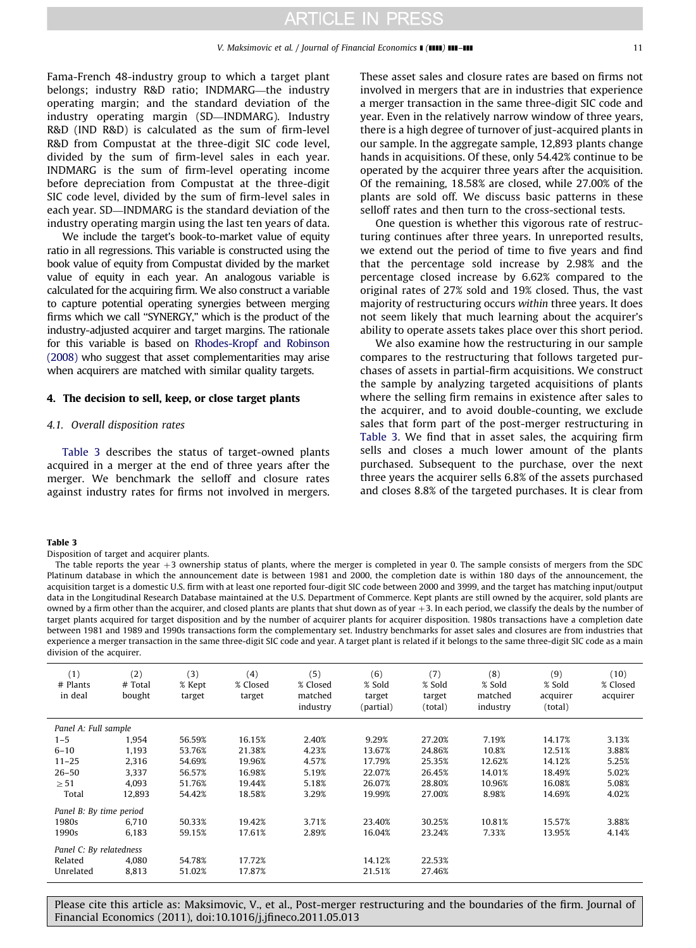<span id="page-10-0"></span>Fama-French 48-industry group to which a target plant belongs; industry R&D ratio; INDMARG—the industry operating margin; and the standard deviation of the industry operating margin (SD—INDMARG). Industry R&D (IND R&D) is calculated as the sum of firm-level R&D from Compustat at the three-digit SIC code level, divided by the sum of firm-level sales in each year. INDMARG is the sum of firm-level operating income before depreciation from Compustat at the three-digit SIC code level, divided by the sum of firm-level sales in each year. SD—INDMARG is the standard deviation of the industry operating margin using the last ten years of data.

We include the target's book-to-market value of equity ratio in all regressions. This variable is constructed using the book value of equity from Compustat divided by the market value of equity in each year. An analogous variable is calculated for the acquiring firm. We also construct a variable to capture potential operating synergies between merging firms which we call "SYNERGY," which is the product of the industry-adjusted acquirer and target margins. The rationale for this variable is based on [Rhodes-Kropf and Robinson](#page-25-0) [\(2008\)](#page-25-0) who suggest that asset complementarities may arise when acquirers are matched with similar quality targets.

### 4. The decision to sell, keep, or close target plants

### 4.1. Overall disposition rates

Table 3 describes the status of target-owned plants acquired in a merger at the end of three years after the merger. We benchmark the selloff and closure rates against industry rates for firms not involved in mergers.

# These asset sales and closure rates are based on firms not involved in mergers that are in industries that experience a merger transaction in the same three-digit SIC code and year. Even in the relatively narrow window of three years, there is a high degree of turnover of just-acquired plants in our sample. In the aggregate sample, 12,893 plants change hands in acquisitions. Of these, only 54.42% continue to be operated by the acquirer three years after the acquisition. Of the remaining, 18.58% are closed, while 27.00% of the plants are sold off. We discuss basic patterns in these selloff rates and then turn to the cross-sectional tests.

One question is whether this vigorous rate of restructuring continues after three years. In unreported results, we extend out the period of time to five years and find that the percentage sold increase by 2.98% and the percentage closed increase by 6.62% compared to the original rates of 27% sold and 19% closed. Thus, the vast majority of restructuring occurs within three years. It does not seem likely that much learning about the acquirer's ability to operate assets takes place over this short period.

We also examine how the restructuring in our sample compares to the restructuring that follows targeted purchases of assets in partial-firm acquisitions. We construct the sample by analyzing targeted acquisitions of plants where the selling firm remains in existence after sales to the acquirer, and to avoid double-counting, we exclude sales that form part of the post-merger restructuring in Table 3. We find that in asset sales, the acquiring firm sells and closes a much lower amount of the plants purchased. Subsequent to the purchase, over the next three years the acquirer sells 6.8% of the assets purchased and closes 8.8% of the targeted purchases. It is clear from

#### Table 3

Disposition of target and acquirer plants.

The table reports the year  $+3$  ownership status of plants, where the merger is completed in year 0. The sample consists of mergers from the SDC Platinum database in which the announcement date is between 1981 and 2000, the completion date is within 180 days of the announcement, the acquisition target is a domestic U.S. firm with at least one reported four-digit SIC code between 2000 and 3999, and the target has matching input/output data in the Longitudinal Research Database maintained at the U.S. Department of Commerce. Kept plants are still owned by the acquirer, sold plants are owned by a firm other than the acquirer, and closed plants are plants that shut down as of year  $+3$ . In each period, we classify the deals by the number of target plants acquired for target disposition and by the number of acquirer plants for acquirer disposition. 1980s transactions have a completion date between 1981 and 1989 and 1990s transactions form the complementary set. Industry benchmarks for asset sales and closures are from industries that experience a merger transaction in the same three-digit SIC code and year. A target plant is related if it belongs to the same three-digit SIC code as a main division of the acquirer.

| (1)<br># Plants<br>in deal | (2)<br># Total<br>bought | (3)<br>% Kept<br>target | (4)<br>% Closed<br>target | (5)<br>% Closed<br>matched<br>industry | (6)<br>% Sold<br>target<br>(partial) | (7)<br>% Sold<br>target<br>(total) | (8)<br>% Sold<br>matched<br>industry | (9)<br>% Sold<br>acquirer<br>(total) | (10)<br>% Closed<br>acquirer |
|----------------------------|--------------------------|-------------------------|---------------------------|----------------------------------------|--------------------------------------|------------------------------------|--------------------------------------|--------------------------------------|------------------------------|
| Panel A: Full sample       |                          |                         |                           |                                        |                                      |                                    |                                      |                                      |                              |
| $1 - 5$                    | 1.954                    | 56.59%                  | 16.15%                    | 2.40%                                  | 9.29%                                | 27.20%                             | 7.19%                                | 14.17%                               | 3.13%                        |
| $6 - 10$                   | 1.193                    | 53.76%                  | 21.38%                    | 4.23%                                  | 13.67%                               | 24.86%                             | 10.8%                                | 12.51%                               | 3.88%                        |
| $11 - 25$                  | 2,316                    | 54.69%                  | 19.96%                    | 4.57%                                  | 17.79%                               | 25.35%                             | 12.62%                               | 14.12%                               | 5.25%                        |
| $26 - 50$                  | 3,337                    | 56.57%                  | 16.98%                    | 5.19%                                  | 22.07%                               | 26.45%                             | 14.01%                               | 18.49%                               | 5.02%                        |
| $\geq 51$                  | 4,093                    | 51.76%                  | 19.44%                    | 5.18%                                  | 26.07%                               | 28.80%                             | 10.96%                               | 16.08%                               | 5.08%                        |
| Total                      | 12,893                   | 54.42%                  | 18.58%                    | 3.29%                                  | 19.99%                               | 27.00%                             | 8.98%                                | 14.69%                               | 4.02%                        |
| Panel B: By time period    |                          |                         |                           |                                        |                                      |                                    |                                      |                                      |                              |
| 1980s                      | 6.710                    | 50.33%                  | 19.42%                    | 3.71%                                  | 23.40%                               | 30.25%                             | 10.81%                               | 15.57%                               | 3.88%                        |
| 1990s                      | 6,183                    | 59.15%                  | 17.61%                    | 2.89%                                  | 16.04%                               | 23.24%                             | 7.33%                                | 13.95%                               | 4.14%                        |
| Panel C: By relatedness    |                          |                         |                           |                                        |                                      |                                    |                                      |                                      |                              |
| Related                    | 4,080                    | 54.78%                  | 17.72%                    |                                        | 14.12%                               | 22.53%                             |                                      |                                      |                              |
| Unrelated                  | 8,813                    | 51.02%                  | 17.87%                    |                                        | 21.51%                               | 27.46%                             |                                      |                                      |                              |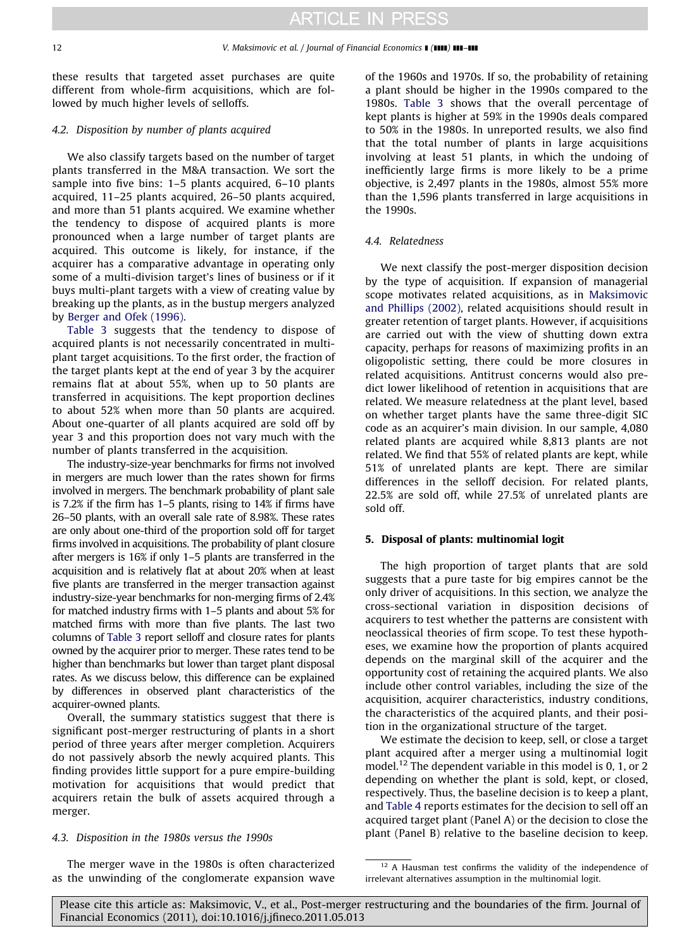these results that targeted asset purchases are quite different from whole-firm acquisitions, which are followed by much higher levels of selloffs.

# 4.2. Disposition by number of plants acquired

We also classify targets based on the number of target plants transferred in the M&A transaction. We sort the sample into five bins: 1–5 plants acquired, 6–10 plants acquired, 11–25 plants acquired, 26–50 plants acquired, and more than 51 plants acquired. We examine whether the tendency to dispose of acquired plants is more pronounced when a large number of target plants are acquired. This outcome is likely, for instance, if the acquirer has a comparative advantage in operating only some of a multi-division target's lines of business or if it buys multi-plant targets with a view of creating value by breaking up the plants, as in the bustup mergers analyzed by [Berger and Ofek \(1996\)](#page-25-0).

[Table 3](#page-10-0) suggests that the tendency to dispose of acquired plants is not necessarily concentrated in multiplant target acquisitions. To the first order, the fraction of the target plants kept at the end of year 3 by the acquirer remains flat at about 55%, when up to 50 plants are transferred in acquisitions. The kept proportion declines to about 52% when more than 50 plants are acquired. About one-quarter of all plants acquired are sold off by year 3 and this proportion does not vary much with the number of plants transferred in the acquisition.

The industry-size-year benchmarks for firms not involved in mergers are much lower than the rates shown for firms involved in mergers. The benchmark probability of plant sale is 7.2% if the firm has 1–5 plants, rising to 14% if firms have 26–50 plants, with an overall sale rate of 8.98%. These rates are only about one-third of the proportion sold off for target firms involved in acquisitions. The probability of plant closure after mergers is 16% if only 1–5 plants are transferred in the acquisition and is relatively flat at about 20% when at least five plants are transferred in the merger transaction against industry-size-year benchmarks for non-merging firms of 2.4% for matched industry firms with 1–5 plants and about 5% for matched firms with more than five plants. The last two columns of [Table 3](#page-10-0) report selloff and closure rates for plants owned by the acquirer prior to merger. These rates tend to be higher than benchmarks but lower than target plant disposal rates. As we discuss below, this difference can be explained by differences in observed plant characteristics of the acquirer-owned plants.

Overall, the summary statistics suggest that there is significant post-merger restructuring of plants in a short period of three years after merger completion. Acquirers do not passively absorb the newly acquired plants. This finding provides little support for a pure empire-building motivation for acquisitions that would predict that acquirers retain the bulk of assets acquired through a merger.

## 4.3. Disposition in the 1980s versus the 1990s

The merger wave in the 1980s is often characterized as the unwinding of the conglomerate expansion wave of the 1960s and 1970s. If so, the probability of retaining a plant should be higher in the 1990s compared to the 1980s. [Table 3](#page-10-0) shows that the overall percentage of kept plants is higher at 59% in the 1990s deals compared to 50% in the 1980s. In unreported results, we also find that the total number of plants in large acquisitions involving at least 51 plants, in which the undoing of inefficiently large firms is more likely to be a prime objective, is 2,497 plants in the 1980s, almost 55% more than the 1,596 plants transferred in large acquisitions in the 1990s.

# 4.4. Relatedness

We next classify the post-merger disposition decision by the type of acquisition. If expansion of managerial scope motivates related acquisitions, as in [Maksimovic](#page-25-0) [and Phillips \(2002\)](#page-25-0), related acquisitions should result in greater retention of target plants. However, if acquisitions are carried out with the view of shutting down extra capacity, perhaps for reasons of maximizing profits in an oligopolistic setting, there could be more closures in related acquisitions. Antitrust concerns would also predict lower likelihood of retention in acquisitions that are related. We measure relatedness at the plant level, based on whether target plants have the same three-digit SIC code as an acquirer's main division. In our sample, 4,080 related plants are acquired while 8,813 plants are not related. We find that 55% of related plants are kept, while 51% of unrelated plants are kept. There are similar differences in the selloff decision. For related plants, 22.5% are sold off, while 27.5% of unrelated plants are sold off.

# 5. Disposal of plants: multinomial logit

The high proportion of target plants that are sold suggests that a pure taste for big empires cannot be the only driver of acquisitions. In this section, we analyze the cross-sectional variation in disposition decisions of acquirers to test whether the patterns are consistent with neoclassical theories of firm scope. To test these hypotheses, we examine how the proportion of plants acquired depends on the marginal skill of the acquirer and the opportunity cost of retaining the acquired plants. We also include other control variables, including the size of the acquisition, acquirer characteristics, industry conditions, the characteristics of the acquired plants, and their position in the organizational structure of the target.

We estimate the decision to keep, sell, or close a target plant acquired after a merger using a multinomial logit model.<sup>12</sup> The dependent variable in this model is 0, 1, or 2 depending on whether the plant is sold, kept, or closed, respectively. Thus, the baseline decision is to keep a plant, and [Table 4](#page-12-0) reports estimates for the decision to sell off an acquired target plant (Panel A) or the decision to close the plant (Panel B) relative to the baseline decision to keep.

 $12$  A Hausman test confirms the validity of the independence of irrelevant alternatives assumption in the multinomial logit.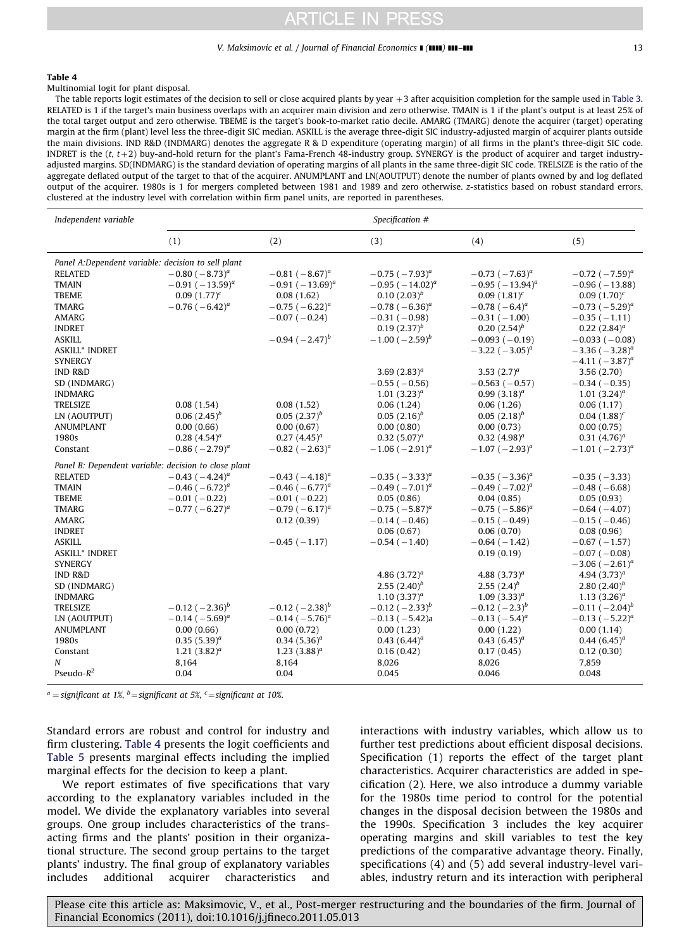#### <span id="page-12-0"></span>Table 4

Multinomial logit for plant disposal.

The table reports logit estimates of the decision to sell or close acquired plants by year  $+3$  after acquisition completion for the sample used in [Table 3.](#page-10-0) RELATED is 1 if the target's main business overlaps with an acquirer main division and zero otherwise. TMAIN is 1 if the plant's output is at least 25% of the total target output and zero otherwise. TBEME is the target's book-to-market ratio decile. AMARG (TMARG) denote the acquirer (target) operating margin at the firm (plant) level less the three-digit SIC median. ASKILL is the average three-digit SIC industry-adjusted margin of acquirer plants outside the main divisions. IND R&D (INDMARG) denotes the aggregate R & D expenditure (operating margin) of all firms in the plant's three-digit SIC code. INDRET is the  $(t, t+2)$  buy-and-hold return for the plant's Fama-French 48-industry group. SYNERGY is the product of acquirer and target industryadjusted margins. SD(INDMARG) is the standard deviation of operating margins of all plants in the same three-digit SIC code. TRELSIZE is the ratio of the aggregate deflated output of the target to that of the acquirer. ANUMPLANT and LN(AOUTPUT) denote the number of plants owned by and log deflated output of the acquirer. 1980s is 1 for mergers completed between 1981 and 1989 and zero otherwise. z-statistics based on robust standard errors, clustered at the industry level with correlation within firm panel units, are reported in parentheses.

| Independent variable                                 |                                  |                                  | Specification #                   |                                   |                                  |  |
|------------------------------------------------------|----------------------------------|----------------------------------|-----------------------------------|-----------------------------------|----------------------------------|--|
|                                                      | (1)                              | (2)                              | (3)                               | (4)                               | (5)                              |  |
| Panel A:Dependent variable: decision to sell plant   |                                  |                                  |                                   |                                   |                                  |  |
| <b>RELATED</b>                                       | $-0.80$ ( $-8.73$ ) <sup>a</sup> | $-0.81$ ( $-8.67$ ) <sup>a</sup> | $-0.75$ ( $-7.93$ ) <sup>a</sup>  | $-0.73$ ( $-7.63$ ) <sup>a</sup>  | $-0.72$ ( $-7.59$ ) <sup>a</sup> |  |
| <b>TMAIN</b>                                         | $-0.91(-13.59)^{a}$              | $-0.91(-13.69)^{a}$              | $-0.95$ ( $-14.02$ ) <sup>a</sup> | $-0.95$ ( $-13.94$ ) <sup>a</sup> | $-0.96(-13.88)$                  |  |
| <b>TBEME</b>                                         | $0.09(1.77)^c$                   | 0.08(1.62)                       | $(0.10~(2.03)^b)$                 | $0.09(1.81)^c$                    | $0.09(1.70)^c$                   |  |
| <b>TMARG</b>                                         | $-0.76$ ( $-6.42$ ) <sup>a</sup> | $-0.75$ ( $-6.22$ ) <sup>a</sup> | $-0.78(-6.36)^a$                  | $-0.78(-6.4)^{a}$                 | $-0.73$ ( $-5.29$ ) <sup>a</sup> |  |
| AMARG                                                |                                  | $-0.07(-0.24)$                   | $-0.31(-0.98)$                    | $-0.31(-1.00)$                    | $-0.35(-1.11)$                   |  |
| <b>INDRET</b>                                        |                                  |                                  | $0.19(2.37)^b$                    | $0.20(2.54)^b$                    | $0.22$ $(2.84)^{a}$              |  |
| ASKILL                                               |                                  | $-0.94(-2.47)^{b}$               | $-1.00$ ( $-2.59$ ) <sup>b</sup>  | $-0.093(-0.19)$                   | $-0.033(-0.08)$                  |  |
| <b>ASKILL* INDRET</b>                                |                                  |                                  |                                   | $-3.22$ ( $-3.05$ ) <sup>a</sup>  | $-3.36(-3.28)^{a}$               |  |
| <b>SYNERGY</b>                                       |                                  |                                  |                                   |                                   | $-4.11(-3.87)^{a}$               |  |
| <b>IND R&amp;D</b>                                   |                                  |                                  | 3.69 $(2.83)^{a}$                 | 3.53 $(2.7)^a$                    | 3.56(2.70)                       |  |
| SD (INDMARG)                                         |                                  |                                  | $-0.55(-0.56)$                    | $-0.563(-0.57)$                   | $-0.34(-0.35)$                   |  |
| <b>INDMARG</b>                                       |                                  |                                  | $1.01(3.23)^a$                    | $0.99(3.18)^a$                    | 1.01 $(3.24)^a$                  |  |
| <b>TRELSIZE</b>                                      | 0.08(1.54)                       | 0.08(1.52)                       | 0.06(1.24)                        | 0.06(1.26)                        | 0.06(1.17)                       |  |
| LN (AOUTPUT)                                         | $0.06(2.45)^{b}$                 | $0.05(2.37)^b$                   | $0.05(2.16)^b$                    | $0.05(2.18)^b$                    | $0.04~(1.88)^c$                  |  |
| ANUMPLANT                                            | 0.00(0.66)                       | 0.00(0.67)                       | 0.00(0.80)                        | 0.00(0.73)                        | 0.00(0.75)                       |  |
| 1980s                                                | 0.28 $(4.54)^a$                  | $0.27$ $(4.45)^{a}$              | $0.32$ $(5.07)^a$                 | 0.32 $(4.98)^{a}$                 | 0.31 $(4.76)^a$                  |  |
| Constant                                             | $-0.86$ ( $-2.79$ ) <sup>a</sup> | $-0.82$ ( $-2.63$ ) <sup>a</sup> | $-1.06$ ( $-2.91$ ) <sup>a</sup>  | $-1.07(-2.93)^{a}$                | $-1.01$ ( $-2.73$ ) <sup>a</sup> |  |
| Panel B: Dependent variable: decision to close plant |                                  |                                  |                                   |                                   |                                  |  |
| <b>RELATED</b>                                       | $-0.43$ ( $-4.24$ ) <sup>a</sup> | $-0.43$ ( $-4.18$ ) <sup>a</sup> | $-0.35(-3.33)^{a}$                | $-0.35$ ( $-3.36$ ) <sup>a</sup>  | $-0.35(-3.33)$                   |  |
| <b>TMAIN</b>                                         | $-0.46$ ( $-6.72$ ) <sup>a</sup> | $-0.46$ ( $-6.77$ ) <sup>a</sup> | $-0.49$ ( $-7.01$ ) <sup>a</sup>  | $-0.49(-7.02)^{a}$                | $-0.48$ ( $-6.68$ )              |  |
| <b>TBEME</b>                                         | $-0.01(-0.22)$                   | $-0.01$ ( $-0.22$ )              | 0.05(0.86)                        | 0.04(0.85)                        | 0.05(0.93)                       |  |
| <b>TMARG</b>                                         | $-0.77(-6.27)^{a}$               | $-0.79(-6.17)^{a}$               | $-0.75$ ( $-5.87$ ) <sup>a</sup>  | $-0.75$ ( $-5.86$ ) <sup>a</sup>  | $-0.64(-4.07)$                   |  |
| <b>AMARG</b>                                         |                                  | 0.12(0.39)                       | $-0.14(-0.46)$                    | $-0.15(-0.49)$                    | $-0.15(-0.46)$                   |  |
| <b>INDRET</b>                                        |                                  |                                  | 0.06(0.67)                        | 0.06(0.70)                        | 0.08(0.96)                       |  |
| ASKILL                                               |                                  | $-0.45(-1.17)$                   | $-0.54(-1.40)$                    | $-0.64(-1.42)$                    | $-0.67(-1.57)$                   |  |
| <b>ASKILL* INDRET</b>                                |                                  |                                  |                                   | 0.19(0.19)                        | $-0.07(-0.08)$                   |  |
| <b>SYNERGY</b>                                       |                                  |                                  |                                   |                                   | $-3.06$ ( $-2.61$ ) <sup>a</sup> |  |
| <b>IND R&amp;D</b>                                   |                                  |                                  | 4.86 $(3.72)^a$                   | 4.88 $(3.73)^a$                   | 4.94 $(3.73)^a$                  |  |
| SD (INDMARG)                                         |                                  |                                  | 2.55 $(2.40)^b$                   | $2.55(2.4)^b$                     | 2.80 $(2.40)^b$                  |  |
| <b>INDMARG</b>                                       |                                  |                                  | 1.10 $(3.37)^a$                   | $1.09(3.33)^{a}$                  | 1.13 $(3.26)^a$                  |  |
| <b>TRELSIZE</b>                                      | $-0.12$ ( $-2.36$ ) <sup>b</sup> | $-0.12$ ( $-2.38$ ) <sup>b</sup> | $-0.12$ ( $-2.33$ ) <sup>b</sup>  | $-0.12$ ( $-2.3$ ) <sup>b</sup>   | $-0.11(-2.04)^{b}$               |  |
| LN (AOUTPUT)                                         | $-0.14$ ( $-5.69$ <sup>a</sup>   | $-0.14$ ( $-5.76$ ) <sup>a</sup> | $-0.13$ ( $-5.42$ )a              | $-0.13$ ( $-5.4$ ) <sup>a</sup>   | $-0.13$ ( $-5.22$ ) <sup>a</sup> |  |
| ANUMPLANT                                            | 0.00(0.66)                       | 0.00(0.72)                       | 0.00(1.23)                        | 0.00(1.22)                        | 0.00(1.14)                       |  |
| 1980s                                                | $0.35(5.39)^{a}$                 | $0.34$ $(5.36)^{a}$              | 0.43 $(6.44)^a$                   | 0.43 $(6.45)^a$                   | 0.44 $(6.45)^a$                  |  |
| Constant<br>N                                        | 1.21 $(3.82)^a$                  | 1.23 $(3.88)^a$                  | 0.16(0.42)                        | 0.17(0.45)                        | 0.12(0.30)                       |  |
| Pseudo- $R^2$                                        | 8,164<br>0.04                    | 8,164<br>0.04                    | 8,026<br>0.045                    | 8,026<br>0.046                    | 7,859<br>0.048                   |  |
|                                                      |                                  |                                  |                                   |                                   |                                  |  |

 $a =$  significant at 1%,  $b =$ significant at 5%,  $c =$ significant at 10%.

Standard errors are robust and control for industry and firm clustering. Table 4 presents the logit coefficients and [Table 5](#page-13-0) presents marginal effects including the implied marginal effects for the decision to keep a plant.

We report estimates of five specifications that vary according to the explanatory variables included in the model. We divide the explanatory variables into several groups. One group includes characteristics of the transacting firms and the plants' position in their organizational structure. The second group pertains to the target plants' industry. The final group of explanatory variables includes additional acquirer characteristics

interactions with industry variables, which allow us to further test predictions about efficient disposal decisions. Specification (1) reports the effect of the target plant characteristics. Acquirer characteristics are added in specification (2). Here, we also introduce a dummy variable for the 1980s time period to control for the potential changes in the disposal decision between the 1980s and the 1990s. Specification 3 includes the key acquirer operating margins and skill variables to test the key predictions of the comparative advantage theory. Finally, specifications (4) and (5) add several industry-level variables, industry return and its interaction with peripheral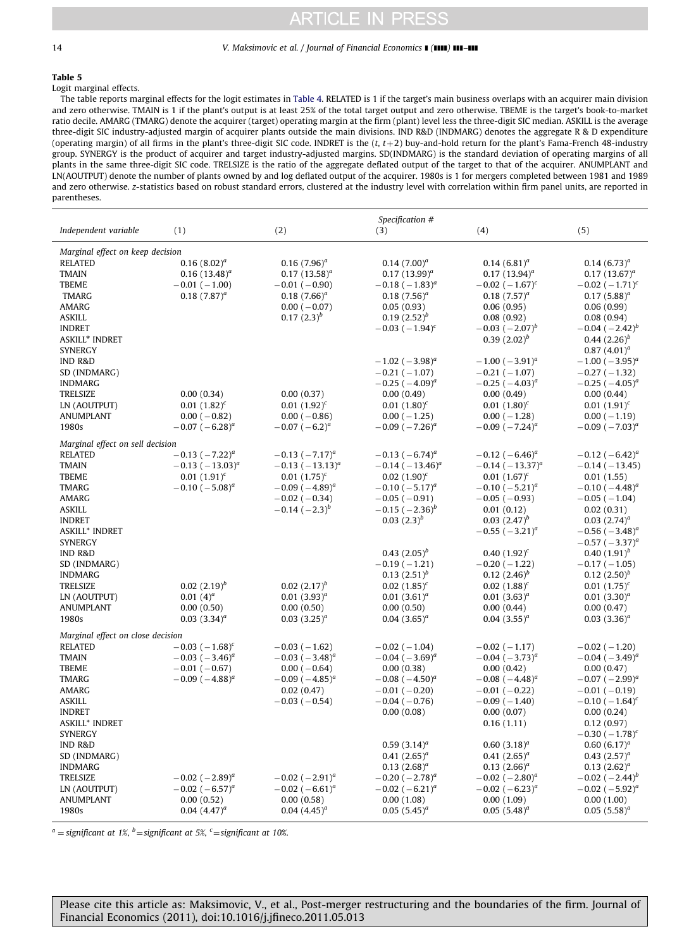#### <span id="page-13-0"></span>14 V. Maksimovic et al. / Journal of Financial Economics **[(IIII) III-III**

# Table 5

#### Logit marginal effects.

The table reports marginal effects for the logit estimates in [Table 4.](#page-12-0) RELATED is 1 if the target's main business overlaps with an acquirer main division and zero otherwise. TMAIN is 1 if the plant's output is at least 25% of the total target output and zero otherwise. TBEME is the target's book-to-market ratio decile. AMARG (TMARG) denote the acquirer (target) operating margin at the firm (plant) level less the three-digit SIC median. ASKILL is the average three-digit SIC industry-adjusted margin of acquirer plants outside the main divisions. IND R&D (INDMARG) denotes the aggregate R & D expenditure (operating margin) of all firms in the plant's three-digit SIC code. INDRET is the  $(t, t+2)$  buy-and-hold return for the plant's Fama-French 48-industry group. SYNERGY is the product of acquirer and target industry-adjusted margins. SD(INDMARG) is the standard deviation of operating margins of all plants in the same three-digit SIC code. TRELSIZE is the ratio of the aggregate deflated output of the target to that of the acquirer. ANUMPLANT and LN(AOUTPUT) denote the number of plants owned by and log deflated output of the acquirer. 1980s is 1 for mergers completed between 1981 and 1989 and zero otherwise. z-statistics based on robust standard errors, clustered at the industry level with correlation within firm panel units, are reported in parentheses.

|                                   |                                   |                                   | Specification #                                    |                                                |                                                |
|-----------------------------------|-----------------------------------|-----------------------------------|----------------------------------------------------|------------------------------------------------|------------------------------------------------|
| Independent variable              | (1)                               | (2)                               | (3)                                                | (4)                                            | (5)                                            |
|                                   |                                   |                                   |                                                    |                                                |                                                |
| Marginal effect on keep decision  |                                   |                                   |                                                    |                                                |                                                |
| <b>RELATED</b>                    | $0.16(8.02)^a$                    | $0.16(7.96)^{a}$                  | $0.14$ $(7.00)^a$                                  | $0.14~(6.81)^a$                                | $0.14~(6.73)^{a}$                              |
| <b>TMAIN</b>                      | $0.16$ (13.48) <sup>a</sup>       | $0.17(13.58)^{a}$                 | $0.17(13.99)^{a}$                                  | $0.17(13.94)^{a}$                              | $0.17(13.67)^{a}$                              |
| <b>TBEME</b>                      | $-0.01$ ( $-1.00$ )               | $-0.01(-0.90)$                    | $-0.18(-1.83)^{a}$                                 | $-0.02$ ( $-1.67$ ) <sup>c</sup>               | $-0.02$ ( $-1.71$ ) <sup>c</sup>               |
| TMARG                             | $0.18~(7.87)^a$                   | $0.18~(7.66)^a$                   | $0.18~(7.56)^{a}$                                  | $0.18~(7.57)^a$                                | $0.17(5.88)^{a}$                               |
| <b>AMARG</b>                      |                                   | $0.00 (-0.07)$                    | 0.05(0.93)                                         | 0.06(0.95)                                     | 0.06(0.99)                                     |
| <b>ASKILL</b>                     |                                   | $0.17(2.3)^{b}$                   | $0.19(2.52)^{b}$                                   | 0.08(0.92)                                     | 0.08(0.94)                                     |
| <b>INDRET</b>                     |                                   |                                   | $-0.03$ ( $-1.94$ <sup>c</sup> ) <sup>c</sup>      | $-0.03$ ( $-2.07$ ) <sup>b</sup>               | $-0.04$ ( $-2.42$ ) <sup>b</sup>               |
| <b>ASKILL* INDRET</b>             |                                   |                                   |                                                    | $0.39(2.02)^b$                                 | $0.44~(2.26)^b$                                |
| <b>SYNERGY</b>                    |                                   |                                   |                                                    |                                                | $0.87(4.01)^a$                                 |
| IND R&D                           |                                   |                                   | $-1.02$ ( $-3.98$ ) <sup>a</sup>                   | $-1.00$ ( $-3.91$ ) <sup>a</sup>               | $-1.00$ ( $-3.95$ ) <sup>a</sup>               |
| SD (INDMARG)                      |                                   |                                   | $-0.21(-1.07)$<br>$-0.25$ ( $-4.09$ ) <sup>a</sup> | $-0.21(-1.07)$                                 | $-0.27(-1.32)$                                 |
| <b>INDMARG</b><br><b>TRELSIZE</b> | 0.00(0.34)                        | 0.00(0.37)                        | 0.00(0.49)                                         | $-0.25$ ( $-4.03$ ) <sup>a</sup><br>0.00(0.49) | $-0.25$ ( $-4.05$ ) <sup>a</sup><br>0.00(0.44) |
| LN (AOUTPUT)                      | $0.01(1.82)^c$                    | $0.01(1.92)^c$                    | $0.01(1.80)^c$                                     | $0.01(1.80)^c$                                 | $0.01(1.91)^c$                                 |
| ANUMPLANT                         | $0.00 (-0.82)$                    | $0.00 (-0.86)$                    | $0.00 (-1.25)$                                     | $0.00 (-1.28)$                                 | $0.00(-1.19)$                                  |
| 1980s                             | $-0.07(-6.28)^{a}$                | $-0.07(-6.2)^{a}$                 | $-0.09$ ( $-7.26$ ) <sup>a</sup>                   | $-0.09$ ( $-7.24$ ) <sup>a</sup>               | $-0.09$ ( $-7.03$ ) <sup>a</sup>               |
|                                   |                                   |                                   |                                                    |                                                |                                                |
| Marginal effect on sell decision  |                                   |                                   |                                                    |                                                |                                                |
| <b>RELATED</b>                    | $-0.13$ ( $-7.22$ ) <sup>a</sup>  | $-0.13$ ( $-7.17$ ) <sup>a</sup>  | $-0.13$ ( $-6.74$ ) <sup>a</sup>                   | $-0.12$ ( $-6.46$ ) <sup>a</sup>               | $-0.12$ ( $-6.42$ ) <sup>a</sup>               |
| <b>TMAIN</b>                      | $-0.13$ ( $-13.03$ ) <sup>a</sup> | $-0.13$ ( $-13.13$ ) <sup>a</sup> | $-0.14$ ( $-13.46$ ) <sup>a</sup>                  | $-0.14$ ( $-13.37$ ) <sup>a</sup>              | $-0.14(-13.45)$                                |
| <b>TBEME</b>                      | $0.01(1.91)^c$                    | $0.01(1.75)^c$                    | $0.02(1.90)^c$                                     | $0.01~(1.67)^c$                                | 0.01(1.55)                                     |
| <b>TMARG</b>                      | $-0.10$ ( $-5.08$ ) <sup>a</sup>  | $-0.09(-4.89)^{a}$                | $-0.10$ ( $-5.17$ ) <sup>a</sup>                   | $-0.10$ ( $-5.21$ ) <sup>a</sup>               | $-0.10$ ( $-4.48$ ) <sup>a</sup>               |
| <b>AMARG</b>                      |                                   | $-0.02$ ( $-0.34$ )               | $-0.05$ ( $-0.91$ )                                | $-0.05$ ( $-0.93$ )                            | $-0.05$ ( $-1.04$ )                            |
| <b>ASKILL</b>                     |                                   | $-0.14$ ( $-2.3$ ) <sup>b</sup>   | $-0.15$ ( $-2.36$ ) <sup>b</sup>                   | 0.01(0.12)                                     | 0.02(0.31)                                     |
| <b>INDRET</b>                     |                                   |                                   | $0.03(2.3)^{b}$                                    | $0.03~(2.47)^{p}$                              | $0.03~(2.74)^a$                                |
| <b>ASKILL* INDRET</b>             |                                   |                                   |                                                    | $-0.55$ ( $-3.21$ ) <sup>a</sup>               | $-0.56$ ( $-3.48$ ) <sup>a</sup>               |
| <b>SYNERGY</b>                    |                                   |                                   |                                                    |                                                | $-0.57(-3.37)^{a}$                             |
| IND R&D                           |                                   |                                   | $0.43(2.05)^{b}$<br>$-0.19(-1.21)$                 | $0.40~(1.92)^c$<br>$-0.20(-1.22)$              | $0.40(1.91)^{b}$<br>$-0.17(-1.05)$             |
| SD (INDMARG)<br><b>INDMARG</b>    |                                   |                                   | $0.13(2.51)^b$                                     | $0.12~(2.46)^b$                                | $0.12~(2.50)^b$                                |
| TRELSIZE                          | $0.02$ $(2.19)^b$                 | $0.02$ $(2.17)^b$                 | $0.02$ $(1.85)^c$                                  | $0.02$ $(1.88)^c$                              | $0.01(1.75)^c$                                 |
| LN (AOUTPUT)                      | $0.01(4)^a$                       | $0.01(3.93)^a$                    | $0.01(3.61)^a$                                     | $0.01(3.63)^{a}$                               | $0.01(3.30)^a$                                 |
| ANUMPLANT                         | 0.00(0.50)                        | 0.00(0.50)                        | 0.00(0.50)                                         | 0.00(0.44)                                     | 0.00(0.47)                                     |
| 1980s                             | $0.03~(3.34)^{a}$                 | $0.03$ $(3.25)^{a}$               | $0.04$ $(3.65)^{a}$                                | $0.04$ $(3.55)^{a}$                            | $0.03~(3.36)^{a}$                              |
|                                   |                                   |                                   |                                                    |                                                |                                                |
| Marginal effect on close decision |                                   |                                   |                                                    |                                                |                                                |
| <b>RELATED</b>                    | $-0.03$ ( $-1.68$ ) <sup>c</sup>  | $-0.03$ ( $-1.62$ )               | $-0.02$ ( $-1.04$ )                                | $-0.02$ ( $-1.17$ )                            | $-0.02$ ( $-1.20$ )                            |
| <b>TMAIN</b>                      | $-0.03$ ( $-3.46$ ) <sup>a</sup>  | $-0.03$ ( $-3.48$ ) <sup>a</sup>  | $-0.04$ ( $-3.69$ ) <sup>a</sup>                   | $-0.04$ ( $-3.73$ ) <sup>a</sup>               | $-0.04$ ( $-3.49$ ) <sup>a</sup>               |
| <b>TBEME</b>                      | $-0.01$ ( $-0.67$ )               | $0.00 (-0.64)$                    | 0.00(0.38)                                         | 0.00(0.42)                                     | 0.00(0.47)                                     |
| <b>TMARG</b>                      | $-0.09$ ( $-4.88$ ) <sup>a</sup>  | $-0.09 ~ (-4.85)^a$               | $-0.08$ ( $-4.50$ ) <sup>a</sup>                   | $-0.08$ ( $-4.48$ ) <sup>a</sup>               | $-0.07(-2.99)^{a}$                             |
| <b>AMARG</b>                      |                                   | 0.02(0.47)                        | $-0.01$ ( $-0.20$ )                                | $-0.01$ ( $-0.22$ )                            | $-0.01(-0.19)$                                 |
| <b>ASKILL</b>                     |                                   | $-0.03$ ( $-0.54$ )               | $-0.04$ ( $-0.76$ )                                | $-0.09(-1.40)$                                 | $-0.10$ ( $-1.64$ ) <sup>c</sup>               |
| <b>INDRET</b>                     |                                   |                                   | 0.00(0.08)                                         | 0.00(0.07)                                     | 0.00(0.24)                                     |
| <b>ASKILL* INDRET</b>             |                                   |                                   |                                                    | 0.16(1.11)                                     | 0.12(0.97)                                     |
| <b>SYNERGY</b>                    |                                   |                                   |                                                    |                                                | $-0.30(-1.78)^c$                               |
| IND R&D                           |                                   |                                   | $0.59(3.14)^a$<br>$0.41~(2.65)^a$                  | $0.60(3.18)^{a}$<br>0.41 $(2.65)^a$            | $0.60~(6.17)^a$<br>0.43 $(2.57)^a$             |
| SD (INDMARG)<br><b>INDMARG</b>    |                                   |                                   | $0.13~(2.68)^a$                                    | $0.13~(2.66)^a$                                | $0.13$ $(2.62)^a$                              |
| <b>TRELSIZE</b>                   | $-0.02$ ( $-2.89$ ) <sup>a</sup>  | $-0.02$ ( $-2.91$ ) <sup>a</sup>  | $-0.20$ ( $-2.78$ ) <sup>a</sup>                   | $-0.02$ ( $-2.80$ ) <sup>a</sup>               | $-0.02$ ( $-2.44$ ) <sup>b</sup>               |
| LN (AOUTPUT)                      | $-0.02$ ( $-6.57$ ) <sup>a</sup>  | $-0.02$ ( $-6.61$ ) <sup>a</sup>  | $-0.02$ ( $-6.21$ ) <sup>a</sup>                   | $-0.02$ ( $-6.23$ ) <sup>a</sup>               | $-0.02$ ( $-5.92$ ) <sup>a</sup>               |
| ANUMPLANT                         | 0.00(0.52)                        | 0.00(0.58)                        | 0.00(1.08)                                         | 0.00(1.09)                                     | 0.00(1.00)                                     |
| 1980s                             | $0.04$ $(4.47)^{a}$               | $0.04$ $(4.45)^{a}$               | $0.05(5.45)^{a}$                                   | $0.05$ $(5.48)^{a}$                            | $0.05(5.58)^{a}$                               |
|                                   |                                   |                                   |                                                    |                                                |                                                |

 $a$  = significant at 1%,  $b$  = significant at 5%,  $c$  = significant at 10%.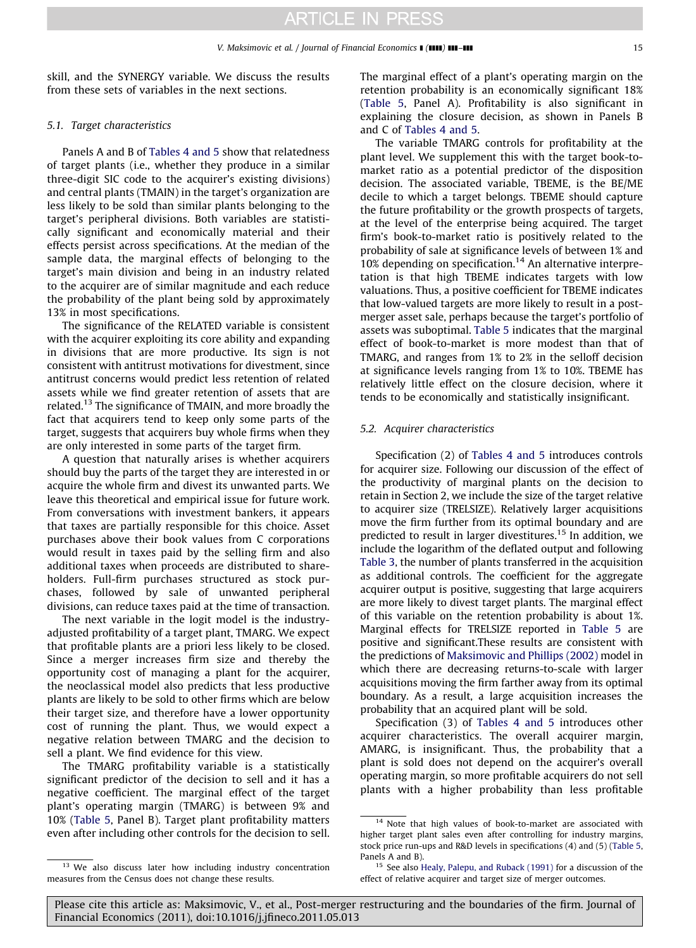skill, and the SYNERGY variable. We discuss the results from these sets of variables in the next sections.

#### 5.1. Target characteristics

Panels A and B of [Tables 4 and 5](#page-12-0) show that relatedness of target plants (i.e., whether they produce in a similar three-digit SIC code to the acquirer's existing divisions) and central plants (TMAIN) in the target's organization are less likely to be sold than similar plants belonging to the target's peripheral divisions. Both variables are statistically significant and economically material and their effects persist across specifications. At the median of the sample data, the marginal effects of belonging to the target's main division and being in an industry related to the acquirer are of similar magnitude and each reduce the probability of the plant being sold by approximately 13% in most specifications.

The significance of the RELATED variable is consistent with the acquirer exploiting its core ability and expanding in divisions that are more productive. Its sign is not consistent with antitrust motivations for divestment, since antitrust concerns would predict less retention of related assets while we find greater retention of assets that are related.13 The significance of TMAIN, and more broadly the fact that acquirers tend to keep only some parts of the target, suggests that acquirers buy whole firms when they are only interested in some parts of the target firm.

A question that naturally arises is whether acquirers should buy the parts of the target they are interested in or acquire the whole firm and divest its unwanted parts. We leave this theoretical and empirical issue for future work. From conversations with investment bankers, it appears that taxes are partially responsible for this choice. Asset purchases above their book values from C corporations would result in taxes paid by the selling firm and also additional taxes when proceeds are distributed to shareholders. Full-firm purchases structured as stock purchases, followed by sale of unwanted peripheral divisions, can reduce taxes paid at the time of transaction.

The next variable in the logit model is the industryadjusted profitability of a target plant, TMARG. We expect that profitable plants are a priori less likely to be closed. Since a merger increases firm size and thereby the opportunity cost of managing a plant for the acquirer, the neoclassical model also predicts that less productive plants are likely to be sold to other firms which are below their target size, and therefore have a lower opportunity cost of running the plant. Thus, we would expect a negative relation between TMARG and the decision to sell a plant. We find evidence for this view.

The TMARG profitability variable is a statistically significant predictor of the decision to sell and it has a negative coefficient. The marginal effect of the target plant's operating margin (TMARG) is between 9% and 10% ([Table 5,](#page-13-0) Panel B). Target plant profitability matters even after including other controls for the decision to sell. The marginal effect of a plant's operating margin on the retention probability is an economically significant 18% [\(Table 5](#page-13-0), Panel A). Profitability is also significant in explaining the closure decision, as shown in Panels B and C of [Tables 4 and 5](#page-12-0).

The variable TMARG controls for profitability at the plant level. We supplement this with the target book-tomarket ratio as a potential predictor of the disposition decision. The associated variable, TBEME, is the BE/ME decile to which a target belongs. TBEME should capture the future profitability or the growth prospects of targets, at the level of the enterprise being acquired. The target firm's book-to-market ratio is positively related to the probability of sale at significance levels of between 1% and  $10\%$  depending on specification.<sup>14</sup> An alternative interpretation is that high TBEME indicates targets with low valuations. Thus, a positive coefficient for TBEME indicates that low-valued targets are more likely to result in a postmerger asset sale, perhaps because the target's portfolio of assets was suboptimal. [Table 5](#page-13-0) indicates that the marginal effect of book-to-market is more modest than that of TMARG, and ranges from 1% to 2% in the selloff decision at significance levels ranging from 1% to 10%. TBEME has relatively little effect on the closure decision, where it tends to be economically and statistically insignificant.

#### 5.2. Acquirer characteristics

Specification (2) of [Tables 4 and 5](#page-12-0) introduces controls for acquirer size. Following our discussion of the effect of the productivity of marginal plants on the decision to retain in Section 2, we include the size of the target relative to acquirer size (TRELSIZE). Relatively larger acquisitions move the firm further from its optimal boundary and are predicted to result in larger divestitures.<sup>15</sup> In addition, we include the logarithm of the deflated output and following [Table 3](#page-10-0), the number of plants transferred in the acquisition as additional controls. The coefficient for the aggregate acquirer output is positive, suggesting that large acquirers are more likely to divest target plants. The marginal effect of this variable on the retention probability is about 1%. Marginal effects for TRELSIZE reported in [Table 5](#page-13-0) are positive and significant.These results are consistent with the predictions of [Maksimovic and Phillips \(2002\)](#page-25-0) model in which there are decreasing returns-to-scale with larger acquisitions moving the firm farther away from its optimal boundary. As a result, a large acquisition increases the probability that an acquired plant will be sold.

Specification (3) of [Tables 4 and 5](#page-12-0) introduces other acquirer characteristics. The overall acquirer margin, AMARG, is insignificant. Thus, the probability that a plant is sold does not depend on the acquirer's overall operating margin, so more profitable acquirers do not sell plants with a higher probability than less profitable

<sup>&</sup>lt;sup>13</sup> We also discuss later how including industry concentration measures from the Census does not change these results.

<sup>&</sup>lt;sup>14</sup> Note that high values of book-to-market are associated with higher target plant sales even after controlling for industry margins, stock price run-ups and R&D levels in specifications (4) and (5) [\(Table 5,](#page-13-0) Panels A and B).

<sup>&</sup>lt;sup>15</sup> See also [Healy, Palepu, and Ruback \(1991\)](#page-25-0) for a discussion of the effect of relative acquirer and target size of merger outcomes.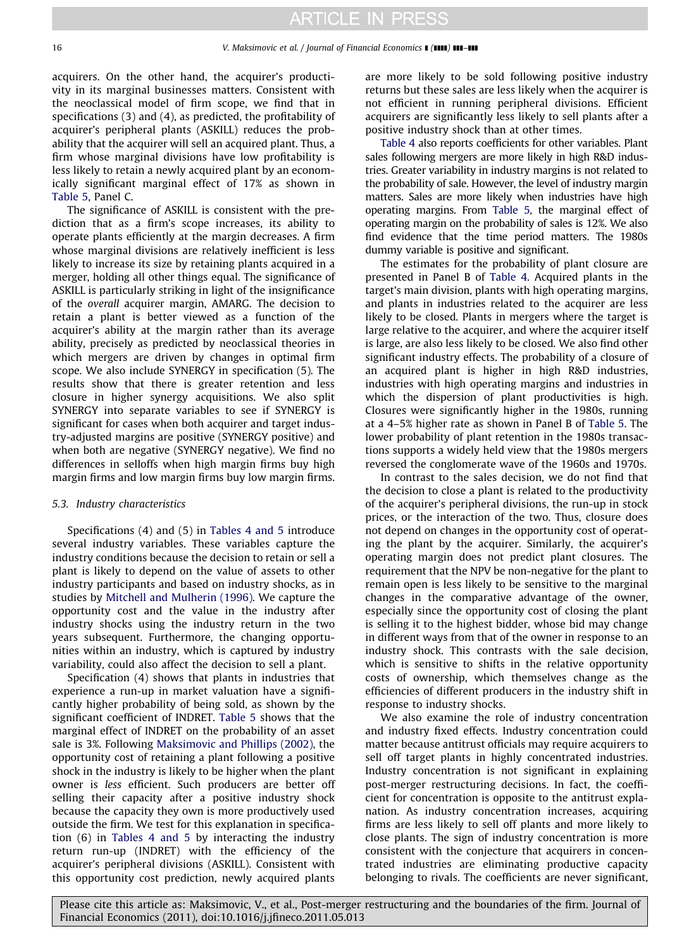acquirers. On the other hand, the acquirer's productivity in its marginal businesses matters. Consistent with the neoclassical model of firm scope, we find that in specifications (3) and (4), as predicted, the profitability of acquirer's peripheral plants (ASKILL) reduces the probability that the acquirer will sell an acquired plant. Thus, a firm whose marginal divisions have low profitability is less likely to retain a newly acquired plant by an economically significant marginal effect of 17% as shown in [Table 5](#page-13-0), Panel C.

The significance of ASKILL is consistent with the prediction that as a firm's scope increases, its ability to operate plants efficiently at the margin decreases. A firm whose marginal divisions are relatively inefficient is less likely to increase its size by retaining plants acquired in a merger, holding all other things equal. The significance of ASKILL is particularly striking in light of the insignificance of the overall acquirer margin, AMARG. The decision to retain a plant is better viewed as a function of the acquirer's ability at the margin rather than its average ability, precisely as predicted by neoclassical theories in which mergers are driven by changes in optimal firm scope. We also include SYNERGY in specification (5). The results show that there is greater retention and less closure in higher synergy acquisitions. We also split SYNERGY into separate variables to see if SYNERGY is significant for cases when both acquirer and target industry-adjusted margins are positive (SYNERGY positive) and when both are negative (SYNERGY negative). We find no differences in selloffs when high margin firms buy high margin firms and low margin firms buy low margin firms.

### 5.3. Industry characteristics

Specifications (4) and (5) in [Tables 4 and 5](#page-12-0) introduce several industry variables. These variables capture the industry conditions because the decision to retain or sell a plant is likely to depend on the value of assets to other industry participants and based on industry shocks, as in studies by [Mitchell and Mulherin \(1996\).](#page-25-0) We capture the opportunity cost and the value in the industry after industry shocks using the industry return in the two years subsequent. Furthermore, the changing opportunities within an industry, which is captured by industry variability, could also affect the decision to sell a plant.

Specification (4) shows that plants in industries that experience a run-up in market valuation have a significantly higher probability of being sold, as shown by the significant coefficient of INDRET. [Table 5](#page-13-0) shows that the marginal effect of INDRET on the probability of an asset sale is 3%. Following [Maksimovic and Phillips \(2002\),](#page-25-0) the opportunity cost of retaining a plant following a positive shock in the industry is likely to be higher when the plant owner is less efficient. Such producers are better off selling their capacity after a positive industry shock because the capacity they own is more productively used outside the firm. We test for this explanation in specification (6) in [Tables 4 and 5](#page-12-0) by interacting the industry return run-up (INDRET) with the efficiency of the acquirer's peripheral divisions (ASKILL). Consistent with this opportunity cost prediction, newly acquired plants

are more likely to be sold following positive industry returns but these sales are less likely when the acquirer is not efficient in running peripheral divisions. Efficient acquirers are significantly less likely to sell plants after a positive industry shock than at other times.

[Table 4](#page-12-0) also reports coefficients for other variables. Plant sales following mergers are more likely in high R&D industries. Greater variability in industry margins is not related to the probability of sale. However, the level of industry margin matters. Sales are more likely when industries have high operating margins. From [Table 5,](#page-13-0) the marginal effect of operating margin on the probability of sales is 12%. We also find evidence that the time period matters. The 1980s dummy variable is positive and significant.

The estimates for the probability of plant closure are presented in Panel B of [Table 4](#page-12-0). Acquired plants in the target's main division, plants with high operating margins, and plants in industries related to the acquirer are less likely to be closed. Plants in mergers where the target is large relative to the acquirer, and where the acquirer itself is large, are also less likely to be closed. We also find other significant industry effects. The probability of a closure of an acquired plant is higher in high R&D industries, industries with high operating margins and industries in which the dispersion of plant productivities is high. Closures were significantly higher in the 1980s, running at a 4–5% higher rate as shown in Panel B of [Table 5](#page-13-0). The lower probability of plant retention in the 1980s transactions supports a widely held view that the 1980s mergers reversed the conglomerate wave of the 1960s and 1970s.

In contrast to the sales decision, we do not find that the decision to close a plant is related to the productivity of the acquirer's peripheral divisions, the run-up in stock prices, or the interaction of the two. Thus, closure does not depend on changes in the opportunity cost of operating the plant by the acquirer. Similarly, the acquirer's operating margin does not predict plant closures. The requirement that the NPV be non-negative for the plant to remain open is less likely to be sensitive to the marginal changes in the comparative advantage of the owner, especially since the opportunity cost of closing the plant is selling it to the highest bidder, whose bid may change in different ways from that of the owner in response to an industry shock. This contrasts with the sale decision, which is sensitive to shifts in the relative opportunity costs of ownership, which themselves change as the efficiencies of different producers in the industry shift in response to industry shocks.

We also examine the role of industry concentration and industry fixed effects. Industry concentration could matter because antitrust officials may require acquirers to sell off target plants in highly concentrated industries. Industry concentration is not significant in explaining post-merger restructuring decisions. In fact, the coefficient for concentration is opposite to the antitrust explanation. As industry concentration increases, acquiring firms are less likely to sell off plants and more likely to close plants. The sign of industry concentration is more consistent with the conjecture that acquirers in concentrated industries are eliminating productive capacity belonging to rivals. The coefficients are never significant,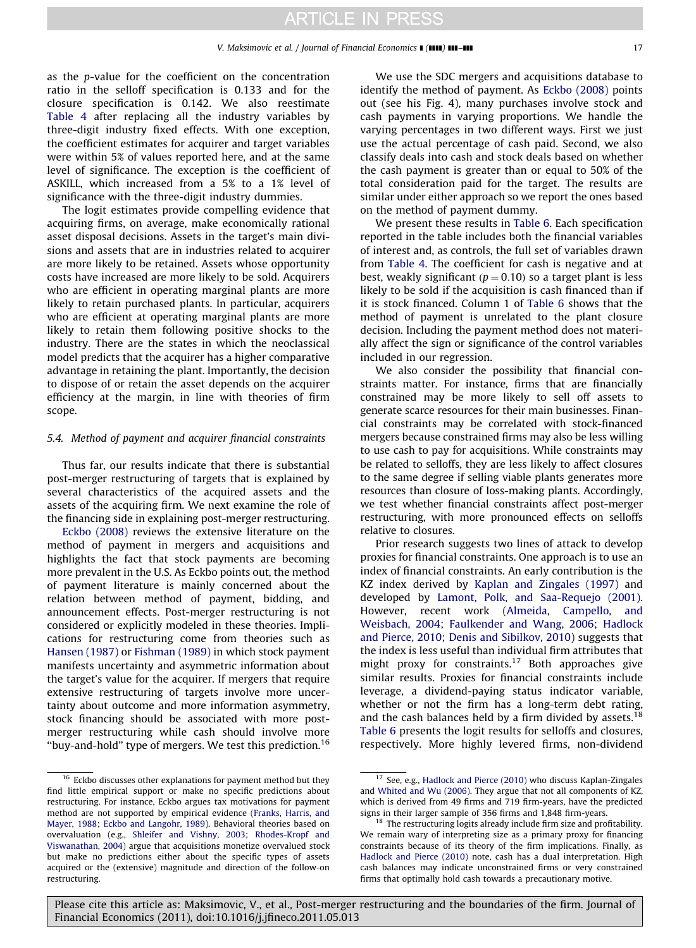as the p-value for the coefficient on the concentration ratio in the selloff specification is 0.133 and for the closure specification is 0.142. We also reestimate [Table 4](#page-12-0) after replacing all the industry variables by three-digit industry fixed effects. With one exception, the coefficient estimates for acquirer and target variables were within 5% of values reported here, and at the same level of significance. The exception is the coefficient of ASKILL, which increased from a 5% to a 1% level of significance with the three-digit industry dummies.

The logit estimates provide compelling evidence that acquiring firms, on average, make economically rational asset disposal decisions. Assets in the target's main divisions and assets that are in industries related to acquirer are more likely to be retained. Assets whose opportunity costs have increased are more likely to be sold. Acquirers who are efficient in operating marginal plants are more likely to retain purchased plants. In particular, acquirers who are efficient at operating marginal plants are more likely to retain them following positive shocks to the industry. There are the states in which the neoclassical model predicts that the acquirer has a higher comparative advantage in retaining the plant. Importantly, the decision to dispose of or retain the asset depends on the acquirer efficiency at the margin, in line with theories of firm scope.

#### 5.4. Method of payment and acquirer financial constraints

Thus far, our results indicate that there is substantial post-merger restructuring of targets that is explained by several characteristics of the acquired assets and the assets of the acquiring firm. We next examine the role of the financing side in explaining post-merger restructuring.

[Eckbo \(2008\)](#page-25-0) reviews the extensive literature on the method of payment in mergers and acquisitions and highlights the fact that stock payments are becoming more prevalent in the U.S. As Eckbo points out, the method of payment literature is mainly concerned about the relation between method of payment, bidding, and announcement effects. Post-merger restructuring is not considered or explicitly modeled in these theories. Implications for restructuring come from theories such as [Hansen \(1987\)](#page-25-0) or [Fishman \(1989\)](#page-25-0) in which stock payment manifests uncertainty and asymmetric information about the target's value for the acquirer. If mergers that require extensive restructuring of targets involve more uncertainty about outcome and more information asymmetry, stock financing should be associated with more postmerger restructuring while cash should involve more "buy-and-hold" type of mergers. We test this prediction.<sup>16</sup>

We use the SDC mergers and acquisitions database to identify the method of payment. As [Eckbo \(2008\)](#page-25-0) points out (see his Fig. 4), many purchases involve stock and cash payments in varying proportions. We handle the varying percentages in two different ways. First we just use the actual percentage of cash paid. Second, we also classify deals into cash and stock deals based on whether the cash payment is greater than or equal to 50% of the total consideration paid for the target. The results are similar under either approach so we report the ones based on the method of payment dummy.

We present these results in [Table 6.](#page-17-0) Each specification reported in the table includes both the financial variables of interest and, as controls, the full set of variables drawn from [Table 4.](#page-12-0) The coefficient for cash is negative and at best, weakly significant  $(p = 0.10)$  so a target plant is less likely to be sold if the acquisition is cash financed than if it is stock financed. Column 1 of [Table 6](#page-17-0) shows that the method of payment is unrelated to the plant closure decision. Including the payment method does not materially affect the sign or significance of the control variables included in our regression.

We also consider the possibility that financial constraints matter. For instance, firms that are financially constrained may be more likely to sell off assets to generate scarce resources for their main businesses. Financial constraints may be correlated with stock-financed mergers because constrained firms may also be less willing to use cash to pay for acquisitions. While constraints may be related to selloffs, they are less likely to affect closures to the same degree if selling viable plants generates more resources than closure of loss-making plants. Accordingly, we test whether financial constraints affect post-merger restructuring, with more pronounced effects on selloffs relative to closures.

Prior research suggests two lines of attack to develop proxies for financial constraints. One approach is to use an index of financial constraints. An early contribution is the KZ index derived by [Kaplan and Zingales \(1997\)](#page-25-0) and developed by [Lamont, Polk, and Saa-Requejo \(2001\)](#page-25-0). However, recent work ([Almeida, Campello, and](#page-25-0) [Weisbach, 2004;](#page-25-0) [Faulkender and Wang, 2006;](#page-25-0) [Hadlock](#page-25-0) [and Pierce, 2010;](#page-25-0) [Denis and Sibilkov, 2010\)](#page-25-0) suggests that the index is less useful than individual firm attributes that might proxy for constraints.<sup>17</sup> Both approaches give similar results. Proxies for financial constraints include leverage, a dividend-paying status indicator variable, whether or not the firm has a long-term debt rating, and the cash balances held by a firm divided by assets.<sup>18</sup> [Table 6](#page-17-0) presents the logit results for selloffs and closures, respectively. More highly levered firms, non-dividend

<sup>&</sup>lt;sup>16</sup> Eckbo discusses other explanations for payment method but they find little empirical support or make no specific predictions about restructuring. For instance, Eckbo argues tax motivations for payment method are not supported by empirical evidence ([Franks, Harris, and](#page-25-0) [Mayer, 1988](#page-25-0); [Eckbo and Langohr, 1989\)](#page-25-0). Behavioral theories based on overvaluation (e.g., [Shleifer and Vishny, 2003](#page-26-0); [Rhodes-Kropf and](#page-25-0) [Viswanathan, 2004](#page-25-0)) argue that acquisitions monetize overvalued stock but make no predictions either about the specific types of assets acquired or the (extensive) magnitude and direction of the follow-on restructuring.

<sup>17</sup> See, e.g., [Hadlock and Pierce \(2010\)](#page-25-0) who discuss Kaplan-Zingales and [Whited and Wu \(2006\).](#page-26-0) They argue that not all components of KZ, which is derived from 49 firms and 719 firm-years, have the predicted signs in their larger sample of 356 firms and 1,848 firm-years.

<sup>&</sup>lt;sup>18</sup> The restructuring logits already include firm size and profitability. We remain wary of interpreting size as a primary proxy for financing constraints because of its theory of the firm implications. Finally, as [Hadlock and Pierce \(2010\)](#page-25-0) note, cash has a dual interpretation. High cash balances may indicate unconstrained firms or very constrained firms that optimally hold cash towards a precautionary motive.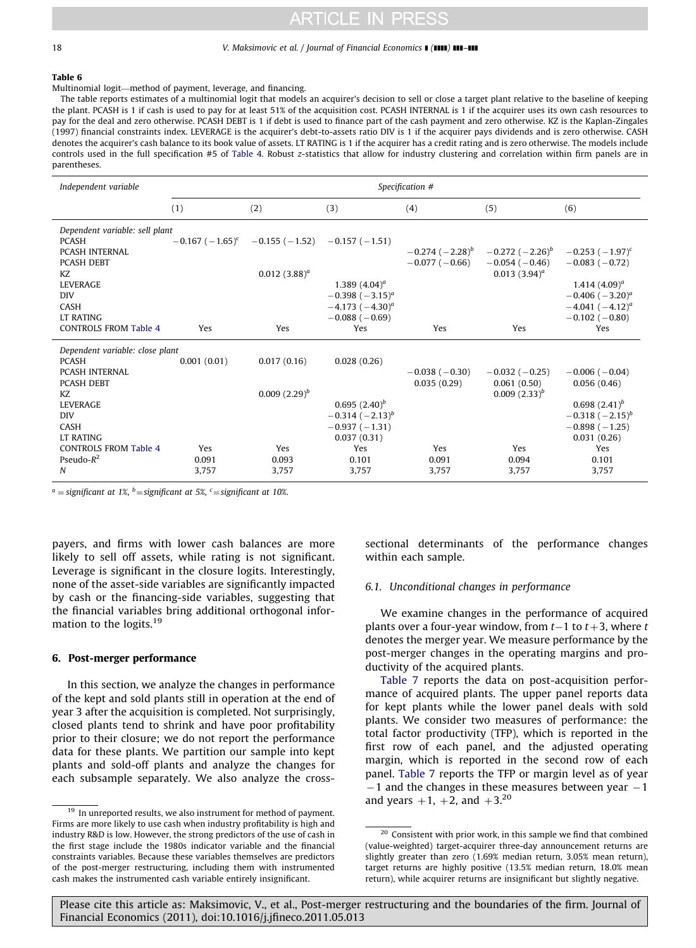#### <span id="page-17-0"></span>Table 6

Multinomial logit—method of payment, leverage, and financing.

The table reports estimates of a multinomial logit that models an acquirer's decision to sell or close a target plant relative to the baseline of keeping the plant. PCASH is 1 if cash is used to pay for at least 51% of the acquisition cost. PCASH INTERNAL is 1 if the acquirer uses its own cash resources to pay for the deal and zero otherwise. PCASH DEBT is 1 if debt is used to finance part of the cash payment and zero otherwise. KZ is the Kaplan-Zingales (1997) financial constraints index. LEVERAGE is the acquirer's debt-to-assets ratio DIV is 1 if the acquirer pays dividends and is zero otherwise. CASH denotes the acquirer's cash balance to its book value of assets. LT RATING is 1 if the acquirer has a credit rating and is zero otherwise. The models include controls used in the full specification #5 of [Table 4.](#page-12-0) Robust z-statistics that allow for industry clustering and correlation within firm panels are in parentheses.

| Independent variable                                                                                                                                              | Specification #       |                                                                                                 |                                                                                         |                                |                                                                                                                |                                                                                                                                                               |
|-------------------------------------------------------------------------------------------------------------------------------------------------------------------|-----------------------|-------------------------------------------------------------------------------------------------|-----------------------------------------------------------------------------------------|--------------------------------|----------------------------------------------------------------------------------------------------------------|---------------------------------------------------------------------------------------------------------------------------------------------------------------|
|                                                                                                                                                                   | (1)                   | (2)                                                                                             | (3)                                                                                     | (4)                            | (5)                                                                                                            | (6)                                                                                                                                                           |
| Dependent variable: sell plant<br><b>PCASH</b><br>PCASH INTERNAL<br><b>PCASH DEBT</b><br>KZ.<br><b>LEVERAGE</b><br><b>DIV</b><br>CASH<br><b>LT RATING</b>         |                       | $-0.167$ ( $-1.65$ ) <sup>c</sup> $-0.155$ ( $-1.52$ ) $-0.157$ ( $-1.51$ )<br>$0.012~(3.88)^a$ | 1.389 $(4.04)^a$<br>$-0.398(-3.15)^{a}$<br>$-4.173(-4.30)^{a}$<br>$-0.088(-0.69)$       | $-0.077(-0.66)$                | $-0.274$ ( $-2.28$ ) <sup>b</sup> $-0.272$ ( $-2.26$ ) <sup>b</sup><br>$-0.054$ ( $-0.46$ )<br>$0.013(3.94)^a$ | $-0.253$ ( $-1.97$ ) <sup>c</sup><br>$-0.083(-0.72)$<br>$1.414(4.09)^{a}$<br>$-0.406$ ( $-3.20$ ) <sup>a</sup><br>$-4.041(-4.12)^{a}$<br>$-0.102$ ( $-0.80$ ) |
| <b>CONTROLS FROM Table 4</b>                                                                                                                                      | Yes                   | Yes                                                                                             | Yes                                                                                     | Yes                            | Yes                                                                                                            | Yes                                                                                                                                                           |
| Dependent variable: close plant<br><b>PCASH</b><br><b>PCASH INTERNAL</b><br><b>PCASH DEBT</b><br>KZ.<br><b>LEVERAGE</b><br><b>DIV</b><br>CASH<br><b>LT RATING</b> | 0.001(0.01)           | 0.017(0.16)<br>$0.009(2.29)^b$                                                                  | 0.028(0.26)<br>$0.695(2.40)^b$<br>$-0.314(-2.13)^{b}$<br>$-0.937(-1.31)$<br>0.037(0.31) | $-0.038(-0.30)$<br>0.035(0.29) | $-0.032(-0.25)$<br>0.061(0.50)<br>$0.009(2.33)^{b}$                                                            | $-0.006$ ( $-0.04$ )<br>0.056(0.46)<br>$0.698(2.41)^{b}$<br>$-0.318(-2.15)^{b}$<br>$-0.898(-1.25)$<br>0.031(0.26)                                             |
| <b>CONTROLS FROM Table 4</b><br>Pseudo- $R^2$<br>N                                                                                                                | Yes<br>0.091<br>3.757 | Yes<br>0.093<br>3.757                                                                           | Yes<br>0.101<br>3.757                                                                   | Yes<br>0.091<br>3.757          | Yes<br>0.094<br>3.757                                                                                          | Yes<br>0.101<br>3.757                                                                                                                                         |

<sup>a</sup> = significant at 1%,  $b$  = significant at 5%, <sup>c</sup> = significant at 10%.

payers, and firms with lower cash balances are more likely to sell off assets, while rating is not significant. Leverage is significant in the closure logits. Interestingly, none of the asset-side variables are significantly impacted by cash or the financing-side variables, suggesting that the financial variables bring additional orthogonal information to the logits.<sup>19</sup>

# 6. Post-merger performance

In this section, we analyze the changes in performance of the kept and sold plants still in operation at the end of year 3 after the acquisition is completed. Not surprisingly, closed plants tend to shrink and have poor profitability prior to their closure; we do not report the performance data for these plants. We partition our sample into kept plants and sold-off plants and analyze the changes for each subsample separately. We also analyze the crosssectional determinants of the performance changes within each sample.

### 6.1. Unconditional changes in performance

We examine changes in the performance of acquired plants over a four-year window, from  $t-1$  to  $t+3$ , where t denotes the merger year. We measure performance by the post-merger changes in the operating margins and productivity of the acquired plants.

[Table 7](#page-18-0) reports the data on post-acquisition performance of acquired plants. The upper panel reports data for kept plants while the lower panel deals with sold plants. We consider two measures of performance: the total factor productivity (TFP), which is reported in the first row of each panel, and the adjusted operating margin, which is reported in the second row of each panel. [Table 7](#page-18-0) reports the TFP or margin level as of year  $-1$  and the changes in these measures between year  $-1$ and years  $+1$ ,  $+2$ , and  $+3.^{20}$ 

<sup>&</sup>lt;sup>19</sup> In unreported results, we also instrument for method of payment. Firms are more likely to use cash when industry profitability is high and industry R&D is low. However, the strong predictors of the use of cash in the first stage include the 1980s indicator variable and the financial constraints variables. Because these variables themselves are predictors of the post-merger restructuring, including them with instrumented cash makes the instrumented cash variable entirely insignificant.

<sup>&</sup>lt;sup>20</sup> Consistent with prior work, in this sample we find that combined (value-weighted) target-acquirer three-day announcement returns are slightly greater than zero (1.69% median return, 3.05% mean return), target returns are highly positive (13.5% median return, 18.0% mean return), while acquirer returns are insignificant but slightly negative.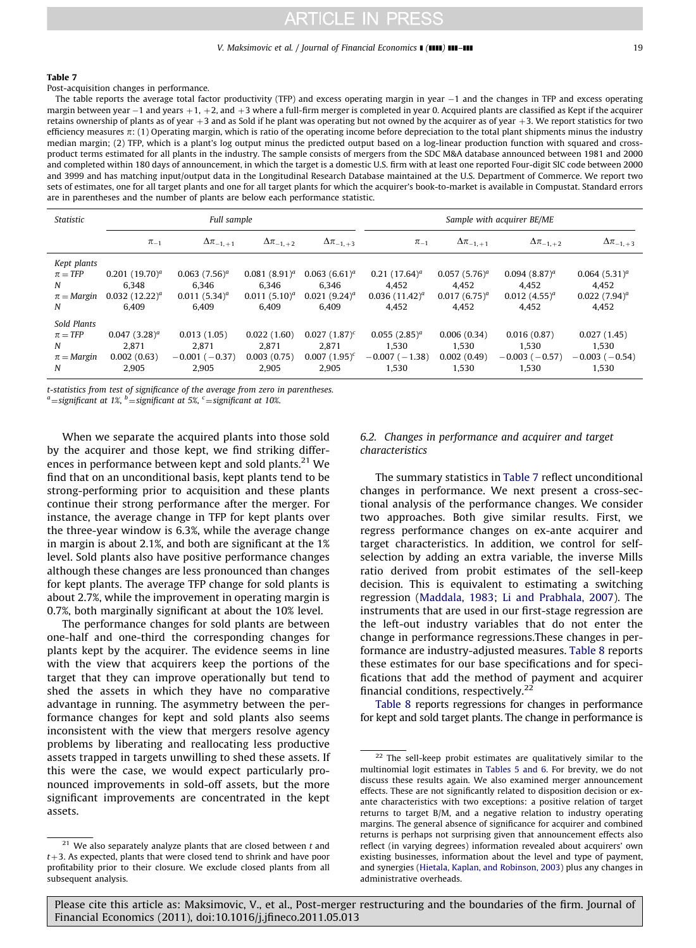#### <span id="page-18-0"></span>Table 7

Post-acquisition changes in performance.

The table reports the average total factor productivity (TFP) and excess operating margin in year -1 and the changes in TFP and excess operating margin between year –1 and years +1, +2, and +3 where a full-firm merger is completed in year 0. Acquired plants are classified as Kept if the acquirer retains ownership of plants as of year  $+3$  and as Sold if he plant was operating but not owned by the acquirer as of year  $+3$ . We report statistics for two efficiency measures  $\pi$ : (1) Operating margin, which is ratio of the operating income before depreciation to the total plant shipments minus the industry median margin; (2) TFP, which is a plant's log output minus the predicted output based on a log-linear production function with squared and crossproduct terms estimated for all plants in the industry. The sample consists of mergers from the SDC M&A database announced between 1981 and 2000 and completed within 180 days of announcement, in which the target is a domestic U.S. firm with at least one reported Four-digit SIC code between 2000 and 3999 and has matching input/output data in the Longitudinal Research Database maintained at the U.S. Department of Commerce. We report two sets of estimates, one for all target plants and one for all target plants for which the acquirer's book-to-market is available in Compustat. Standard errors are in parentheses and the number of plants are below each performance statistic.

| <b>Statistic</b>                                       | Full sample                                                        |                                                                  |                                                       |                                                       | Sample with acquirer BE/ME                            |                                                         |                                                          |                                                          |
|--------------------------------------------------------|--------------------------------------------------------------------|------------------------------------------------------------------|-------------------------------------------------------|-------------------------------------------------------|-------------------------------------------------------|---------------------------------------------------------|----------------------------------------------------------|----------------------------------------------------------|
|                                                        | $\pi_{-1}$                                                         | $\Delta\pi_{-1,+1}$                                              | $\Delta\pi_{-1,+2}$                                   | $\Delta \pi_{-1,+3}$                                  | $\pi_{-1}$                                            | $\Delta\pi_{-1,+1}$                                     | $\Delta\pi_{-1,+2}$                                      | $\Delta\pi_{-1,+3}$                                      |
| Kept plants<br>$\pi = TFP$<br>N<br>$\pi =$ Margin<br>N | $0.201(19.70)^a$<br>6.348<br>$0.032$ (12.22) <sup>a</sup><br>6.409 | $0.063$ (7.56) <sup>a</sup><br>6.346<br>$0.011(5.34)^a$<br>6.409 | $0.081~(8.91)^a$<br>6.346<br>$0.011(5.10)^a$<br>6.409 | $0.063~(6.61)^a$<br>6.346<br>$0.021(9.24)^a$<br>6.409 | $0.21(17.64)^a$<br>4.452<br>$0.036(11.42)^a$<br>4.452 | $0.057(5.76)^{a}$<br>4.452<br>$0.017~(6.75)^a$<br>4.452 | $0.094~(8.87)^a$<br>4.452<br>$0.012~(4.55)^{a}$<br>4,452 | $0.064~(5.31)^a$<br>4.452<br>$0.022$ $(7.94)^a$<br>4,452 |
| Sold Plants<br>$\pi = TFP$<br>N<br>$\pi =$ Margin<br>N | $0.047~(3.28)^a$<br>2.871<br>0.002(0.63)<br>2.905                  | 0.013(1.05)<br>2.871<br>$-0.001(-0.37)$<br>2.905                 | 0.022(1.60)<br>2.871<br>0.003(0.75)<br>2.905          | $0.027~(1.87)^c$<br>2.871<br>$0.007(1.95)^c$<br>2.905 | $0.055(2.85)^a$<br>1.530<br>$-0.007(-1.38)$<br>1.530  | 0.006(0.34)<br>1.530<br>0.002(0.49)<br>1,530            | 0.016(0.87)<br>1.530<br>$-0.003$ ( $-0.57$ )<br>1,530    | 0.027(1.45)<br>1.530<br>$-0.003(-0.54)$<br>1,530         |

t-statistics from test of significance of the average from zero in parentheses.

 $a$ =significant at 1%,  $b$ =significant at 5%,  $c$ =significant at 10%.

When we separate the acquired plants into those sold by the acquirer and those kept, we find striking differences in performance between kept and sold plants.<sup>21</sup> We find that on an unconditional basis, kept plants tend to be strong-performing prior to acquisition and these plants continue their strong performance after the merger. For instance, the average change in TFP for kept plants over the three-year window is 6.3%, while the average change in margin is about 2.1%, and both are significant at the 1% level. Sold plants also have positive performance changes although these changes are less pronounced than changes for kept plants. The average TFP change for sold plants is about 2.7%, while the improvement in operating margin is 0.7%, both marginally significant at about the 10% level.

The performance changes for sold plants are between one-half and one-third the corresponding changes for plants kept by the acquirer. The evidence seems in line with the view that acquirers keep the portions of the target that they can improve operationally but tend to shed the assets in which they have no comparative advantage in running. The asymmetry between the performance changes for kept and sold plants also seems inconsistent with the view that mergers resolve agency problems by liberating and reallocating less productive assets trapped in targets unwilling to shed these assets. If this were the case, we would expect particularly pronounced improvements in sold-off assets, but the more significant improvements are concentrated in the kept assets.

# 6.2. Changes in performance and acquirer and target characteristics

The summary statistics in Table 7 reflect unconditional changes in performance. We next present a cross-sectional analysis of the performance changes. We consider two approaches. Both give similar results. First, we regress performance changes on ex-ante acquirer and target characteristics. In addition, we control for selfselection by adding an extra variable, the inverse Mills ratio derived from probit estimates of the sell-keep decision. This is equivalent to estimating a switching regression [\(Maddala, 1983](#page-25-0); [Li and Prabhala, 2007](#page-25-0)). The instruments that are used in our first-stage regression are the left-out industry variables that do not enter the change in performance regressions.These changes in performance are industry-adjusted measures. [Table 8](#page-19-0) reports these estimates for our base specifications and for specifications that add the method of payment and acquirer financial conditions, respectively. $22$ 

[Table 8](#page-19-0) reports regressions for changes in performance for kept and sold target plants. The change in performance is

 $21$  We also separately analyze plants that are closed between  $t$  and  $t+3$ . As expected, plants that were closed tend to shrink and have poor profitability prior to their closure. We exclude closed plants from all subsequent analysis.

<sup>&</sup>lt;sup>22</sup> The sell-keep probit estimates are qualitatively similar to the multinomial logit estimates in [Tables 5 and 6](#page-13-0). For brevity, we do not discuss these results again. We also examined merger announcement effects. These are not significantly related to disposition decision or exante characteristics with two exceptions: a positive relation of target returns to target B/M, and a negative relation to industry operating margins. The general absence of significance for acquirer and combined returns is perhaps not surprising given that announcement effects also reflect (in varying degrees) information revealed about acquirers' own existing businesses, information about the level and type of payment, and synergies [\(Hietala, Kaplan, and Robinson, 2003](#page-25-0)) plus any changes in administrative overheads.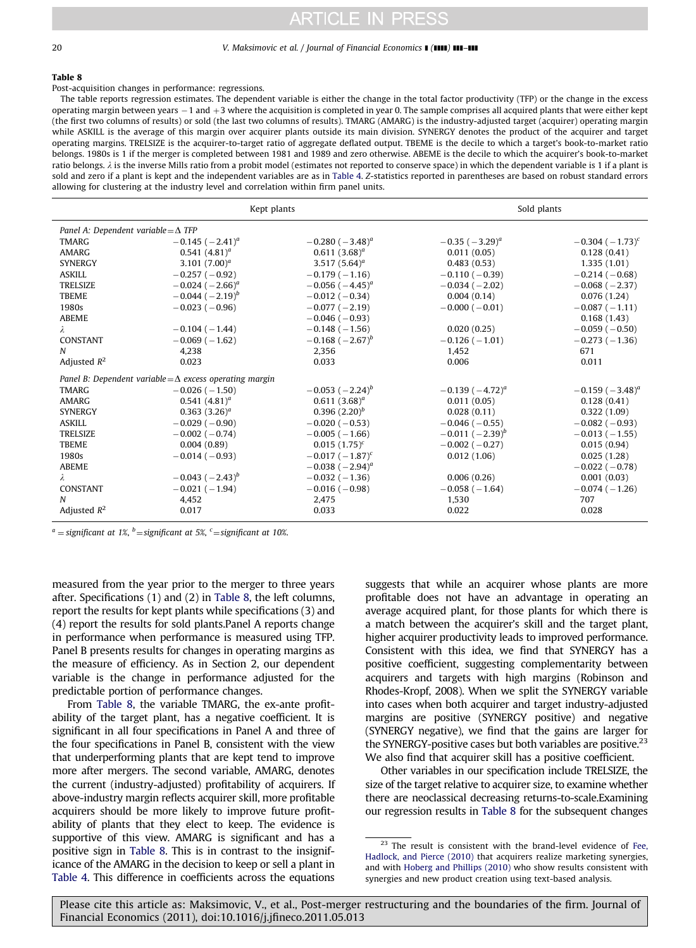#### <span id="page-19-0"></span>20 20 **V. Maksimovic et al. / Journal of Financial Economics | (1111) 111-111**

#### Table 8

Post-acquisition changes in performance: regressions.

The table reports regression estimates. The dependent variable is either the change in the total factor productivity (TFP) or the change in the excess operating margin between years – 1 and +3 where the acquisition is completed in year 0. The sample comprises all acquired plants that were either kept (the first two columns of results) or sold (the last two columns of results). TMARG (AMARG) is the industry-adjusted target (acquirer) operating margin while ASKILL is the average of this margin over acquirer plants outside its main division. SYNERGY denotes the product of the acquirer and target operating margins. TRELSIZE is the acquirer-to-target ratio of aggregate deflated output. TBEME is the decile to which a target's book-to-market ratio belongs. 1980s is 1 if the merger is completed between 1981 and 1989 and zero otherwise. ABEME is the decile to which the acquirer's book-to-market ratio belongs.  $\lambda$  is the inverse Mills ratio from a probit model (estimates not reported to conserve space) in which the dependent variable is 1 if a plant is sold and zero if a plant is kept and the independent variables are as in [Table 4.](#page-12-0) Z-statistics reported in parentheses are based on robust standard errors allowing for clustering at the industry level and correlation within firm panel units.

|                                            |                                                                | Kept plants                       | Sold plants                      |                      |  |
|--------------------------------------------|----------------------------------------------------------------|-----------------------------------|----------------------------------|----------------------|--|
| Panel A: Dependent variable = $\Delta$ TFP |                                                                |                                   |                                  |                      |  |
| <b>TMARG</b>                               | $-0.145$ ( $-2.41$ ) <sup>a</sup>                              | $-0.280$ ( $-3.48$ ) <sup>a</sup> | $-0.35$ ( $-3.29$ ) <sup>a</sup> | $-0.304(-1.73)^c$    |  |
| <b>AMARG</b>                               | $0.541~(4.81)^a$                                               | $0.611(3.68)^a$                   | 0.011(0.05)                      | 0.128(0.41)          |  |
| <b>SYNERGY</b>                             | 3.101 $(7.00)^a$                                               | 3.517 $(5.64)^a$                  | 0.483(0.53)                      | 1.335(1.01)          |  |
| <b>ASKILL</b>                              | $-0.257(-0.92)$                                                | $-0.179(-1.16)$                   | $-0.110(-0.39)$                  | $-0.214(-0.68)$      |  |
| <b>TRELSIZE</b>                            | $-0.024$ ( $-2.66$ ) <sup>a</sup>                              | $-0.056$ ( $-4.45$ ) <sup>a</sup> | $-0.034(-2.02)$                  | $-0.068(-2.37)$      |  |
| <b>TBEME</b>                               | $-0.044$ ( $-2.19$ ) <sup>b</sup>                              | $-0.012$ ( $-0.34$ )              | 0.004(0.14)                      | 0.076(1.24)          |  |
| 1980s                                      | $-0.023$ ( $-0.96$ )                                           | $-0.077(-2.19)$                   | $-0.000(-0.01)$                  | $-0.087(-1.11)$      |  |
| ABEME                                      |                                                                | $-0.046$ ( $-0.93$ )              |                                  | 0.168(1.43)          |  |
| $\lambda$                                  | $-0.104(-1.44)$                                                | $-0.148$ ( $-1.56$ )              | 0.020(0.25)                      | $-0.059(-0.50)$      |  |
| CONSTANT                                   | $-0.069(-1.62)$                                                | $-0.168(-2.67)^{b}$               | $-0.126(-1.01)$                  | $-0.273(-1.36)$      |  |
| $\boldsymbol{N}$                           | 4.238                                                          | 2,356                             | 1,452                            | 671                  |  |
| Adjusted $R^2$                             | 0.023                                                          | 0.033                             | 0.006                            | 0.011                |  |
|                                            | Panel B: Dependent variable = $\Delta$ excess operating margin |                                   |                                  |                      |  |
| <b>TMARG</b>                               | $-0.026(-1.50)$                                                | $-0.053$ ( $-2.24$ ) <sup>b</sup> | $-0.139(-4.72)^{a}$              | $-0.159(-3.48)^{a}$  |  |
| <b>AMARG</b>                               | $0.541~(4.81)^a$                                               | $0.611(3.68)^a$                   | 0.011(0.05)                      | 0.128(0.41)          |  |
| <b>SYNERGY</b>                             | 0.363 $(3.26)^a$                                               | $0.396(2.20)^b$                   | 0.028(0.11)                      | 0.322(1.09)          |  |
| <b>ASKILL</b>                              | $-0.029(-0.90)$                                                | $-0.020(-0.53)$                   | $-0.046$ ( $-0.55$ )             | $-0.082$ ( $-0.93$ ) |  |
| <b>TRELSIZE</b>                            | $-0.002$ ( $-0.74$ )                                           | $-0.005$ ( $-1.66$ )              | $-0.011(-2.39)^{b}$              | $-0.013(-1.55)$      |  |
| <b>TBEME</b>                               | 0.004(0.89)                                                    | $0.015(1.75)^c$                   | $-0.002$ ( $-0.27$ )             | 0.015(0.94)          |  |
| 1980s                                      | $-0.014(-0.93)$                                                | $-0.017(-1.87)^c$                 | 0.012(1.06)                      | 0.025(1.28)          |  |
| <b>ABEME</b>                               |                                                                | $-0.038(-2.94)^{a}$               |                                  | $-0.022$ ( $-0.78$ ) |  |
| $\lambda$                                  | $-0.043$ ( $-2.43$ ) <sup>b</sup>                              | $-0.032(-1.36)$                   | 0.006(0.26)                      | 0.001(0.03)          |  |
| CONSTANT                                   | $-0.021(-1.94)$                                                | $-0.016(-0.98)$                   | $-0.058(-1.64)$                  | $-0.074(-1.26)$      |  |
| N                                          | 4.452                                                          | 2.475                             | 1,530                            | 707                  |  |
| Adjusted $R^2$                             | 0.017                                                          | 0.033                             | 0.022                            | 0.028                |  |

 $a =$  significant at 1%,  $b =$ significant at 5%,  $c =$ significant at 10%.

measured from the year prior to the merger to three years after. Specifications (1) and (2) in Table 8, the left columns, report the results for kept plants while specifications (3) and (4) report the results for sold plants.Panel A reports change in performance when performance is measured using TFP. Panel B presents results for changes in operating margins as the measure of efficiency. As in Section 2, our dependent variable is the change in performance adjusted for the predictable portion of performance changes.

From Table 8, the variable TMARG, the ex-ante profitability of the target plant, has a negative coefficient. It is significant in all four specifications in Panel A and three of the four specifications in Panel B, consistent with the view that underperforming plants that are kept tend to improve more after mergers. The second variable, AMARG, denotes the current (industry-adjusted) profitability of acquirers. If above-industry margin reflects acquirer skill, more profitable acquirers should be more likely to improve future profitability of plants that they elect to keep. The evidence is supportive of this view. AMARG is significant and has a positive sign in Table 8. This is in contrast to the insignificance of the AMARG in the decision to keep or sell a plant in [Table 4](#page-12-0). This difference in coefficients across the equations

suggests that while an acquirer whose plants are more profitable does not have an advantage in operating an average acquired plant, for those plants for which there is a match between the acquirer's skill and the target plant, higher acquirer productivity leads to improved performance. Consistent with this idea, we find that SYNERGY has a positive coefficient, suggesting complementarity between acquirers and targets with high margins (Robinson and Rhodes-Kropf, 2008). When we split the SYNERGY variable into cases when both acquirer and target industry-adjusted margins are positive (SYNERGY positive) and negative (SYNERGY negative), we find that the gains are larger for the SYNERGY-positive cases but both variables are positive.<sup>23</sup> We also find that acquirer skill has a positive coefficient.

Other variables in our specification include TRELSIZE, the size of the target relative to acquirer size, to examine whether there are neoclassical decreasing returns-to-scale.Examining our regression results in Table 8 for the subsequent changes

<sup>&</sup>lt;sup>23</sup> The result is consistent with the brand-level evidence of [Fee,](#page-25-0) [Hadlock, and Pierce \(2010\)](#page-25-0) that acquirers realize marketing synergies, and with [Hoberg and Phillips \(2010\)](#page-25-0) who show results consistent with synergies and new product creation using text-based analysis.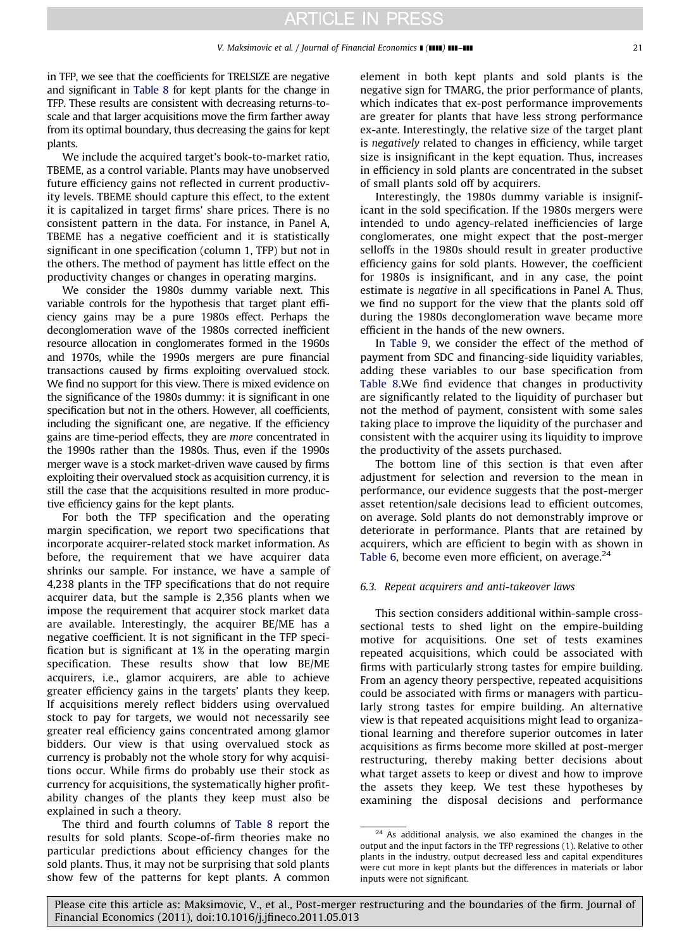in TFP, we see that the coefficients for TRELSIZE are negative and significant in [Table 8](#page-19-0) for kept plants for the change in TFP. These results are consistent with decreasing returns-toscale and that larger acquisitions move the firm farther away from its optimal boundary, thus decreasing the gains for kept plants.

We include the acquired target's book-to-market ratio, TBEME, as a control variable. Plants may have unobserved future efficiency gains not reflected in current productivity levels. TBEME should capture this effect, to the extent it is capitalized in target firms' share prices. There is no consistent pattern in the data. For instance, in Panel A, TBEME has a negative coefficient and it is statistically significant in one specification (column 1, TFP) but not in the others. The method of payment has little effect on the productivity changes or changes in operating margins.

We consider the 1980s dummy variable next. This variable controls for the hypothesis that target plant efficiency gains may be a pure 1980s effect. Perhaps the deconglomeration wave of the 1980s corrected inefficient resource allocation in conglomerates formed in the 1960s and 1970s, while the 1990s mergers are pure financial transactions caused by firms exploiting overvalued stock. We find no support for this view. There is mixed evidence on the significance of the 1980s dummy: it is significant in one specification but not in the others. However, all coefficients, including the significant one, are negative. If the efficiency gains are time-period effects, they are more concentrated in the 1990s rather than the 1980s. Thus, even if the 1990s merger wave is a stock market-driven wave caused by firms exploiting their overvalued stock as acquisition currency, it is still the case that the acquisitions resulted in more productive efficiency gains for the kept plants.

For both the TFP specification and the operating margin specification, we report two specifications that incorporate acquirer-related stock market information. As before, the requirement that we have acquirer data shrinks our sample. For instance, we have a sample of 4,238 plants in the TFP specifications that do not require acquirer data, but the sample is 2,356 plants when we impose the requirement that acquirer stock market data are available. Interestingly, the acquirer BE/ME has a negative coefficient. It is not significant in the TFP specification but is significant at 1% in the operating margin specification. These results show that low BE/ME acquirers, i.e., glamor acquirers, are able to achieve greater efficiency gains in the targets' plants they keep. If acquisitions merely reflect bidders using overvalued stock to pay for targets, we would not necessarily see greater real efficiency gains concentrated among glamor bidders. Our view is that using overvalued stock as currency is probably not the whole story for why acquisitions occur. While firms do probably use their stock as currency for acquisitions, the systematically higher profitability changes of the plants they keep must also be explained in such a theory.

The third and fourth columns of [Table 8](#page-19-0) report the results for sold plants. Scope-of-firm theories make no particular predictions about efficiency changes for the sold plants. Thus, it may not be surprising that sold plants show few of the patterns for kept plants. A common element in both kept plants and sold plants is the negative sign for TMARG, the prior performance of plants, which indicates that ex-post performance improvements are greater for plants that have less strong performance ex-ante. Interestingly, the relative size of the target plant is negatively related to changes in efficiency, while target size is insignificant in the kept equation. Thus, increases in efficiency in sold plants are concentrated in the subset of small plants sold off by acquirers.

Interestingly, the 1980s dummy variable is insignificant in the sold specification. If the 1980s mergers were intended to undo agency-related inefficiencies of large conglomerates, one might expect that the post-merger selloffs in the 1980s should result in greater productive efficiency gains for sold plants. However, the coefficient for 1980s is insignificant, and in any case, the point estimate is negative in all specifications in Panel A. Thus, we find no support for the view that the plants sold off during the 1980s deconglomeration wave became more efficient in the hands of the new owners.

In [Table 9,](#page-21-0) we consider the effect of the method of payment from SDC and financing-side liquidity variables, adding these variables to our base specification from [Table 8.](#page-19-0)We find evidence that changes in productivity are significantly related to the liquidity of purchaser but not the method of payment, consistent with some sales taking place to improve the liquidity of the purchaser and consistent with the acquirer using its liquidity to improve the productivity of the assets purchased.

The bottom line of this section is that even after adjustment for selection and reversion to the mean in performance, our evidence suggests that the post-merger asset retention/sale decisions lead to efficient outcomes, on average. Sold plants do not demonstrably improve or deteriorate in performance. Plants that are retained by acquirers, which are efficient to begin with as shown in [Table 6](#page-17-0), become even more efficient, on average. $24$ 

#### 6.3. Repeat acquirers and anti-takeover laws

This section considers additional within-sample crosssectional tests to shed light on the empire-building motive for acquisitions. One set of tests examines repeated acquisitions, which could be associated with firms with particularly strong tastes for empire building. From an agency theory perspective, repeated acquisitions could be associated with firms or managers with particularly strong tastes for empire building. An alternative view is that repeated acquisitions might lead to organizational learning and therefore superior outcomes in later acquisitions as firms become more skilled at post-merger restructuring, thereby making better decisions about what target assets to keep or divest and how to improve the assets they keep. We test these hypotheses by examining the disposal decisions and performance

 $24$  As additional analysis, we also examined the changes in the output and the input factors in the TFP regressions (1). Relative to other plants in the industry, output decreased less and capital expenditures were cut more in kept plants but the differences in materials or labor inputs were not significant.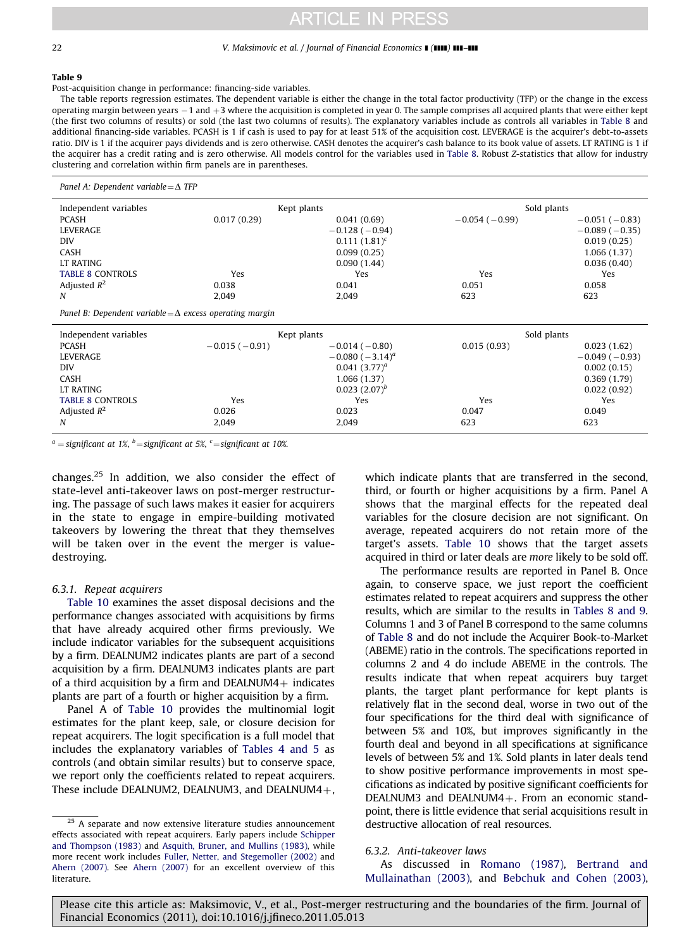#### <span id="page-21-0"></span>22 V. Maksimovic et al. / Journal of Financial Economics **[(1111) 111-111**

#### Table 9

Post-acquisition change in performance: financing-side variables.

The table reports regression estimates. The dependent variable is either the change in the total factor productivity (TFP) or the change in the excess operating margin between years – 1 and +3 where the acquisition is completed in year 0. The sample comprises all acquired plants that were either kept (the first two columns of results) or sold (the last two columns of results). The explanatory variables include as controls all variables in [Table 8](#page-19-0) and additional financing-side variables. PCASH is 1 if cash is used to pay for at least 51% of the acquisition cost. LEVERAGE is the acquirer's debt-to-assets ratio. DIV is 1 if the acquirer pays dividends and is zero otherwise. CASH denotes the acquirer's cash balance to its book value of assets. LT RATING is 1 if the acquirer has a credit rating and is zero otherwise. All models control for the variables used in [Table 8.](#page-19-0) Robust Z-statistics that allow for industry clustering and correlation within firm panels are in parentheses.

### Panel A: Dependent variable =  $\Delta$  TFP

| Independent variables                                          |                 | Kept plants                       | Sold plants     |                 |  |  |  |
|----------------------------------------------------------------|-----------------|-----------------------------------|-----------------|-----------------|--|--|--|
| <b>PCASH</b>                                                   | 0.017(0.29)     | 0.041(0.69)                       | $-0.054(-0.99)$ | $-0.051(-0.83)$ |  |  |  |
| <b>LEVERAGE</b>                                                |                 | $-0.128(-0.94)$                   |                 | $-0.089(-0.35)$ |  |  |  |
| <b>DIV</b>                                                     |                 | $0.111(1.81)^c$                   |                 | 0.019(0.25)     |  |  |  |
| <b>CASH</b>                                                    |                 | 0.099(0.25)                       |                 | 1.066(1.37)     |  |  |  |
| LT RATING                                                      |                 | 0.090(1.44)                       |                 | 0.036(0.40)     |  |  |  |
| <b>TABLE 8 CONTROLS</b>                                        | Yes             | Yes                               | Yes             | Yes             |  |  |  |
| Adjusted $R^2$                                                 | 0.038           | 0.041                             | 0.051           | 0.058           |  |  |  |
| N                                                              | 2.049           | 2.049                             | 623             | 623             |  |  |  |
| Panel B: Dependent variable = $\Delta$ excess operating margin |                 |                                   |                 |                 |  |  |  |
| Independent variables                                          |                 | Kept plants                       | Sold plants     |                 |  |  |  |
| <b>PCASH</b>                                                   | $-0.015(-0.91)$ | $-0.014(-0.80)$                   | 0.015(0.93)     | 0.023(1.62)     |  |  |  |
| <b>LEVERAGE</b>                                                |                 | $-0.080$ ( $-3.14$ ) <sup>a</sup> |                 | $-0.049(-0.93)$ |  |  |  |
| <b>DIV</b>                                                     |                 | $0.041~(3.77)^a$                  |                 | 0.002(0.15)     |  |  |  |
| <b>CASH</b>                                                    |                 | 1.066(1.37)                       |                 | 0.369(1.79)     |  |  |  |
| <b>LT RATING</b>                                               |                 | $0.023$ $(2.07)^b$                |                 | 0.022(0.92)     |  |  |  |
| <b>TABLE 8 CONTROLS</b>                                        | Yes             | Yes                               | Yes             | Yes             |  |  |  |
| Adjusted $R^2$                                                 | 0.026           | 0.023                             | 0.047           | 0.049           |  |  |  |
| N                                                              | 2,049           | 2,049                             | 623             | 623             |  |  |  |

 $a$  = significant at 1%,  $b$  = significant at 5%,  $c$  = significant at 10%.

changes.25 In addition, we also consider the effect of state-level anti-takeover laws on post-merger restructuring. The passage of such laws makes it easier for acquirers in the state to engage in empire-building motivated takeovers by lowering the threat that they themselves will be taken over in the event the merger is valuedestroying.

### 6.3.1. Repeat acquirers

[Table 10](#page-22-0) examines the asset disposal decisions and the performance changes associated with acquisitions by firms that have already acquired other firms previously. We include indicator variables for the subsequent acquisitions by a firm. DEALNUM2 indicates plants are part of a second acquisition by a firm. DEALNUM3 indicates plants are part of a third acquisition by a firm and DEALNUM4 $+$  indicates plants are part of a fourth or higher acquisition by a firm.

Panel A of [Table 10](#page-22-0) provides the multinomial logit estimates for the plant keep, sale, or closure decision for repeat acquirers. The logit specification is a full model that includes the explanatory variables of [Tables 4 and 5](#page-12-0) as controls (and obtain similar results) but to conserve space, we report only the coefficients related to repeat acquirers. These include DEALNUM2, DEALNUM3, and DEALNUM4 $+$ ,

which indicate plants that are transferred in the second, third, or fourth or higher acquisitions by a firm. Panel A shows that the marginal effects for the repeated deal variables for the closure decision are not significant. On average, repeated acquirers do not retain more of the target's assets. [Table 10](#page-22-0) shows that the target assets acquired in third or later deals are more likely to be sold off.

The performance results are reported in Panel B. Once again, to conserve space, we just report the coefficient estimates related to repeat acquirers and suppress the other results, which are similar to the results in [Tables 8 and 9](#page-19-0). Columns 1 and 3 of Panel B correspond to the same columns of [Table 8](#page-19-0) and do not include the Acquirer Book-to-Market (ABEME) ratio in the controls. The specifications reported in columns 2 and 4 do include ABEME in the controls. The results indicate that when repeat acquirers buy target plants, the target plant performance for kept plants is relatively flat in the second deal, worse in two out of the four specifications for the third deal with significance of between 5% and 10%, but improves significantly in the fourth deal and beyond in all specifications at significance levels of between 5% and 1%. Sold plants in later deals tend to show positive performance improvements in most specifications as indicated by positive significant coefficients for DEALNUM3 and DEALNUM4 $+$ . From an economic standpoint, there is little evidence that serial acquisitions result in destructive allocation of real resources.

# 6.3.2. Anti-takeover laws

As discussed in [Romano \(1987\)](#page-25-0), [Bertrand and](#page-25-0) [Mullainathan \(2003\),](#page-25-0) and [Bebchuk and Cohen \(2003\)](#page-25-0),

<sup>&</sup>lt;sup>25</sup> A separate and now extensive literature studies announcement effects associated with repeat acquirers. Early papers include [Schipper](#page-26-0) [and Thompson \(1983\)](#page-26-0) and [Asquith, Bruner, and Mullins \(1983\),](#page-25-0) while more recent work includes [Fuller, Netter, and Stegemoller \(2002\)](#page-25-0) and [Ahern \(2007\).](#page-25-0) See [Ahern \(2007\)](#page-25-0) for an excellent overview of this literature.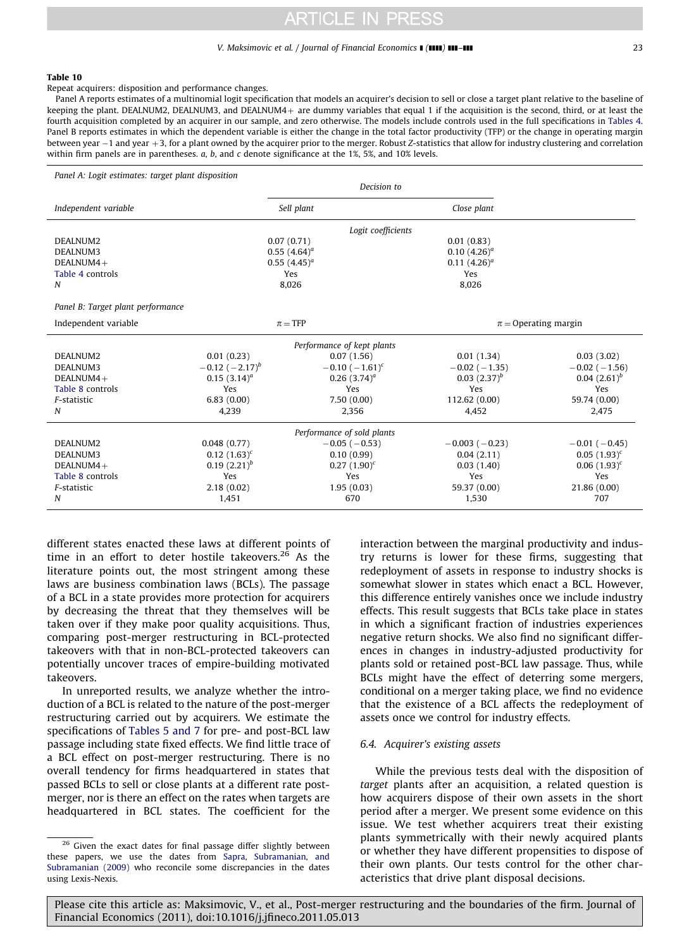### <span id="page-22-0"></span>Table 10

Repeat acquirers: disposition and performance changes.

Panel A reports estimates of a multinomial logit specification that models an acquirer's decision to sell or close a target plant relative to the baseline of keeping the plant. DEALNUM2, DEALNUM3, and DEALNUM4+ are dummy variables that equal 1 if the acquisition is the second, third, or at least the fourth acquisition completed by an acquirer in our sample, and zero otherwise. The models include controls used in the full specifications in [Tables 4.](#page-12-0) Panel B reports estimates in which the dependent variable is either the change in the total factor productivity (TFP) or the change in operating margin between year –1 and year +3, for a plant owned by the acquirer prior to the merger. Robust Z-statistics that allow for industry clustering and correlation within firm panels are in parentheses.  $a$ ,  $b$ , and  $c$  denote significance at the 1%, 5%, and 10% levels.

|                                   | Panel A: Logit estimates: target plant disposition<br>Decision to |                                  |                     |                          |  |  |  |  |  |  |  |
|-----------------------------------|-------------------------------------------------------------------|----------------------------------|---------------------|--------------------------|--|--|--|--|--|--|--|
| Independent variable              |                                                                   | Sell plant                       | Close plant         |                          |  |  |  |  |  |  |  |
|                                   | Logit coefficients                                                |                                  |                     |                          |  |  |  |  |  |  |  |
| DEALNUM2                          | 0.07(0.71)                                                        |                                  | 0.01(0.83)          |                          |  |  |  |  |  |  |  |
| DEALNUM3                          | $0.55(4.64)^a$                                                    |                                  | $0.10~(4.26)^{a}$   |                          |  |  |  |  |  |  |  |
| $DEALNUM4+$                       | $0.55(4.45)^{a}$                                                  |                                  | $0.11~(4.26)^a$     |                          |  |  |  |  |  |  |  |
| Table 4 controls                  | Yes                                                               |                                  | Yes                 |                          |  |  |  |  |  |  |  |
| Ν                                 | 8,026                                                             |                                  | 8,026               |                          |  |  |  |  |  |  |  |
| Panel B: Target plant performance |                                                                   |                                  |                     |                          |  |  |  |  |  |  |  |
| Independent variable              | $\pi = TFP$                                                       |                                  |                     | $\pi$ = Operating margin |  |  |  |  |  |  |  |
|                                   |                                                                   | Performance of kept plants       |                     |                          |  |  |  |  |  |  |  |
| DEALNUM2                          | 0.01(0.23)                                                        | 0.07(1.56)                       | 0.01(1.34)          | 0.03(3.02)               |  |  |  |  |  |  |  |
| DEALNUM3                          | $-0.12$ ( $-2.17$ ) <sup>b</sup>                                  | $-0.10$ ( $-1.61$ ) <sup>c</sup> | $-0.02$ ( $-1.35$ ) | $-0.02$ ( $-1.56$ )      |  |  |  |  |  |  |  |
| $DEALNUM4 +$                      | $0.15(3.14)^a$                                                    | $0.26$ $(3.74)^{a}$              | $0.03(2.37)^b$      | $0.04(2.61)^b$           |  |  |  |  |  |  |  |
| Table 8 controls                  | Yes                                                               | Yes                              | Yes                 | Yes                      |  |  |  |  |  |  |  |
| F-statistic                       | 6.83(0.00)                                                        | 7.50(0.00)                       | 112.62 (0.00)       | 59.74 (0.00)             |  |  |  |  |  |  |  |
| N                                 | 4,239                                                             | 2,356                            | 4,452               | 2,475                    |  |  |  |  |  |  |  |
|                                   |                                                                   | Performance of sold plants       |                     |                          |  |  |  |  |  |  |  |
| DEALNUM2                          | 0.048(0.77)                                                       | $-0.05$ ( $-0.53$ )              | $-0.003(-0.23)$     | $-0.01$ ( $-0.45$ )      |  |  |  |  |  |  |  |
| DEALNUM3                          | $0.12$ $(1.63)^c$                                                 | 0.10(0.99)                       | 0.04(2.11)          | $0.05(1.93)^c$           |  |  |  |  |  |  |  |
| $DEALNUM4 +$                      | $0.19(2.21)^b$                                                    | $0.27(1.90)^c$                   | 0.03(1.40)          | $0.06(1.93)^c$           |  |  |  |  |  |  |  |
| Table 8 controls                  | Yes                                                               | Yes                              | Yes                 | Yes                      |  |  |  |  |  |  |  |
| F-statistic                       | 2.18(0.02)                                                        | 1.95(0.03)                       | 59.37 (0.00)        | 21.86 (0.00)             |  |  |  |  |  |  |  |
| N                                 | 1,451                                                             | 670                              | 1,530               | 707                      |  |  |  |  |  |  |  |

different states enacted these laws at different points of time in an effort to deter hostile takeovers. $26$  As the literature points out, the most stringent among these laws are business combination laws (BCLs). The passage of a BCL in a state provides more protection for acquirers by decreasing the threat that they themselves will be taken over if they make poor quality acquisitions. Thus, comparing post-merger restructuring in BCL-protected takeovers with that in non-BCL-protected takeovers can potentially uncover traces of empire-building motivated takeovers.

In unreported results, we analyze whether the introduction of a BCL is related to the nature of the post-merger restructuring carried out by acquirers. We estimate the specifications of [Tables 5 and 7](#page-13-0) for pre- and post-BCL law passage including state fixed effects. We find little trace of a BCL effect on post-merger restructuring. There is no overall tendency for firms headquartered in states that passed BCLs to sell or close plants at a different rate postmerger, nor is there an effect on the rates when targets are headquartered in BCL states. The coefficient for the interaction between the marginal productivity and industry returns is lower for these firms, suggesting that redeployment of assets in response to industry shocks is somewhat slower in states which enact a BCL. However, this difference entirely vanishes once we include industry effects. This result suggests that BCLs take place in states in which a significant fraction of industries experiences negative return shocks. We also find no significant differences in changes in industry-adjusted productivity for plants sold or retained post-BCL law passage. Thus, while BCLs might have the effect of deterring some mergers, conditional on a merger taking place, we find no evidence that the existence of a BCL affects the redeployment of assets once we control for industry effects.

#### 6.4. Acquirer's existing assets

While the previous tests deal with the disposition of target plants after an acquisition, a related question is how acquirers dispose of their own assets in the short period after a merger. We present some evidence on this issue. We test whether acquirers treat their existing plants symmetrically with their newly acquired plants or whether they have different propensities to dispose of their own plants. Our tests control for the other characteristics that drive plant disposal decisions.

<sup>&</sup>lt;sup>26</sup> Given the exact dates for final passage differ slightly between these papers, we use the dates from [Sapra, Subramanian, and](#page-26-0) [Subramanian \(2009\)](#page-26-0) who reconcile some discrepancies in the dates using Lexis-Nexis.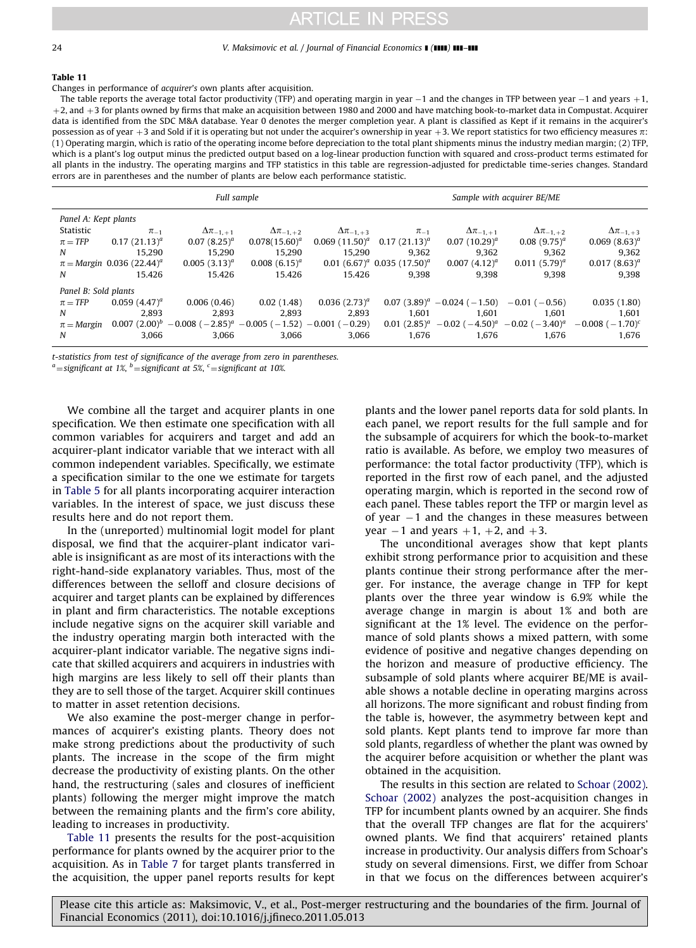#### 24 V. Maksimovic et al. / Journal of Financial Economics ] (]]]]) ]]]–]]]

#### Table 11

Changes in performance of acquirer's own plants after acquisition.

The table reports the average total factor productivity (TFP) and operating margin in year  $-1$  and the changes in TFP between year  $-1$  and years  $+1$ +2, and +3 for plants owned by firms that make an acquisition between 1980 and 2000 and have matching book-to-market data in Compustat. Acquirer data is identified from the SDC M&A database. Year 0 denotes the merger completion year. A plant is classified as Kept if it remains in the acquirer's possession as of year  $+3$  and Sold if it is operating but not under the acquirer's ownership in year  $+3$ . We report statistics for two efficiency measures  $\pi$ : (1) Operating margin, which is ratio of the operating income before depreciation to the total plant shipments minus the industry median margin; (2) TFP, which is a plant's log output minus the predicted output based on a log-linear production function with squared and cross-product terms estimated for all plants in the industry. The operating margins and TFP statistics in this table are regression-adjusted for predictable time-series changes. Standard errors are in parentheses and the number of plants are below each performance statistic.

| Full sample          |                                           |                                                                    |                     |                     |                                   |                                                     | Sample with acquirer BE/ME |                     |
|----------------------|-------------------------------------------|--------------------------------------------------------------------|---------------------|---------------------|-----------------------------------|-----------------------------------------------------|----------------------------|---------------------|
| Panel A: Kept plants |                                           |                                                                    |                     |                     |                                   |                                                     |                            |                     |
| Statistic            | $\pi_{-1}$                                | $\Delta\pi_{-1,+1}$                                                | $\Delta\pi_{-1,+2}$ | $\Delta\pi_{-1,+3}$ | $\pi_{-1}$                        | $\Delta \pi_{-1,+1}$                                | $\Delta \pi_{-1,+2}$       | $\Delta\pi_{-1,+3}$ |
| $\pi = TFP$          | $0.17(21.13)^{a}$                         | $0.07~(8.25)^a$                                                    | $0.078(15.60)^{a}$  | $0.069(11.50)^a$    | $0.17(21.13)^{a}$                 | $0.07~(10.29)^a$                                    | $0.08~(9.75)^a$            | $0.069~(8.63)^a$    |
| N                    | 15.290                                    | 15.290                                                             | 15.290              | 15.290              | 9.362                             | 9,362                                               | 9.362                      | 9.362               |
|                      | $\pi =$ Margin 0.036 (22.44) <sup>a</sup> | $0.005(3.13)^{a}$                                                  | $0.008~(6.15)^a$    |                     | 0.01 $(6.67)^a$ 0.035 $(17.50)^a$ | $0.007(4.12)^a$                                     | $0.011(5.79)^a$            | $0.017(8.63)^{a}$   |
| N                    | 15.426                                    | 15.426                                                             | 15.426              | 15.426              | 9.398                             | 9,398                                               | 9.398                      | 9.398               |
| Panel B: Sold plants |                                           |                                                                    |                     |                     |                                   |                                                     |                            |                     |
| $\pi = TFP$          | $0.059(4.47)^a$                           | 0.006(0.46)                                                        | 0.02(1.48)          | $0.036(2.73)^{a}$   |                                   | $0.07(3.89)^a - 0.024(-1.50) - 0.01(-0.56)$         |                            | 0.035(1.80)         |
| N                    | 2.893                                     | 2.893                                                              | 2.893               | 2.893               | 1.601                             | 1.601                                               | 1.601                      | 1.601               |
| $\pi =$ Margin       |                                           | $0.007 (2.00)^b - 0.008 (-2.85)^a - 0.005 (-1.52) - 0.001 (-0.29)$ |                     |                     |                                   | 0.01 $(2.85)^a$ -0.02 $(-4.50)^a$ -0.02 $(-3.40)^a$ |                            | $-0.008(-1.70)^c$   |
| Ν                    | 3.066                                     | 3.066                                                              | 3.066               | 3,066               | 1.676                             | 1.676                                               | 1.676                      | 1,676               |

t-statistics from test of significance of the average from zero in parentheses.

<sup>a</sup>=significant at 1%, <sup>b</sup>=significant at 5%, <sup>c</sup>=significant at 10%.

We combine all the target and acquirer plants in one specification. We then estimate one specification with all common variables for acquirers and target and add an acquirer-plant indicator variable that we interact with all common independent variables. Specifically, we estimate a specification similar to the one we estimate for targets in [Table 5](#page-13-0) for all plants incorporating acquirer interaction variables. In the interest of space, we just discuss these results here and do not report them.

In the (unreported) multinomial logit model for plant disposal, we find that the acquirer-plant indicator variable is insignificant as are most of its interactions with the right-hand-side explanatory variables. Thus, most of the differences between the selloff and closure decisions of acquirer and target plants can be explained by differences in plant and firm characteristics. The notable exceptions include negative signs on the acquirer skill variable and the industry operating margin both interacted with the acquirer-plant indicator variable. The negative signs indicate that skilled acquirers and acquirers in industries with high margins are less likely to sell off their plants than they are to sell those of the target. Acquirer skill continues to matter in asset retention decisions.

We also examine the post-merger change in performances of acquirer's existing plants. Theory does not make strong predictions about the productivity of such plants. The increase in the scope of the firm might decrease the productivity of existing plants. On the other hand, the restructuring (sales and closures of inefficient plants) following the merger might improve the match between the remaining plants and the firm's core ability, leading to increases in productivity.

Table 11 presents the results for the post-acquisition performance for plants owned by the acquirer prior to the acquisition. As in [Table 7](#page-18-0) for target plants transferred in the acquisition, the upper panel reports results for kept

plants and the lower panel reports data for sold plants. In each panel, we report results for the full sample and for the subsample of acquirers for which the book-to-market ratio is available. As before, we employ two measures of performance: the total factor productivity (TFP), which is reported in the first row of each panel, and the adjusted operating margin, which is reported in the second row of each panel. These tables report the TFP or margin level as of year  $-1$  and the changes in these measures between year  $-1$  and years  $+1$ ,  $+2$ , and  $+3$ .

The unconditional averages show that kept plants exhibit strong performance prior to acquisition and these plants continue their strong performance after the merger. For instance, the average change in TFP for kept plants over the three year window is 6.9% while the average change in margin is about 1% and both are significant at the 1% level. The evidence on the performance of sold plants shows a mixed pattern, with some evidence of positive and negative changes depending on the horizon and measure of productive efficiency. The subsample of sold plants where acquirer BE/ME is available shows a notable decline in operating margins across all horizons. The more significant and robust finding from the table is, however, the asymmetry between kept and sold plants. Kept plants tend to improve far more than sold plants, regardless of whether the plant was owned by the acquirer before acquisition or whether the plant was obtained in the acquisition.

The results in this section are related to [Schoar \(2002\)](#page-26-0). [Schoar \(2002\)](#page-26-0) analyzes the post-acquisition changes in TFP for incumbent plants owned by an acquirer. She finds that the overall TFP changes are flat for the acquirers' owned plants. We find that acquirers' retained plants increase in productivity. Our analysis differs from Schoar's study on several dimensions. First, we differ from Schoar in that we focus on the differences between acquirer's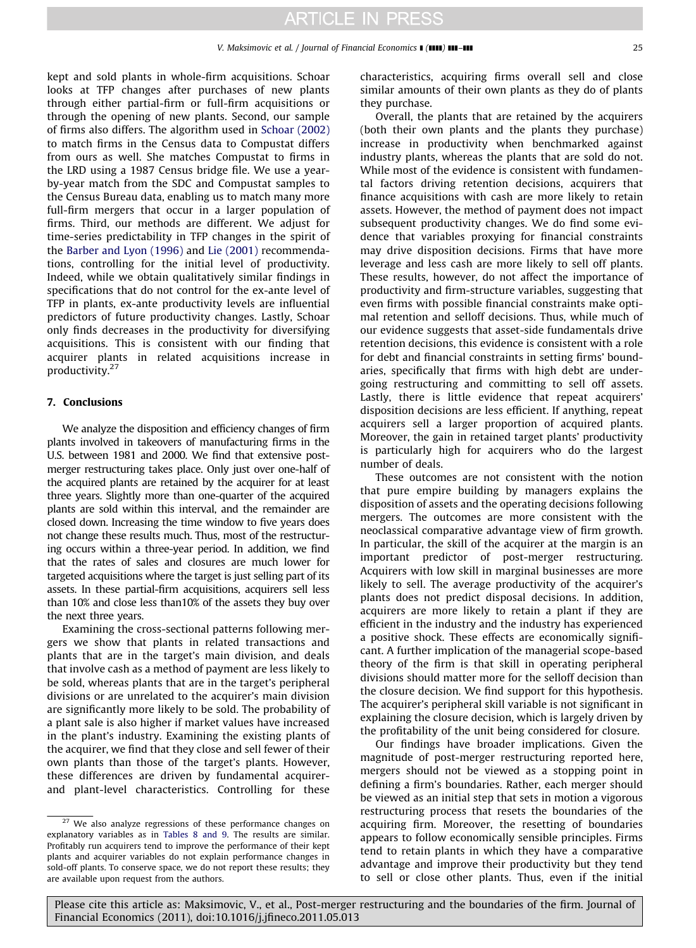kept and sold plants in whole-firm acquisitions. Schoar looks at TFP changes after purchases of new plants through either partial-firm or full-firm acquisitions or through the opening of new plants. Second, our sample of firms also differs. The algorithm used in [Schoar \(2002\)](#page-26-0) to match firms in the Census data to Compustat differs from ours as well. She matches Compustat to firms in the LRD using a 1987 Census bridge file. We use a yearby-year match from the SDC and Compustat samples to the Census Bureau data, enabling us to match many more full-firm mergers that occur in a larger population of firms. Third, our methods are different. We adjust for time-series predictability in TFP changes in the spirit of the [Barber and Lyon \(1996\)](#page-25-0) and [Lie \(2001\)](#page-25-0) recommendations, controlling for the initial level of productivity. Indeed, while we obtain qualitatively similar findings in specifications that do not control for the ex-ante level of TFP in plants, ex-ante productivity levels are influential predictors of future productivity changes. Lastly, Schoar only finds decreases in the productivity for diversifying acquisitions. This is consistent with our finding that acquirer plants in related acquisitions increase in productivity.27

# 7. Conclusions

We analyze the disposition and efficiency changes of firm plants involved in takeovers of manufacturing firms in the U.S. between 1981 and 2000. We find that extensive postmerger restructuring takes place. Only just over one-half of the acquired plants are retained by the acquirer for at least three years. Slightly more than one-quarter of the acquired plants are sold within this interval, and the remainder are closed down. Increasing the time window to five years does not change these results much. Thus, most of the restructuring occurs within a three-year period. In addition, we find that the rates of sales and closures are much lower for targeted acquisitions where the target is just selling part of its assets. In these partial-firm acquisitions, acquirers sell less than 10% and close less than10% of the assets they buy over the next three years.

Examining the cross-sectional patterns following mergers we show that plants in related transactions and plants that are in the target's main division, and deals that involve cash as a method of payment are less likely to be sold, whereas plants that are in the target's peripheral divisions or are unrelated to the acquirer's main division are significantly more likely to be sold. The probability of a plant sale is also higher if market values have increased in the plant's industry. Examining the existing plants of the acquirer, we find that they close and sell fewer of their own plants than those of the target's plants. However, these differences are driven by fundamental acquirerand plant-level characteristics. Controlling for these characteristics, acquiring firms overall sell and close similar amounts of their own plants as they do of plants they purchase.

Overall, the plants that are retained by the acquirers (both their own plants and the plants they purchase) increase in productivity when benchmarked against industry plants, whereas the plants that are sold do not. While most of the evidence is consistent with fundamental factors driving retention decisions, acquirers that finance acquisitions with cash are more likely to retain assets. However, the method of payment does not impact subsequent productivity changes. We do find some evidence that variables proxying for financial constraints may drive disposition decisions. Firms that have more leverage and less cash are more likely to sell off plants. These results, however, do not affect the importance of productivity and firm-structure variables, suggesting that even firms with possible financial constraints make optimal retention and selloff decisions. Thus, while much of our evidence suggests that asset-side fundamentals drive retention decisions, this evidence is consistent with a role for debt and financial constraints in setting firms' boundaries, specifically that firms with high debt are undergoing restructuring and committing to sell off assets. Lastly, there is little evidence that repeat acquirers' disposition decisions are less efficient. If anything, repeat acquirers sell a larger proportion of acquired plants. Moreover, the gain in retained target plants' productivity is particularly high for acquirers who do the largest number of deals.

These outcomes are not consistent with the notion that pure empire building by managers explains the disposition of assets and the operating decisions following mergers. The outcomes are more consistent with the neoclassical comparative advantage view of firm growth. In particular, the skill of the acquirer at the margin is an important predictor of post-merger restructuring. Acquirers with low skill in marginal businesses are more likely to sell. The average productivity of the acquirer's plants does not predict disposal decisions. In addition, acquirers are more likely to retain a plant if they are efficient in the industry and the industry has experienced a positive shock. These effects are economically significant. A further implication of the managerial scope-based theory of the firm is that skill in operating peripheral divisions should matter more for the selloff decision than the closure decision. We find support for this hypothesis. The acquirer's peripheral skill variable is not significant in explaining the closure decision, which is largely driven by the profitability of the unit being considered for closure.

Our findings have broader implications. Given the magnitude of post-merger restructuring reported here, mergers should not be viewed as a stopping point in defining a firm's boundaries. Rather, each merger should be viewed as an initial step that sets in motion a vigorous restructuring process that resets the boundaries of the acquiring firm. Moreover, the resetting of boundaries appears to follow economically sensible principles. Firms tend to retain plants in which they have a comparative advantage and improve their productivity but they tend to sell or close other plants. Thus, even if the initial

<sup>&</sup>lt;sup>27</sup> We also analyze regressions of these performance changes on explanatory variables as in [Tables 8 and 9.](#page-19-0) The results are similar. Profitably run acquirers tend to improve the performance of their kept plants and acquirer variables do not explain performance changes in sold-off plants. To conserve space, we do not report these results; they are available upon request from the authors.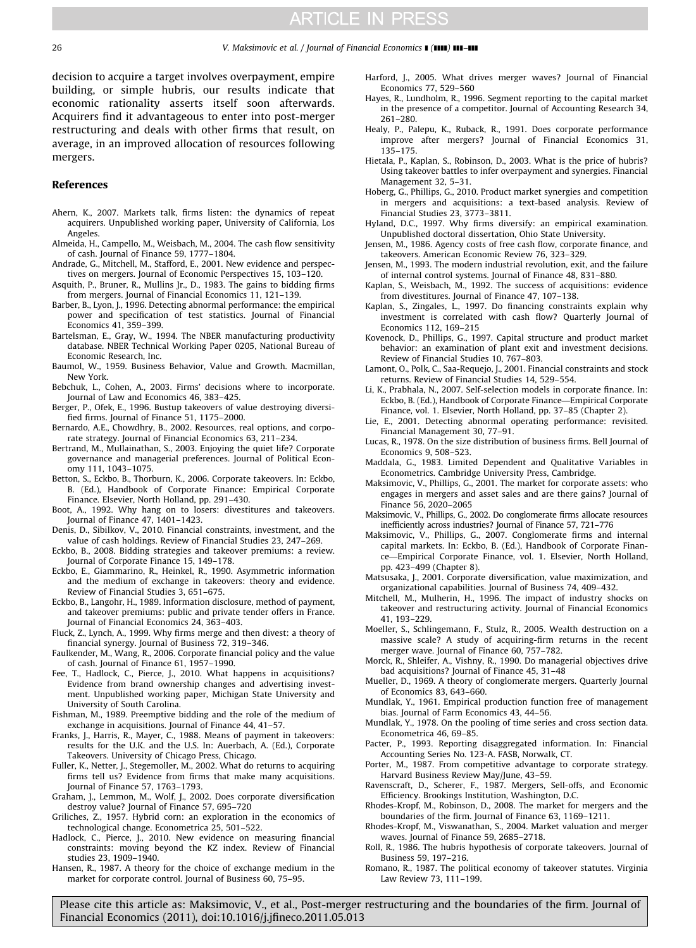<span id="page-25-0"></span>decision to acquire a target involves overpayment, empire building, or simple hubris, our results indicate that economic rationality asserts itself soon afterwards. Acquirers find it advantageous to enter into post-merger restructuring and deals with other firms that result, on average, in an improved allocation of resources following mergers.

### References

- Ahern, K., 2007. Markets talk, firms listen: the dynamics of repeat acquirers. Unpublished working paper, University of California, Los Angeles.
- Almeida, H., Campello, M., Weisbach, M., 2004. The cash flow sensitivity of cash. Journal of Finance 59, 1777–1804.
- Andrade, G., Mitchell, M., Stafford, E., 2001. New evidence and perspectives on mergers. Journal of Economic Perspectives 15, 103–120.
- Asquith, P., Bruner, R., Mullins Jr., D., 1983. The gains to bidding firms from mergers. Journal of Financial Economics 11, 121–139.
- Barber, B., Lyon, J., 1996. Detecting abnormal performance: the empirical power and specification of test statistics. Journal of Financial Economics 41, 359–399.
- Bartelsman, E., Gray, W., 1994. The NBER manufacturing productivity database. NBER Technical Working Paper 0205, National Bureau of Economic Research, Inc.
- Baumol, W., 1959. Business Behavior, Value and Growth. Macmillan, New York.
- Bebchuk, L., Cohen, A., 2003. Firms' decisions where to incorporate. Journal of Law and Economics 46, 383–425.
- Berger, P., Ofek, E., 1996. Bustup takeovers of value destroying diversified firms. Journal of Finance 51, 1175–2000.
- Bernardo, A.E., Chowdhry, B., 2002. Resources, real options, and corporate strategy. Journal of Financial Economics 63, 211–234.
- Bertrand, M., Mullainathan, S., 2003. Enjoying the quiet life? Corporate governance and managerial preferences. Journal of Political Economy 111, 1043–1075.
- Betton, S., Eckbo, B., Thorburn, K., 2006. Corporate takeovers. In: Eckbo, B. (Ed.), Handbook of Corporate Finance: Empirical Corporate Finance. Elsevier, North Holland, pp. 291–430.
- Boot, A., 1992. Why hang on to losers: divestitures and takeovers. Journal of Finance 47, 1401–1423.
- Denis, D., Sibilkov, V., 2010. Financial constraints, investment, and the value of cash holdings. Review of Financial Studies 23, 247–269.
- Eckbo, B., 2008. Bidding strategies and takeover premiums: a review. Journal of Corporate Finance 15, 149–178.
- Eckbo, E., Giammarino, R., Heinkel, R., 1990. Asymmetric information and the medium of exchange in takeovers: theory and evidence. Review of Financial Studies 3, 651–675.
- Eckbo, B., Langohr, H., 1989. Information disclosure, method of payment, and takeover premiums: public and private tender offers in France. Journal of Financial Economics 24, 363–403.
- Fluck, Z., Lynch, A., 1999. Why firms merge and then divest: a theory of financial synergy. Journal of Business 72, 319–346.
- Faulkender, M., Wang, R., 2006. Corporate financial policy and the value of cash. Journal of Finance 61, 1957–1990.
- Fee, T., Hadlock, C., Pierce, J., 2010. What happens in acquisitions? Evidence from brand ownership changes and advertising investment. Unpublished working paper, Michigan State University and University of South Carolina.
- Fishman, M., 1989. Preemptive bidding and the role of the medium of exchange in acquisitions. Journal of Finance 44, 41–57.
- Franks, J., Harris, R., Mayer, C., 1988. Means of payment in takeovers: results for the U.K. and the U.S. In: Auerbach, A. (Ed.), Corporate Takeovers. University of Chicago Press, Chicago.
- Fuller, K., Netter, J., Stegemoller, M., 2002. What do returns to acquiring firms tell us? Evidence from firms that make many acquisitions. Journal of Finance 57, 1763–1793.
- Graham, J., Lemmon, M., Wolf, J., 2002. Does corporate diversification destroy value? Journal of Finance 57, 695–720
- Griliches, Z., 1957. Hybrid corn: an exploration in the economics of technological change. Econometrica 25, 501–522.
- Hadlock, C., Pierce, J., 2010. New evidence on measuring financial constraints: moving beyond the KZ index. Review of Financial studies 23, 1909–1940.
- Hansen, R., 1987. A theory for the choice of exchange medium in the market for corporate control. Journal of Business 60, 75–95.
- Harford, J., 2005. What drives merger waves? Journal of Financial Economics 77, 529–560
- Hayes, R., Lundholm, R., 1996. Segment reporting to the capital market in the presence of a competitor. Journal of Accounting Research 34, 261–280.
- Healy, P., Palepu, K., Ruback, R., 1991. Does corporate performance improve after mergers? Journal of Financial Economics 31, 135–175.
- Hietala, P., Kaplan, S., Robinson, D., 2003. What is the price of hubris? Using takeover battles to infer overpayment and synergies. Financial Management 32, 5–31.
- Hoberg, G., Phillips, G., 2010. Product market synergies and competition in mergers and acquisitions: a text-based analysis. Review of Financial Studies 23, 3773–3811.
- Hyland, D.C., 1997. Why firms diversify: an empirical examination. Unpublished doctoral dissertation, Ohio State University.
- Jensen, M., 1986. Agency costs of free cash flow, corporate finance, and takeovers. American Economic Review 76, 323–329.
- Jensen, M., 1993. The modern industrial revolution, exit, and the failure of internal control systems. Journal of Finance 48, 831–880.
- Kaplan, S., Weisbach, M., 1992. The success of acquisitions: evidence from divestitures. Journal of Finance 47, 107–138.
- Kaplan, S., Zingales, L., 1997. Do financing constraints explain why investment is correlated with cash flow? Quarterly Journal of Economics 112, 169–215
- Kovenock, D., Phillips, G., 1997. Capital structure and product market behavior: an examination of plant exit and investment decisions. Review of Financial Studies 10, 767–803.
- Lamont, O., Polk, C., Saa-Requejo, J., 2001. Financial constraints and stock returns. Review of Financial Studies 14, 529–554.
- Li, K., Prabhala, N., 2007. Self-selection models in corporate finance. In: Eckbo, B. (Ed.), Handbook of Corporate Finance—Empirical Corporate Finance, vol. 1. Elsevier, North Holland, pp. 37–85 (Chapter 2).
- Lie, E., 2001. Detecting abnormal operating performance: revisited. Financial Management 30, 77–91.
- Lucas, R., 1978. On the size distribution of business firms. Bell Journal of Economics 9, 508–523.
- Maddala, G., 1983. Limited Dependent and Qualitative Variables in Econometrics. Cambridge University Press, Cambridge.
- Maksimovic, V., Phillips, G., 2001. The market for corporate assets: who engages in mergers and asset sales and are there gains? Journal of Finance 56, 2020–2065
- Maksimovic, V., Phillips, G., 2002. Do conglomerate firms allocate resources inefficiently across industries? Journal of Finance 57, 721–776
- Maksimovic, V., Phillips, G., 2007. Conglomerate firms and internal capital markets. In: Eckbo, B. (Ed.), Handbook of Corporate Finance—Empirical Corporate Finance, vol. 1. Elsevier, North Holland, pp. 423–499 (Chapter 8).
- Matsusaka, J., 2001. Corporate diversification, value maximization, and organizational capabilities. Journal of Business 74, 409–432.
- Mitchell, M., Mulherin, H., 1996. The impact of industry shocks on takeover and restructuring activity. Journal of Financial Economics 41, 193–229.
- Moeller, S., Schlingemann, F., Stulz, R., 2005. Wealth destruction on a massive scale? A study of acquiring-firm returns in the recent merger wave. Journal of Finance 60, 757–782.
- Morck, R., Shleifer, A., Vishny, R., 1990. Do managerial objectives drive bad acquisitions? Journal of Finance 45, 31–48
- Mueller, D., 1969. A theory of conglomerate mergers. Quarterly Journal of Economics 83, 643–660.
- Mundlak, Y., 1961. Empirical production function free of management bias. Journal of Farm Economics 43, 44–56.
- Mundlak, Y., 1978. On the pooling of time series and cross section data. Econometrica 46, 69–85.
- Pacter, P., 1993. Reporting disaggregated information. In: Financial Accounting Series No. 123-A. FASB, Norwalk, CT.
- Porter, M., 1987. From competitive advantage to corporate strategy. Harvard Business Review May/June, 43–59.
- Ravenscraft, D., Scherer, F., 1987. Mergers, Sell-offs, and Economic Efficiency. Brookings Institution, Washington, D.C.
- Rhodes-Kropf, M., Robinson, D., 2008. The market for mergers and the boundaries of the firm. Journal of Finance 63, 1169–1211.
- Rhodes-Kropf, M., Viswanathan, S., 2004. Market valuation and merger waves. Journal of Finance 59, 2685–2718.
- Roll, R., 1986. The hubris hypothesis of corporate takeovers. Journal of Business 59, 197–216.
- Romano, R., 1987. The political economy of takeover statutes. Virginia Law Review 73, 111–199.